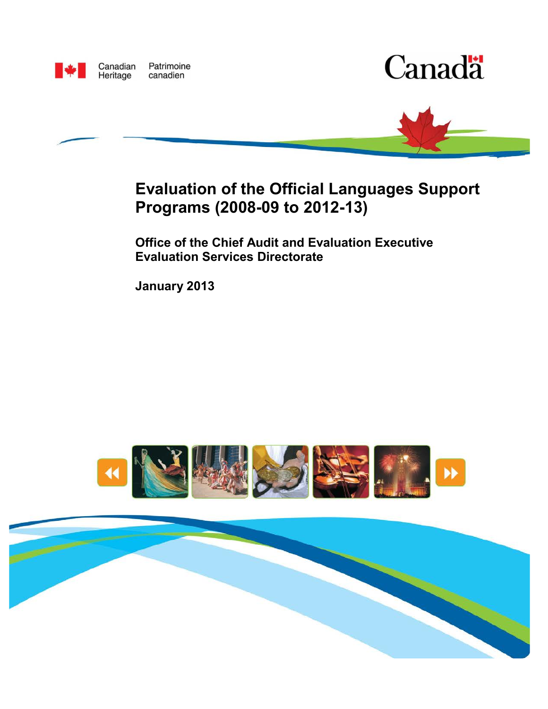

Canadian Patrimoine Heritage canadien





# **Evaluation of the Official Languages Support Programs (2008-09 to 2012-13)**

**Office of the Chief Audit and Evaluation Executive Evaluation Services Directorate**

**January 2013**



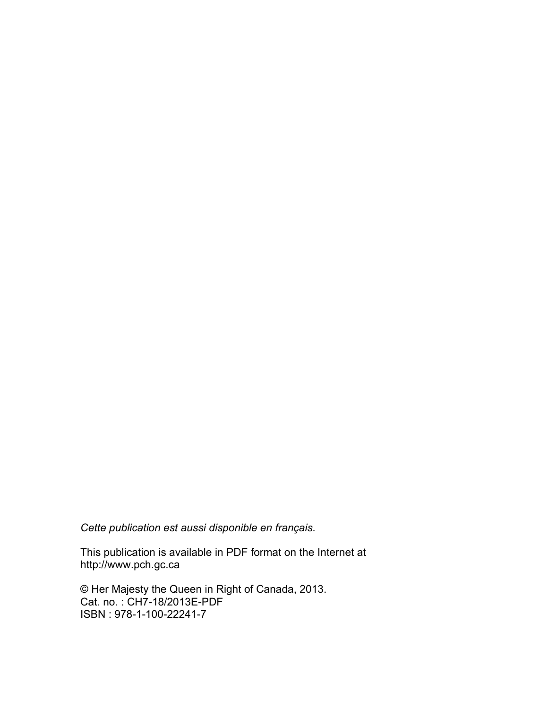*Cette publication est aussi disponible en français.*

This publication is available in PDF format on the Internet at <http://www.pch.gc.ca>

© Her Majesty the Queen in Right of Canada, 2013. Cat. no. : CH7-18/2013E-PDF ISBN : 978-1-100-22241-7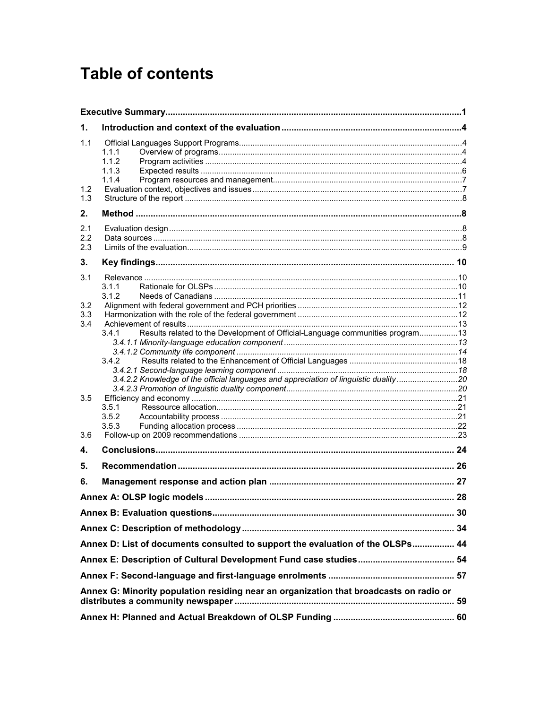# **Table of contents**

| 1.                |                                                                                                                                                                                          |  |  |  |  |
|-------------------|------------------------------------------------------------------------------------------------------------------------------------------------------------------------------------------|--|--|--|--|
| 1.1               | 1.1.1<br>1.1.2<br>1.1.3<br>1.1.4                                                                                                                                                         |  |  |  |  |
| 1.2<br>1.3        |                                                                                                                                                                                          |  |  |  |  |
| 2.                |                                                                                                                                                                                          |  |  |  |  |
| 2.1<br>2.2<br>2.3 |                                                                                                                                                                                          |  |  |  |  |
| 3.                |                                                                                                                                                                                          |  |  |  |  |
| 3.1<br>3.2<br>3.3 | 3.1.1<br>3.1.2                                                                                                                                                                           |  |  |  |  |
| 3.4               | Results related to the Development of Official-Language communities program 13<br>3.4.1<br>3.4.2<br>3.4.2.2 Knowledge of the official languages and appreciation of linguistic duality20 |  |  |  |  |
| 3.5<br>3.6        | 3.5.1<br>3.5.2<br>3.5.3                                                                                                                                                                  |  |  |  |  |
| 4.                |                                                                                                                                                                                          |  |  |  |  |
| 5.                |                                                                                                                                                                                          |  |  |  |  |
| 6.                |                                                                                                                                                                                          |  |  |  |  |
|                   |                                                                                                                                                                                          |  |  |  |  |
|                   |                                                                                                                                                                                          |  |  |  |  |
|                   |                                                                                                                                                                                          |  |  |  |  |
|                   | Annex D: List of documents consulted to support the evaluation of the OLSPs 44                                                                                                           |  |  |  |  |
|                   |                                                                                                                                                                                          |  |  |  |  |
|                   |                                                                                                                                                                                          |  |  |  |  |
|                   | Annex G: Minority population residing near an organization that broadcasts on radio or                                                                                                   |  |  |  |  |
|                   |                                                                                                                                                                                          |  |  |  |  |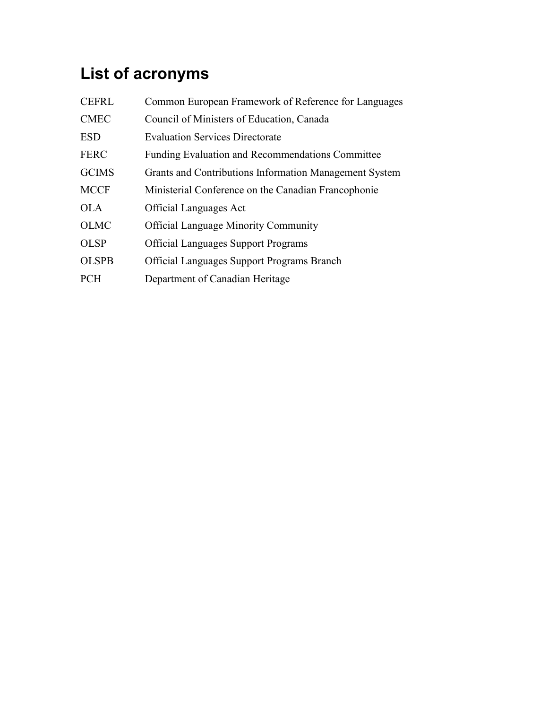# **List of acronyms**

| <b>CEFRL</b> | Common European Framework of Reference for Languages    |
|--------------|---------------------------------------------------------|
| <b>CMEC</b>  | Council of Ministers of Education, Canada               |
| <b>ESD</b>   | <b>Evaluation Services Directorate</b>                  |
| <b>FERC</b>  | <b>Funding Evaluation and Recommendations Committee</b> |
| <b>GCIMS</b> | Grants and Contributions Information Management System  |
| <b>MCCF</b>  | Ministerial Conference on the Canadian Francophonie     |
| OLA.         | <b>Official Languages Act</b>                           |
| <b>OLMC</b>  | <b>Official Language Minority Community</b>             |
| <b>OLSP</b>  | <b>Official Languages Support Programs</b>              |
| <b>OLSPB</b> | <b>Official Languages Support Programs Branch</b>       |
| <b>PCH</b>   | Department of Canadian Heritage                         |
|              |                                                         |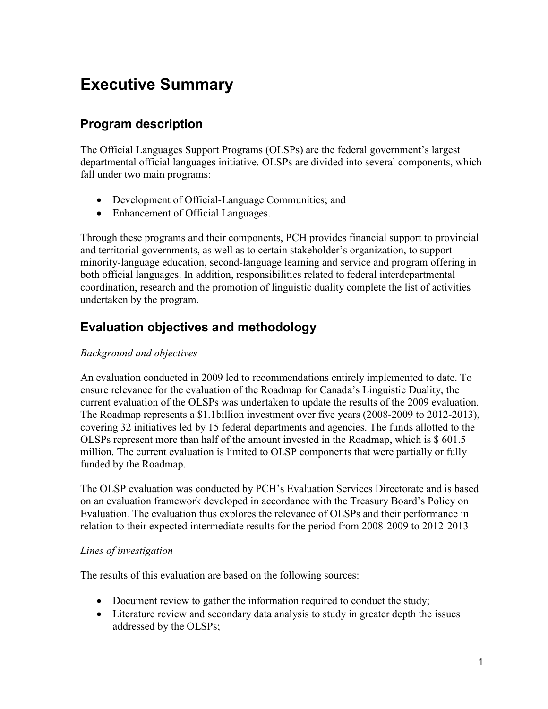# <span id="page-6-0"></span>**Executive Summary**

# **Program description**

The Official Languages Support Programs (OLSPs) are the federal government's largest departmental official languages initiative. OLSPs are divided into several components, which fall under two main programs:

- Development of Official-Language Communities; and
- Enhancement of Official Languages.

Through these programs and their components, PCH provides financial support to provincial and territorial governments, as well as to certain stakeholder's organization, to support minority-language education, second-language learning and service and program offering in both official languages. In addition, responsibilities related to federal interdepartmental coordination, research and the promotion of linguistic duality complete the list of activities undertaken by the program.

## **Evaluation objectives and methodology**

### *Background and objectives*

An evaluation conducted in 2009 led to recommendations entirely implemented to date. To ensure relevance for the evaluation of the Roadmap for Canada's Linguistic Duality, the current evaluation of the OLSPs was undertaken to update the results of the 2009 evaluation. The Roadmap represents a \$1.1billion investment over five years (2008-2009 to 2012-2013), covering 32 initiatives led by 15 federal departments and agencies. The funds allotted to the OLSPs represent more than half of the amount invested in the Roadmap, which is \$ 601.5 million. The current evaluation is limited to OLSP components that were partially or fully funded by the Roadmap.

The OLSP evaluation was conducted by PCH's Evaluation Services Directorate and is based on an evaluation framework developed in accordance with the Treasury Board's Policy on Evaluation. The evaluation thus explores the relevance of OLSPs and their performance in relation to their expected intermediate results for the period from 2008-2009 to 2012-2013

### *Lines of investigation*

The results of this evaluation are based on the following sources:

- Document review to gather the information required to conduct the study;
- Literature review and secondary data analysis to study in greater depth the issues addressed by the OLSPs;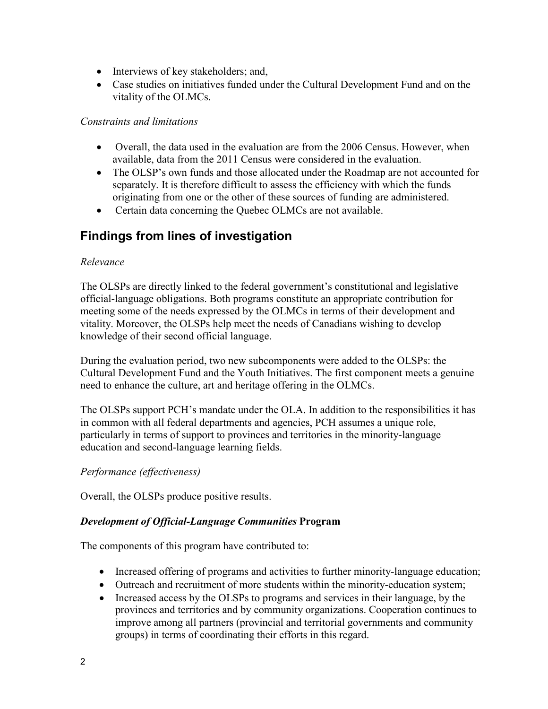- Interviews of key stakeholders; and,
- Case studies on initiatives funded under the Cultural Development Fund and on the vitality of the OLMCs.

#### *Constraints and limitations*

- Overall, the data used in the evaluation are from the 2006 Census. However, when available, data from the 2011 Census were considered in the evaluation.
- The OLSP's own funds and those allocated under the Roadmap are not accounted for separately. It is therefore difficult to assess the efficiency with which the funds originating from one or the other of these sources of funding are administered.
- Certain data concerning the Quebec OLMCs are not available.

## **Findings from lines of investigation**

### *Relevance*

The OLSPs are directly linked to the federal government's constitutional and legislative official-language obligations. Both programs constitute an appropriate contribution for meeting some of the needs expressed by the OLMCs in terms of their development and vitality. Moreover, the OLSPs help meet the needs of Canadians wishing to develop knowledge of their second official language.

During the evaluation period, two new subcomponents were added to the OLSPs: the Cultural Development Fund and the Youth Initiatives. The first component meets a genuine need to enhance the culture, art and heritage offering in the OLMCs.

The OLSPs support PCH's mandate under the OLA. In addition to the responsibilities it has in common with all federal departments and agencies, PCH assumes a unique role, particularly in terms of support to provinces and territories in the minority-language education and second-language learning fields.

### *Performance (effectiveness)*

Overall, the OLSPs produce positive results.

### *Development of Official-Language Communities* **Program**

The components of this program have contributed to:

- Increased offering of programs and activities to further minority-language education;
- Outreach and recruitment of more students within the minority-education system;
- Increased access by the OLSPs to programs and services in their language, by the provinces and territories and by community organizations. Cooperation continues to improve among all partners (provincial and territorial governments and community groups) in terms of coordinating their efforts in this regard.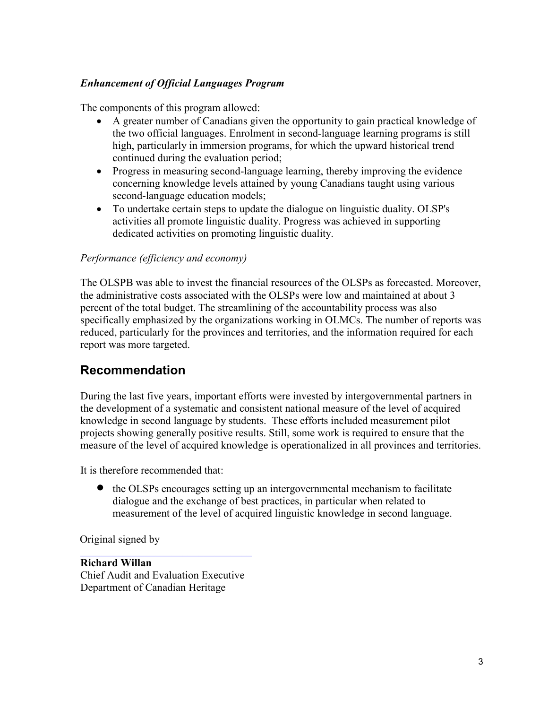### *Enhancement of Official Languages Program*

The components of this program allowed:

- A greater number of Canadians given the opportunity to gain practical knowledge of the two official languages. Enrolment in second-language learning programs is still high, particularly in immersion programs, for which the upward historical trend continued during the evaluation period;
- Progress in measuring second-language learning, thereby improving the evidence concerning knowledge levels attained by young Canadians taught using various second-language education models;
- To undertake certain steps to update the dialogue on linguistic duality. OLSP's activities all promote linguistic duality. Progress was achieved in supporting dedicated activities on promoting linguistic duality.

#### *Performance (efficiency and economy)*

The OLSPB was able to invest the financial resources of the OLSPs as forecasted. Moreover, the administrative costs associated with the OLSPs were low and maintained at about 3 percent of the total budget. The streamlining of the accountability process was also specifically emphasized by the organizations working in OLMCs. The number of reports was reduced, particularly for the provinces and territories, and the information required for each report was more targeted.

## **Recommendation**

During the last five years, important efforts were invested by intergovernmental partners in the development of a systematic and consistent national measure of the level of acquired knowledge in second language by students. These efforts included measurement pilot projects showing generally positive results. Still, some work is required to ensure that the measure of the level of acquired knowledge is operationalized in all provinces and territories.

It is therefore recommended that:

• the OLSPs encourages setting up an intergovernmental mechanism to facilitate dialogue and the exchange of best practices, in particular when related to measurement of the level of acquired linguistic knowledge in second language.

Original signed by

**Richard Willan** Chief Audit and Evaluation Executive Department of Canadian Heritage

\_\_\_\_\_\_\_\_\_\_\_\_\_\_\_\_\_\_\_\_\_\_\_\_\_\_\_\_\_\_\_\_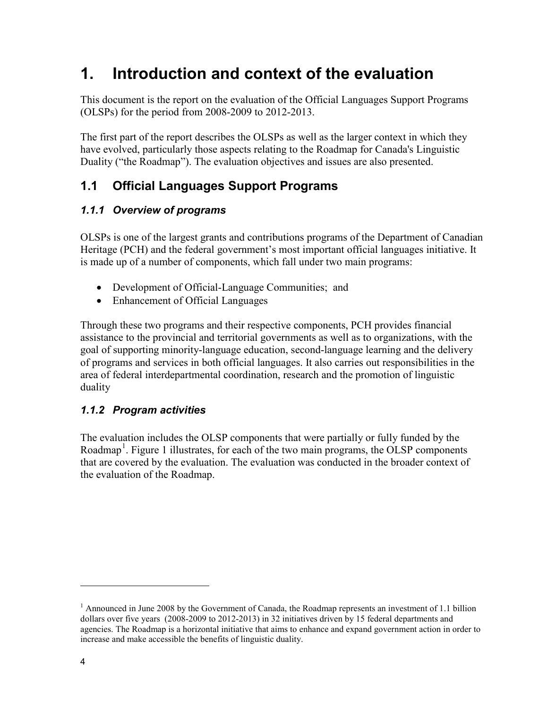# <span id="page-9-0"></span>**1. Introduction and context of the evaluation**

This document is the report on the evaluation of the Official Languages Support Programs (OLSPs) for the period from 2008-2009 to 2012-2013.

The first part of the report describes the OLSPs as well as the larger context in which they have evolved, particularly those aspects relating to the Roadmap for Canada's Linguistic Duality ("the Roadmap"). The evaluation objectives and issues are also presented.

# <span id="page-9-1"></span>**1.1 Official Languages Support Programs**

## <span id="page-9-2"></span>*1.1.1 Overview of programs*

OLSPs is one of the largest grants and contributions programs of the Department of Canadian Heritage (PCH) and the federal government's most important official languages initiative. It is made up of a number of components, which fall under two main programs:

- Development of Official-Language Communities; and
- Enhancement of Official Languages

Through these two programs and their respective components, PCH provides financial assistance to the provincial and territorial governments as well as to organizations, with the goal of supporting minority-language education, second-language learning and the delivery of programs and services in both official languages. It also carries out responsibilities in the area of federal interdepartmental coordination, research and the promotion of linguistic duality

## <span id="page-9-3"></span>*1.1.2 Program activities*

The evaluation includes the OLSP components that were partially or fully funded by the Roadmap<sup>1</sup>. [Figure 1](#page-10-0) illustrates, for each of the two main programs, the OLSP components that are covered by the evaluation. The evaluation was conducted in the broader context of the evaluation of the Roadmap.

 $1$  Announced in June 2008 by the Government of Canada, the Roadmap represents an investment of 1.1 billion dollars over five years (2008-2009 to 2012-2013) in 32 initiatives driven by 15 federal departments and agencies. The Roadmap is a horizontal initiative that aims to enhance and expand government action in order to increase and make accessible the benefits of linguistic duality.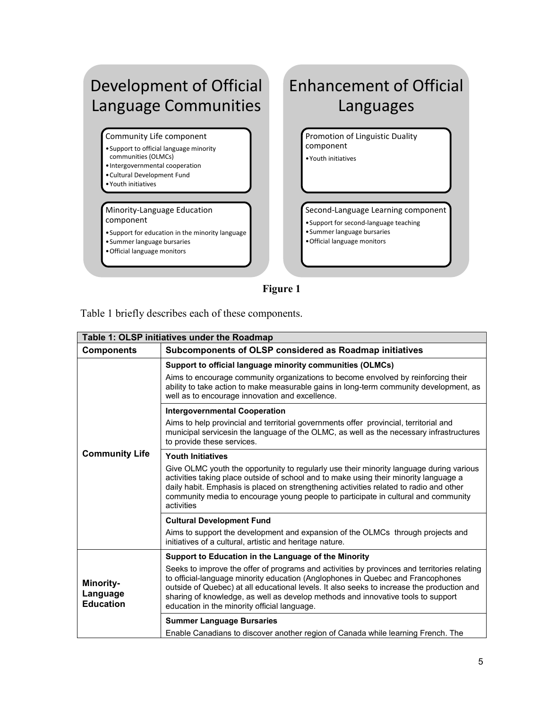# Development of Official Language Communities

Community Life component

- •Support to official language minority communities (OLMCs)
- •Intergovernmental cooperation
- •Cultural Development Fund
- •Youth initiatives

Minority-Language Education component

- •Support for education in the minority language
- •Summer language bursaries
- •Official language monitors

# Enhancement of Official Languages

Promotion of Linguistic Duality component •Youth initiatives

Second-Language Learning component

- •Support for second-language teaching
- •Summer language bursaries
- •Official language monitors

**Figure 1** 

<span id="page-10-0"></span>Table 1 briefly describes each of these components.

|                                                  | Table 1: OLSP initiatives under the Roadmap                                                                                                                                                                                                                                                                                                                                                                      |  |  |  |  |
|--------------------------------------------------|------------------------------------------------------------------------------------------------------------------------------------------------------------------------------------------------------------------------------------------------------------------------------------------------------------------------------------------------------------------------------------------------------------------|--|--|--|--|
| <b>Components</b>                                | Subcomponents of OLSP considered as Roadmap initiatives                                                                                                                                                                                                                                                                                                                                                          |  |  |  |  |
|                                                  | Support to official language minority communities (OLMCs)<br>Aims to encourage community organizations to become envolved by reinforcing their<br>ability to take action to make measurable gains in long-term community development, as<br>well as to encourage innovation and excellence.                                                                                                                      |  |  |  |  |
|                                                  | <b>Intergovernmental Cooperation</b>                                                                                                                                                                                                                                                                                                                                                                             |  |  |  |  |
|                                                  | Aims to help provincial and territorial governments offer provincial, territorial and<br>municipal servicesin the language of the OLMC, as well as the necessary infrastructures<br>to provide these services.                                                                                                                                                                                                   |  |  |  |  |
| <b>Community Life</b>                            | <b>Youth Initiatives</b>                                                                                                                                                                                                                                                                                                                                                                                         |  |  |  |  |
|                                                  | Give OLMC youth the opportunity to regularly use their minority language during various<br>activities taking place outside of school and to make using their minority language a<br>daily habit. Emphasis is placed on strengthening activities related to radio and other<br>community media to encourage young people to participate in cultural and community<br>activities                                   |  |  |  |  |
|                                                  | <b>Cultural Development Fund</b>                                                                                                                                                                                                                                                                                                                                                                                 |  |  |  |  |
|                                                  | Aims to support the development and expansion of the OLMCs through projects and<br>initiatives of a cultural, artistic and heritage nature.                                                                                                                                                                                                                                                                      |  |  |  |  |
|                                                  | Support to Education in the Language of the Minority                                                                                                                                                                                                                                                                                                                                                             |  |  |  |  |
| <b>Minority-</b><br>Language<br><b>Education</b> | Seeks to improve the offer of programs and activities by provinces and territories relating<br>to official-language minority education (Anglophones in Quebec and Francophones<br>outside of Quebec) at all educational levels. It also seeks to increase the production and<br>sharing of knowledge, as well as develop methods and innovative tools to support<br>education in the minority official language. |  |  |  |  |
|                                                  | <b>Summer Language Bursaries</b>                                                                                                                                                                                                                                                                                                                                                                                 |  |  |  |  |
|                                                  | Enable Canadians to discover another region of Canada while learning French. The                                                                                                                                                                                                                                                                                                                                 |  |  |  |  |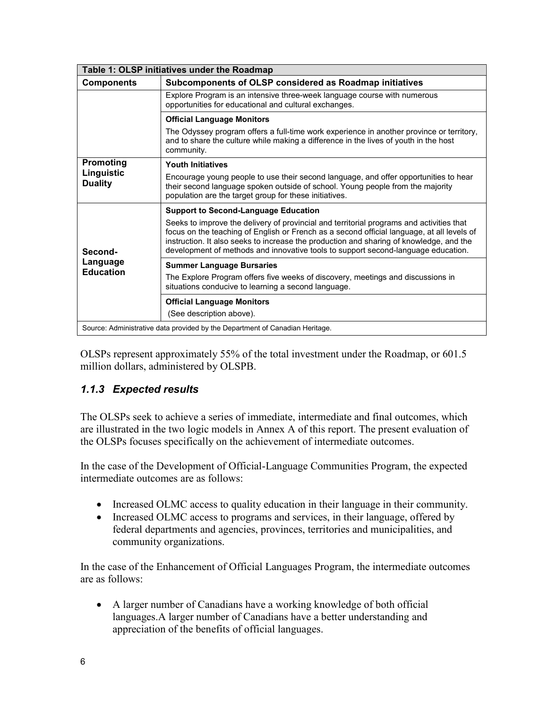| Table 1: OLSP initiatives under the Roadmap                                  |                                                                                                                                                                                                                                                                                                                                                                        |  |  |  |  |
|------------------------------------------------------------------------------|------------------------------------------------------------------------------------------------------------------------------------------------------------------------------------------------------------------------------------------------------------------------------------------------------------------------------------------------------------------------|--|--|--|--|
| <b>Components</b>                                                            | Subcomponents of OLSP considered as Roadmap initiatives                                                                                                                                                                                                                                                                                                                |  |  |  |  |
|                                                                              | Explore Program is an intensive three-week language course with numerous<br>opportunities for educational and cultural exchanges.                                                                                                                                                                                                                                      |  |  |  |  |
|                                                                              | <b>Official Language Monitors</b>                                                                                                                                                                                                                                                                                                                                      |  |  |  |  |
|                                                                              | The Odyssey program offers a full-time work experience in another province or territory,<br>and to share the culture while making a difference in the lives of youth in the host<br>community.                                                                                                                                                                         |  |  |  |  |
| Promoting                                                                    | <b>Youth Initiatives</b>                                                                                                                                                                                                                                                                                                                                               |  |  |  |  |
| Linguistic<br><b>Duality</b>                                                 | Encourage young people to use their second language, and offer opportunities to hear<br>their second language spoken outside of school. Young people from the majority<br>population are the target group for these initiatives.                                                                                                                                       |  |  |  |  |
|                                                                              | <b>Support to Second-Language Education</b>                                                                                                                                                                                                                                                                                                                            |  |  |  |  |
| Second-                                                                      | Seeks to improve the delivery of provincial and territorial programs and activities that<br>focus on the teaching of English or French as a second official language, at all levels of<br>instruction. It also seeks to increase the production and sharing of knowledge, and the<br>development of methods and innovative tools to support second-language education. |  |  |  |  |
| Language<br><b>Education</b>                                                 | <b>Summer Language Bursaries</b>                                                                                                                                                                                                                                                                                                                                       |  |  |  |  |
|                                                                              | The Explore Program offers five weeks of discovery, meetings and discussions in<br>situations conducive to learning a second language.                                                                                                                                                                                                                                 |  |  |  |  |
|                                                                              | <b>Official Language Monitors</b>                                                                                                                                                                                                                                                                                                                                      |  |  |  |  |
|                                                                              | (See description above).                                                                                                                                                                                                                                                                                                                                               |  |  |  |  |
| Source: Administrative data provided by the Department of Canadian Heritage. |                                                                                                                                                                                                                                                                                                                                                                        |  |  |  |  |

OLSPs represent approximately 55% of the total investment under the Roadmap, or 601.5 million dollars, administered by OLSPB.

## <span id="page-11-0"></span>*1.1.3 Expected results*

The OLSPs seek to achieve a series of immediate, intermediate and final outcomes, which are illustrated in the two logic models in Annex A of this report. The present evaluation of the OLSPs focuses specifically on the achievement of intermediate outcomes.

In the case of the Development of Official-Language Communities Program, the expected intermediate outcomes are as follows:

- Increased OLMC access to quality education in their language in their community.
- Increased OLMC access to programs and services, in their language, offered by federal departments and agencies, provinces, territories and municipalities, and community organizations.

In the case of the Enhancement of Official Languages Program, the intermediate outcomes are as follows:

• A larger number of Canadians have a working knowledge of both official languages.A larger number of Canadians have a better understanding and appreciation of the benefits of official languages.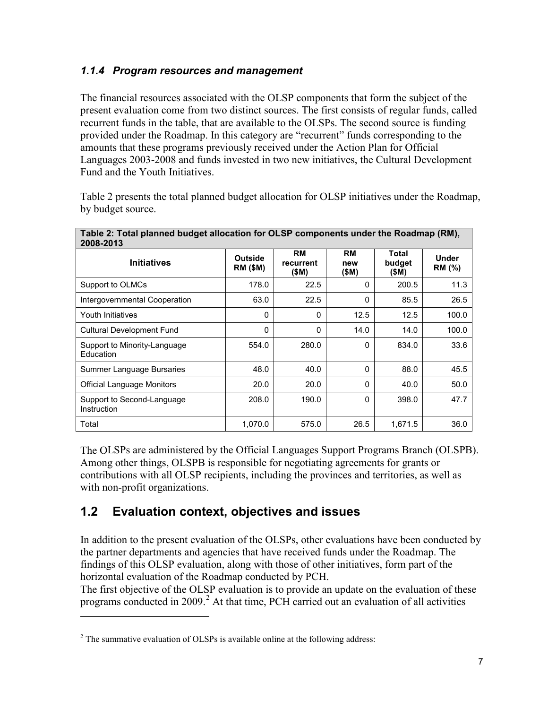### <span id="page-12-0"></span>*1.1.4 Program resources and management*

The financial resources associated with the OLSP components that form the subject of the present evaluation come from two distinct sources. The first consists of regular funds, called recurrent funds in the table, that are available to the OLSPs. The second source is funding provided under the Roadmap. In this category are "recurrent" funds corresponding to the amounts that these programs previously received under the Action Plan for Official Languages 2003-2008 and funds invested in two new initiatives, the Cultural Development Fund and the Youth Initiatives.

Table 2 presents the total planned budget allocation for OLSP initiatives under the Roadmap, by budget source.

| Table 2: Total planned budget allocation for OLSP components under the Roadmap (RM),<br>2008-2013 |                                   |                                 |                           |                                 |                               |  |
|---------------------------------------------------------------------------------------------------|-----------------------------------|---------------------------------|---------------------------|---------------------------------|-------------------------------|--|
| <b>Initiatives</b>                                                                                | <b>Outside</b><br><b>RM (\$M)</b> | <b>RM</b><br>recurrent<br>(\$M) | <b>RM</b><br>new<br>(\$M) | <b>Total</b><br>budget<br>(\$M) | <b>Under</b><br><b>RM</b> (%) |  |
| Support to OLMCs                                                                                  | 178.0                             | 22.5                            | 0                         | 200.5                           | 11.3                          |  |
| Intergovernmental Cooperation                                                                     | 63.0                              | 22.5                            | 0                         | 85.5                            | 26.5                          |  |
| Youth Initiatives                                                                                 | $\Omega$                          | 0                               | 12.5                      | 12.5                            | 100.0                         |  |
| <b>Cultural Development Fund</b>                                                                  | $\Omega$                          | $\Omega$                        | 14.0                      | 14.0                            | 100.0                         |  |
| Support to Minority-Language<br>Education                                                         | 554.0                             | 280.0                           | $\Omega$                  | 834.0                           | 33.6                          |  |
| Summer Language Bursaries                                                                         | 48.0                              | 40.0                            | 0                         | 88.0                            | 45.5                          |  |
| Official Language Monitors                                                                        | 20.0                              | 20.0                            | $\Omega$                  | 40.0                            | 50.0                          |  |
| Support to Second-Language<br>Instruction                                                         | 208.0                             | 190.0                           | $\Omega$                  | 398.0                           | 47.7                          |  |
| Total                                                                                             | 1,070.0                           | 575.0                           | 26.5                      | 1,671.5                         | 36.0                          |  |

The OLSPs are administered by the Official Languages Support Programs Branch (OLSPB). Among other things, OLSPB is responsible for negotiating agreements for grants or contributions with all OLSP recipients, including the provinces and territories, as well as with non-profit organizations.

## <span id="page-12-1"></span>**1.2 Evaluation context, objectives and issues**

In addition to the present evaluation of the OLSPs, other evaluations have been conducted by the partner departments and agencies that have received funds under the Roadmap. The findings of this OLSP evaluation, along with those of other initiatives, form part of the horizontal evaluation of the Roadmap conducted by PCH.

The first objective of the OLSP evaluation is to provide an update on the evaluation of these programs conducted in [2](#page-12-2)009. $^2$  At that time, PCH carried out an evaluation of all activities

<span id="page-12-2"></span> $2^2$  The summative evaluation of OLSPs is available online at the following address: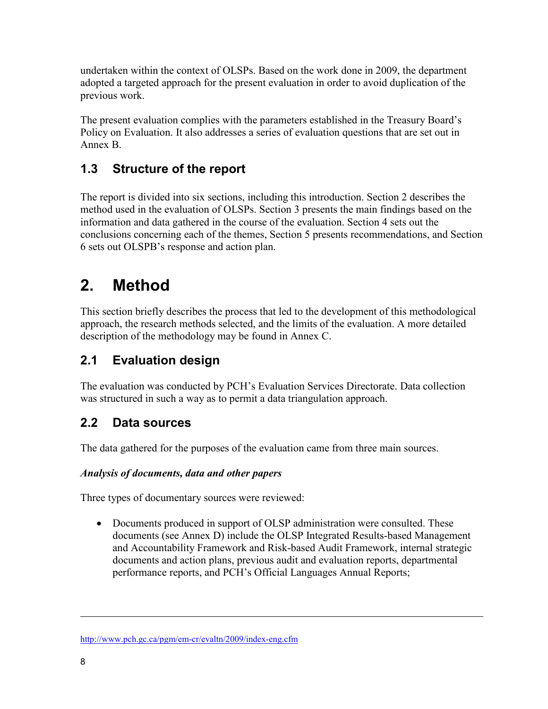undertaken within the context of OLSPs. Based on the work done in 2009, the department adopted a targeted approach for the present evaluation in order to avoid duplication of the previous work.

The present evaluation complies with the parameters established in the Treasury Board's Policy on Evaluation. It also addresses a series of evaluation questions that are set out in Annex B.

# <span id="page-13-0"></span>**1.3 Structure of the report**

The report is divided into six sections, including this introduction. Section 2 describes the method used in the evaluation of OLSPs. Section 3 presents the main findings based on the information and data gathered in the course of the evaluation. Section 4 sets out the conclusions concerning each of the themes, Section 5 presents recommendations, and Section 6 sets out OLSPB's response and action plan.

# <span id="page-13-1"></span>**2. Method**

This section briefly describes the process that led to the development of this methodological approach, the research methods selected, and the limits of the evaluation. A more detailed description of the methodology may be found in Annex C.

# <span id="page-13-2"></span>**2.1 Evaluation design**

The evaluation was conducted by PCH's Evaluation Services Directorate. Data collection was structured in such a way as to permit a data triangulation approach.

# <span id="page-13-3"></span>**2.2 Data sources**

The data gathered for the purposes of the evaluation came from three main sources.

## *Analysis of documents, data and other papers*

Three types of documentary sources were reviewed:

• Documents produced in support of OLSP administration were consulted. These documents (see Annex D) include the OLSP Integrated Results-based Management and Accountability Framework and Risk-based Audit Framework, internal strategic documents and action plans, previous audit and evaluation reports, departmental performance reports, and PCH's Official Languages Annual Reports;

<http://www.pch.gc.ca/pgm/em-cr/evaltn/2009/index-eng.cfm>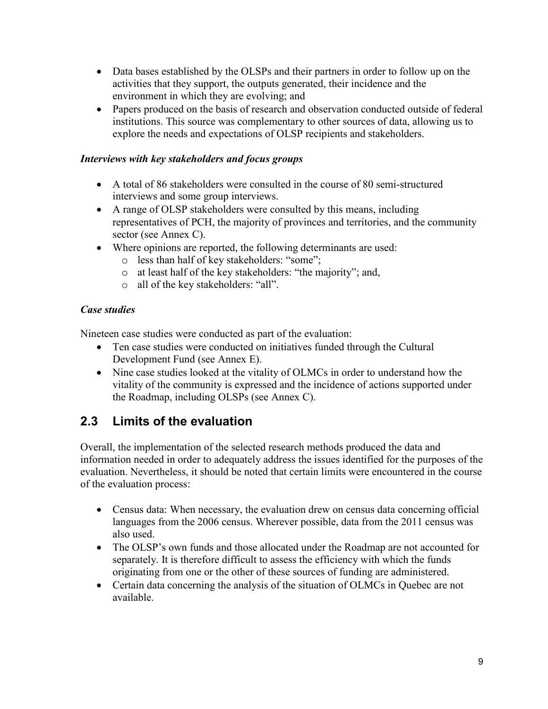- Data bases established by the OLSPs and their partners in order to follow up on the activities that they support, the outputs generated, their incidence and the environment in which they are evolving; and
- Papers produced on the basis of research and observation conducted outside of federal institutions. This source was complementary to other sources of data, allowing us to explore the needs and expectations of OLSP recipients and stakeholders.

### *Interviews with key stakeholders and focus groups*

- A total of 86 stakeholders were consulted in the course of 80 semi-structured interviews and some group interviews.
- A range of OLSP stakeholders were consulted by this means, including representatives of PCH, the majority of provinces and territories, and the community sector (see Annex C).
- Where opinions are reported, the following determinants are used:
	- o less than half of key stakeholders: "some";
	- o at least half of the key stakeholders: "the majority"; and,
	- o all of the key stakeholders: "all".

### *Case studies*

Nineteen case studies were conducted as part of the evaluation:

- Ten case studies were conducted on initiatives funded through the Cultural Development Fund (see Annex E).
- Nine case studies looked at the vitality of OLMCs in order to understand how the vitality of the community is expressed and the incidence of actions supported under the Roadmap, including OLSPs (see Annex C).

## <span id="page-14-0"></span>**2.3 Limits of the evaluation**

Overall, the implementation of the selected research methods produced the data and information needed in order to adequately address the issues identified for the purposes of the evaluation. Nevertheless, it should be noted that certain limits were encountered in the course of the evaluation process:

- Census data: When necessary, the evaluation drew on census data concerning official languages from the 2006 census. Wherever possible, data from the 2011 census was also used.
- The OLSP's own funds and those allocated under the Roadmap are not accounted for separately. It is therefore difficult to assess the efficiency with which the funds originating from one or the other of these sources of funding are administered.
- Certain data concerning the analysis of the situation of OLMCs in Quebec are not available.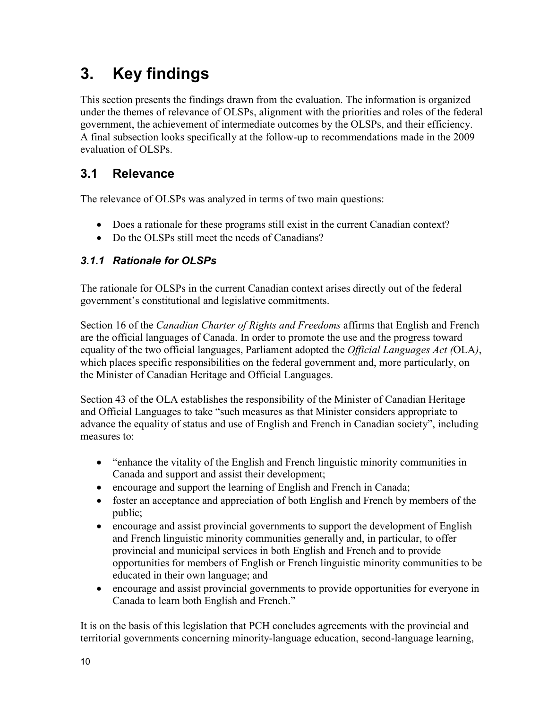# <span id="page-15-0"></span>**3. Key findings**

This section presents the findings drawn from the evaluation. The information is organized under the themes of relevance of OLSPs, alignment with the priorities and roles of the federal government, the achievement of intermediate outcomes by the OLSPs, and their efficiency. A final subsection looks specifically at the follow-up to recommendations made in the 2009 evaluation of OLSPs.

# <span id="page-15-1"></span>**3.1 Relevance**

The relevance of OLSPs was analyzed in terms of two main questions:

- Does a rationale for these programs still exist in the current Canadian context?
- Do the OLSPs still meet the needs of Canadians?

## <span id="page-15-2"></span>*3.1.1 Rationale for OLSPs*

The rationale for OLSPs in the current Canadian context arises directly out of the federal government's constitutional and legislative commitments.

Section 16 of the *Canadian Charter of Rights and Freedoms* affirms that English and French are the official languages of Canada. In order to promote the use and the progress toward equality of the two official languages, Parliament adopted the *Official Languages Act (*OLA*)*, which places specific responsibilities on the federal government and, more particularly, on the Minister of Canadian Heritage and Official Languages.

Section 43 of the OLA establishes the responsibility of the Minister of Canadian Heritage and Official Languages to take "such measures as that Minister considers appropriate to advance the equality of status and use of English and French in Canadian society", including measures to:

- "enhance the vitality of the English and French linguistic minority communities in Canada and support and assist their development;
- encourage and support the learning of English and French in Canada;
- foster an acceptance and appreciation of both English and French by members of the public;
- encourage and assist provincial governments to support the development of English and French linguistic minority communities generally and, in particular, to offer provincial and municipal services in both English and French and to provide opportunities for members of English or French linguistic minority communities to be educated in their own language; and
- encourage and assist provincial governments to provide opportunities for everyone in Canada to learn both English and French."

It is on the basis of this legislation that PCH concludes agreements with the provincial and territorial governments concerning minority-language education, second-language learning,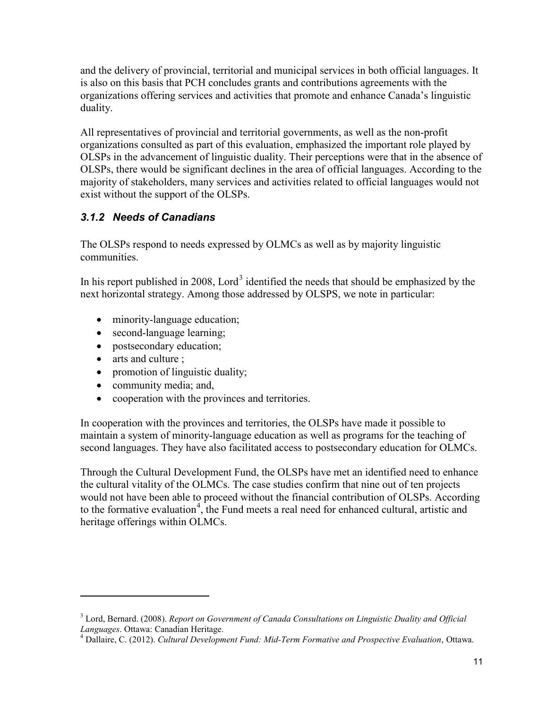and the delivery of provincial, territorial and municipal services in both official languages. It is also on this basis that PCH concludes grants and contributions agreements with the organizations offering services and activities that promote and enhance Canada's linguistic duality.

All representatives of provincial and territorial governments, as well as the non-profit organizations consulted as part of this evaluation, emphasized the important role played by OLSPs in the advancement of linguistic duality. Their perceptions were that in the absence of OLSPs, there would be significant declines in the area of official languages. According to the majority of stakeholders, many services and activities related to official languages would not exist without the support of the OLSPs.

## <span id="page-16-0"></span>*3.1.2 Needs of Canadians*

The OLSPs respond to needs expressed by OLMCs as well as by majority linguistic communities.

In his report published in 2008, Lord<sup>[3](#page-16-1)</sup> identified the needs that should be emphasized by the next horizontal strategy. Among those addressed by OLSPS, we note in particular:

- minority-language education;
- second-language learning;
- postsecondary education;
- arts and culture ;

 $\overline{a}$ 

- promotion of linguistic duality;
- community media; and,
- cooperation with the provinces and territories.

In cooperation with the provinces and territories, the OLSPs have made it possible to maintain a system of minority-language education as well as programs for the teaching of second languages. They have also facilitated access to postsecondary education for OLMCs.

Through the Cultural Development Fund, the OLSPs have met an identified need to enhance the cultural vitality of the OLMCs. The case studies confirm that nine out of ten projects would not have been able to proceed without the financial contribution of OLSPs. According to the formative evaluation<sup>[4](#page-16-2)</sup>, the Fund meets a real need for enhanced cultural, artistic and heritage offerings within OLMCs.

<span id="page-16-1"></span><sup>&</sup>lt;sup>3</sup> Lord, Bernard. (2008). *Report on Government of Canada Consultations on Linguistic Duality and Official Languages. Ottawa: Canadian Heritage.* 

<span id="page-16-2"></span><sup>&</sup>lt;sup>4</sup> Dallaire, C. (2012). *Cultural Development Fund: Mid-Term Formative and Prospective Evaluation*, Ottawa.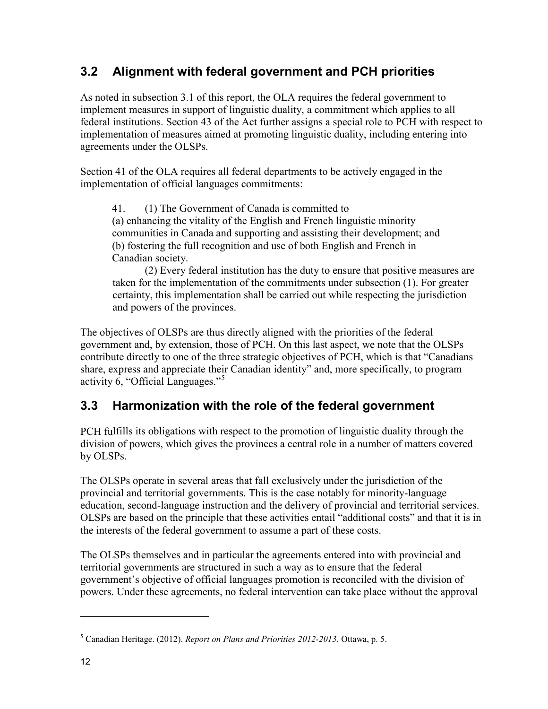# <span id="page-17-0"></span>**3.2 Alignment with federal government and PCH priorities**

As noted in subsection 3.1 of this report, the OLA requires the federal government to implement measures in support of linguistic duality, a commitment which applies to all federal institutions. Section 43 of the Act further assigns a special role to PCH with respect to implementation of measures aimed at promoting linguistic duality, including entering into agreements under the OLSPs.

Section 41 of the OLA requires all federal departments to be actively engaged in the implementation of official languages commitments:

41. (1) The Government of Canada is committed to (a) enhancing the vitality of the English and French linguistic minority communities in Canada and supporting and assisting their development; and (b) fostering the full recognition and use of both English and French in Canadian society.

(2) Every federal institution has the duty to ensure that positive measures are taken for the implementation of the commitments under subsection (1). For greater certainty, this implementation shall be carried out while respecting the jurisdiction and powers of the provinces.

The objectives of OLSPs are thus directly aligned with the priorities of the federal government and, by extension, those of PCH. On this last aspect, we note that the OLSPs contribute directly to one of the three strategic objectives of PCH, which is that "Canadians share, express and appreciate their Canadian identity" and, more specifically, to program activity 6, "Official Languages."<sup>[5](#page-17-2)</sup>

# <span id="page-17-1"></span>**3.3 Harmonization with the role of the federal government**

PCH fulfills its obligations with respect to the promotion of linguistic duality through the division of powers, which gives the provinces a central role in a number of matters covered by OLSPs.

The OLSPs operate in several areas that fall exclusively under the jurisdiction of the provincial and territorial governments. This is the case notably for minority-language education, second-language instruction and the delivery of provincial and territorial services. OLSPs are based on the principle that these activities entail "additional costs" and that it is in the interests of the federal government to assume a part of these costs.

The OLSPs themselves and in particular the agreements entered into with provincial and territorial governments are structured in such a way as to ensure that the federal government's objective of official languages promotion is reconciled with the division of powers. Under these agreements, no federal intervention can take place without the approval

<span id="page-17-2"></span><sup>5</sup> Canadian Heritage. (2012). *Report on Plans and Priorities 2012-2013*. Ottawa, p. 5.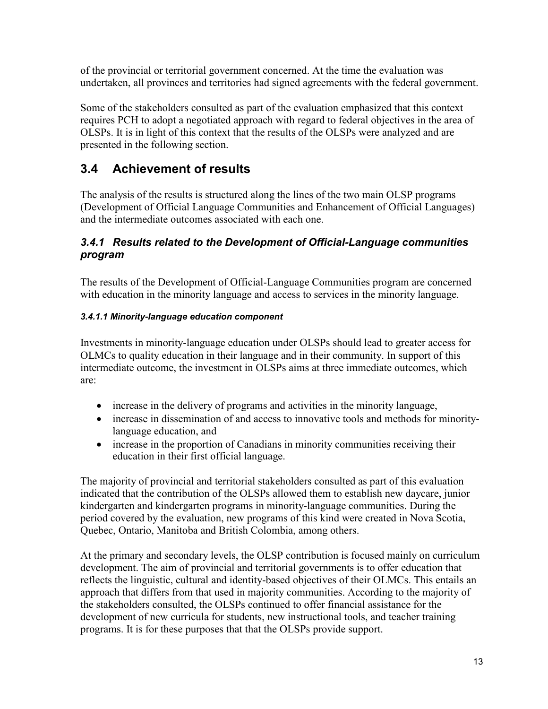of the provincial or territorial government concerned. At the time the evaluation was undertaken, all provinces and territories had signed agreements with the federal government.

Some of the stakeholders consulted as part of the evaluation emphasized that this context requires PCH to adopt a negotiated approach with regard to federal objectives in the area of OLSPs. It is in light of this context that the results of the OLSPs were analyzed and are presented in the following section.

# <span id="page-18-0"></span>**3.4 Achievement of results**

The analysis of the results is structured along the lines of the two main OLSP programs (Development of Official Language Communities and Enhancement of Official Languages) and the intermediate outcomes associated with each one.

### <span id="page-18-1"></span>*3.4.1 Results related to the Development of Official-Language communities program*

The results of the Development of Official-Language Communities program are concerned with education in the minority language and access to services in the minority language.

### <span id="page-18-2"></span>*3.4.1.1 Minority-language education component*

Investments in minority-language education under OLSPs should lead to greater access for OLMCs to quality education in their language and in their community. In support of this intermediate outcome, the investment in OLSPs aims at three immediate outcomes, which are:

- increase in the delivery of programs and activities in the minority language,
- increase in dissemination of and access to innovative tools and methods for minoritylanguage education, and
- increase in the proportion of Canadians in minority communities receiving their education in their first official language.

The majority of provincial and territorial stakeholders consulted as part of this evaluation indicated that the contribution of the OLSPs allowed them to establish new daycare, junior kindergarten and kindergarten programs in minority-language communities. During the period covered by the evaluation, new programs of this kind were created in Nova Scotia, Quebec, Ontario, Manitoba and British Colombia, among others.

At the primary and secondary levels, the OLSP contribution is focused mainly on curriculum development. The aim of provincial and territorial governments is to offer education that reflects the linguistic, cultural and identity-based objectives of their OLMCs. This entails an approach that differs from that used in majority communities. According to the majority of the stakeholders consulted, the OLSPs continued to offer financial assistance for the development of new curricula for students, new instructional tools, and teacher training programs. It is for these purposes that that the OLSPs provide support.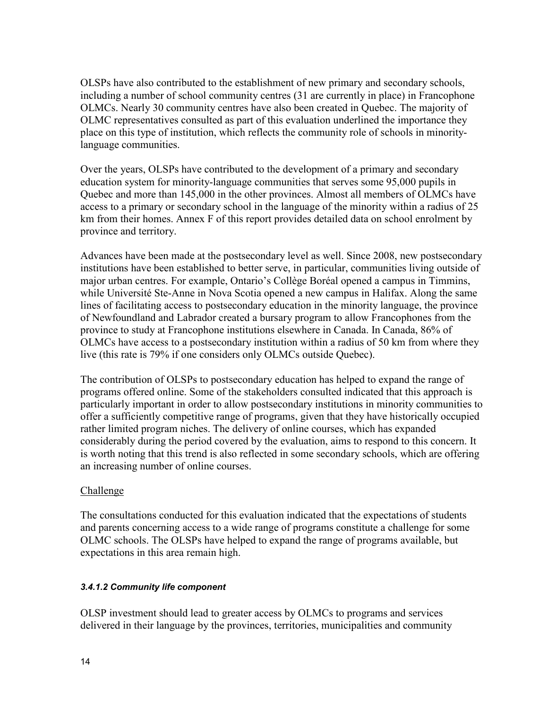OLSPs have also contributed to the establishment of new primary and secondary schools, including a number of school community centres (31 are currently in place) in Francophone OLMCs. Nearly 30 community centres have also been created in Quebec. The majority of OLMC representatives consulted as part of this evaluation underlined the importance they place on this type of institution, which reflects the community role of schools in minoritylanguage communities.

Over the years, OLSPs have contributed to the development of a primary and secondary education system for minority-language communities that serves some 95,000 pupils in Quebec and more than 145,000 in the other provinces. Almost all members of OLMCs have access to a primary or secondary school in the language of the minority within a radius of 25 km from their homes. Annex F of this report provides detailed data on school enrolment by province and territory.

Advances have been made at the postsecondary level as well. Since 2008, new postsecondary institutions have been established to better serve, in particular, communities living outside of major urban centres. For example, Ontario's Collège Boréal opened a campus in Timmins, while Université Ste-Anne in Nova Scotia opened a new campus in Halifax. Along the same lines of facilitating access to postsecondary education in the minority language, the province of Newfoundland and Labrador created a bursary program to allow Francophones from the province to study at Francophone institutions elsewhere in Canada. In Canada, 86% of OLMCs have access to a postsecondary institution within a radius of 50 km from where they live (this rate is 79% if one considers only OLMCs outside Quebec).

The contribution of OLSPs to postsecondary education has helped to expand the range of programs offered online. Some of the stakeholders consulted indicated that this approach is particularly important in order to allow postsecondary institutions in minority communities to offer a sufficiently competitive range of programs, given that they have historically occupied rather limited program niches. The delivery of online courses, which has expanded considerably during the period covered by the evaluation, aims to respond to this concern. It is worth noting that this trend is also reflected in some secondary schools, which are offering an increasing number of online courses.

### Challenge

The consultations conducted for this evaluation indicated that the expectations of students and parents concerning access to a wide range of programs constitute a challenge for some OLMC schools. The OLSPs have helped to expand the range of programs available, but expectations in this area remain high.

#### <span id="page-19-0"></span>*3.4.1.2 Community life component*

OLSP investment should lead to greater access by OLMCs to programs and services delivered in their language by the provinces, territories, municipalities and community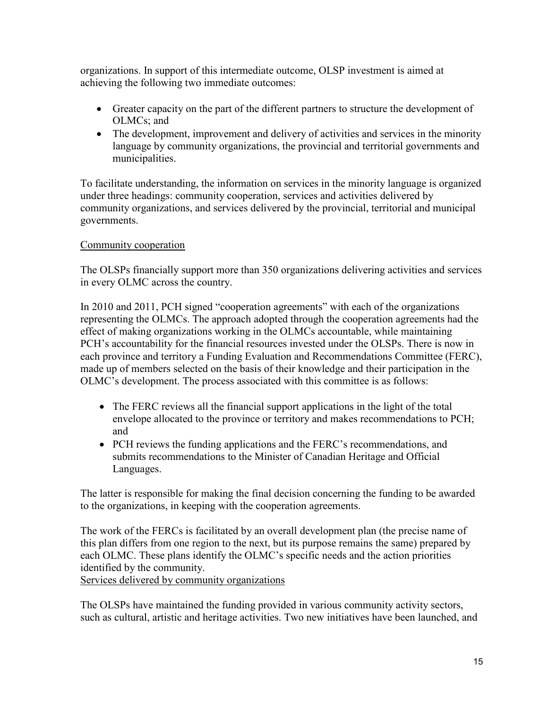organizations. In support of this intermediate outcome, OLSP investment is aimed at achieving the following two immediate outcomes:

- Greater capacity on the part of the different partners to structure the development of OLMCs; and
- The development, improvement and delivery of activities and services in the minority language by community organizations, the provincial and territorial governments and municipalities.

To facilitate understanding, the information on services in the minority language is organized under three headings: community cooperation, services and activities delivered by community organizations, and services delivered by the provincial, territorial and municipal governments.

### Community cooperation

The OLSPs financially support more than 350 organizations delivering activities and services in every OLMC across the country.

In 2010 and 2011, PCH signed "cooperation agreements" with each of the organizations representing the OLMCs. The approach adopted through the cooperation agreements had the effect of making organizations working in the OLMCs accountable, while maintaining PCH's accountability for the financial resources invested under the OLSPs. There is now in each province and territory a Funding Evaluation and Recommendations Committee (FERC), made up of members selected on the basis of their knowledge and their participation in the OLMC's development. The process associated with this committee is as follows:

- The FERC reviews all the financial support applications in the light of the total envelope allocated to the province or territory and makes recommendations to PCH; and
- PCH reviews the funding applications and the FERC's recommendations, and submits recommendations to the Minister of Canadian Heritage and Official Languages.

The latter is responsible for making the final decision concerning the funding to be awarded to the organizations, in keeping with the cooperation agreements.

The work of the FERCs is facilitated by an overall development plan (the precise name of this plan differs from one region to the next, but its purpose remains the same) prepared by each OLMC. These plans identify the OLMC's specific needs and the action priorities identified by the community.

Services delivered by community organizations

The OLSPs have maintained the funding provided in various community activity sectors, such as cultural, artistic and heritage activities. Two new initiatives have been launched, and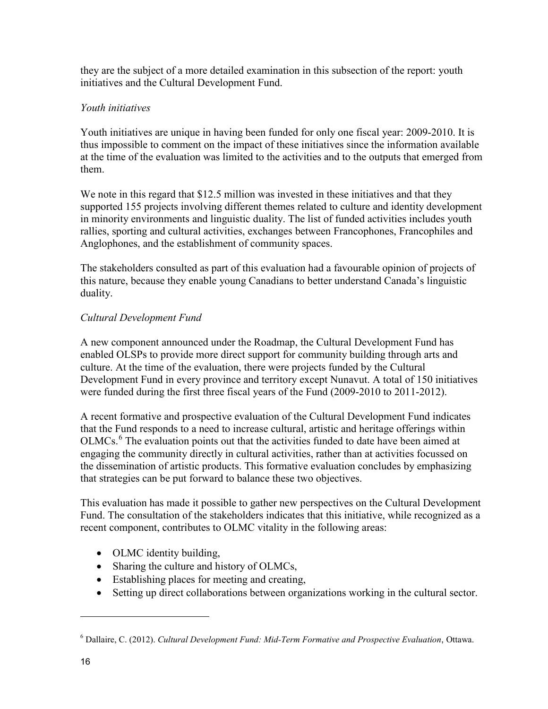they are the subject of a more detailed examination in this subsection of the report: youth initiatives and the Cultural Development Fund.

### *Youth initiatives*

Youth initiatives are unique in having been funded for only one fiscal year: 2009-2010. It is thus impossible to comment on the impact of these initiatives since the information available at the time of the evaluation was limited to the activities and to the outputs that emerged from them.

We note in this regard that \$12.5 million was invested in these initiatives and that they supported 155 projects involving different themes related to culture and identity development in minority environments and linguistic duality. The list of funded activities includes youth rallies, sporting and cultural activities, exchanges between Francophones, Francophiles and Anglophones, and the establishment of community spaces.

The stakeholders consulted as part of this evaluation had a favourable opinion of projects of this nature, because they enable young Canadians to better understand Canada's linguistic duality.

## *Cultural Development Fund*

A new component announced under the Roadmap, the Cultural Development Fund has enabled OLSPs to provide more direct support for community building through arts and culture. At the time of the evaluation, there were projects funded by the Cultural Development Fund in every province and territory except Nunavut. A total of 150 initiatives were funded during the first three fiscal years of the Fund (2009-2010 to 2011-2012).

A recent formative and prospective evaluation of the Cultural Development Fund indicates that the Fund responds to a need to increase cultural, artistic and heritage offerings within OLMCs.<sup>[6](#page-21-0)</sup> The evaluation points out that the activities funded to date have been aimed at engaging the community directly in cultural activities, rather than at activities focussed on the dissemination of artistic products. This formative evaluation concludes by emphasizing that strategies can be put forward to balance these two objectives.

This evaluation has made it possible to gather new perspectives on the Cultural Development Fund. The consultation of the stakeholders indicates that this initiative, while recognized as a recent component, contributes to OLMC vitality in the following areas:

- OLMC identity building,
- Sharing the culture and history of OLMCs,
- Establishing places for meeting and creating,
- Setting up direct collaborations between organizations working in the cultural sector.

<span id="page-21-0"></span><sup>6</sup> Dallaire, C. (2012). *Cultural Development Fund: Mid-Term Formative and Prospective Evaluation*, Ottawa.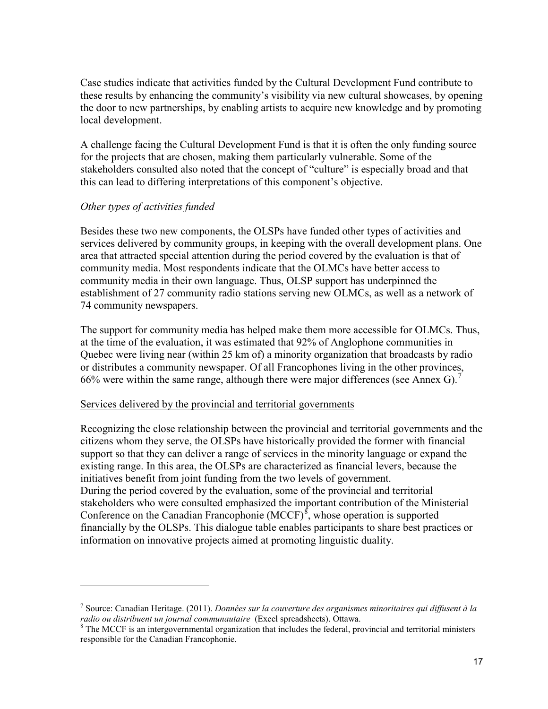Case studies indicate that activities funded by the Cultural Development Fund contribute to these results by enhancing the community's visibility via new cultural showcases, by opening the door to new partnerships, by enabling artists to acquire new knowledge and by promoting local development.

A challenge facing the Cultural Development Fund is that it is often the only funding source for the projects that are chosen, making them particularly vulnerable. Some of the stakeholders consulted also noted that the concept of "culture" is especially broad and that this can lead to differing interpretations of this component's objective.

### *Other types of activities funded*

 $\overline{a}$ 

Besides these two new components, the OLSPs have funded other types of activities and services delivered by community groups, in keeping with the overall development plans. One area that attracted special attention during the period covered by the evaluation is that of community media. Most respondents indicate that the OLMCs have better access to community media in their own language. Thus, OLSP support has underpinned the establishment of 27 community radio stations serving new OLMCs, as well as a network of 74 community newspapers.

The support for community media has helped make them more accessible for OLMCs. Thus, at the time of the evaluation, it was estimated that 92% of Anglophone communities in Quebec were living near (within 25 km of) a minority organization that broadcasts by radio or distributes a community newspaper. Of all Francophones living in the other provinces, 66% were within the same range, although there were major differences (see Annex G).<sup>[7](#page-22-0)</sup>

#### Services delivered by the provincial and territorial governments

Recognizing the close relationship between the provincial and territorial governments and the citizens whom they serve, the OLSPs have historically provided the former with financial support so that they can deliver a range of services in the minority language or expand the existing range. In this area, the OLSPs are characterized as financial levers, because the initiatives benefit from joint funding from the two levels of government. During the period covered by the evaluation, some of the provincial and territorial stakeholders who were consulted emphasized the important contribution of the Ministerial Conference on the Canadian Francophonie  $(MCCF)^8$  $(MCCF)^8$ , whose operation is supported financially by the OLSPs. This dialogue table enables participants to share best practices or information on innovative projects aimed at promoting linguistic duality.

<span id="page-22-0"></span><sup>7</sup> Source: Canadian Heritage. (2011). *Données sur la couverture des organismes minoritaires qui diffusent à la radio ou distribuent un journal communautaire* (Excel spreadsheets). Ottawa.

<span id="page-22-1"></span><sup>&</sup>lt;sup>8</sup> The MCCF is an intergovernmental organization that includes the federal, provincial and territorial ministers responsible for the Canadian Francophonie.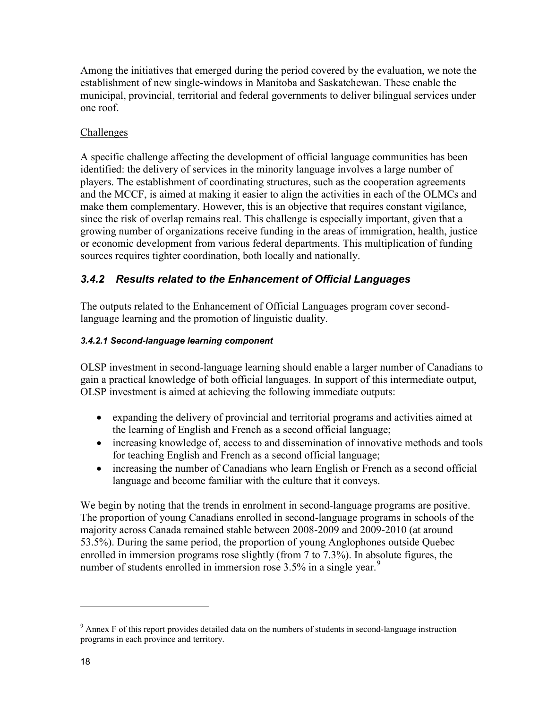Among the initiatives that emerged during the period covered by the evaluation, we note the establishment of new single-windows in Manitoba and Saskatchewan. These enable the municipal, provincial, territorial and federal governments to deliver bilingual services under one roof.

### Challenges

A specific challenge affecting the development of official language communities has been identified: the delivery of services in the minority language involves a large number of players. The establishment of coordinating structures, such as the cooperation agreements and the MCCF, is aimed at making it easier to align the activities in each of the OLMCs and make them complementary. However, this is an objective that requires constant vigilance, since the risk of overlap remains real. This challenge is especially important, given that a growing number of organizations receive funding in the areas of immigration, health, justice or economic development from various federal departments. This multiplication of funding sources requires tighter coordination, both locally and nationally.

### <span id="page-23-0"></span>*3.4.2 Results related to the Enhancement of Official Languages*

The outputs related to the Enhancement of Official Languages program cover secondlanguage learning and the promotion of linguistic duality.

### <span id="page-23-1"></span>*3.4.2.1 Second-language learning component*

OLSP investment in second-language learning should enable a larger number of Canadians to gain a practical knowledge of both official languages. In support of this intermediate output, OLSP investment is aimed at achieving the following immediate outputs:

- expanding the delivery of provincial and territorial programs and activities aimed at the learning of English and French as a second official language;
- increasing knowledge of, access to and dissemination of innovative methods and tools for teaching English and French as a second official language;
- increasing the number of Canadians who learn English or French as a second official language and become familiar with the culture that it conveys.

We begin by noting that the trends in enrolment in second-language programs are positive. The proportion of young Canadians enrolled in second-language programs in schools of the majority across Canada remained stable between 2008-2009 and 2009-2010 (at around 53.5%). During the same period, the proportion of young Anglophones outside Quebec enrolled in immersion programs rose slightly (from 7 to 7.3%). In absolute figures, the number of students enrolled in immersion rose  $3.5\%$  in a single year.<sup>[9](#page-23-2)</sup>

<span id="page-23-2"></span> $9<sup>9</sup>$  Annex F of this report provides detailed data on the numbers of students in second-language instruction programs in each province and territory.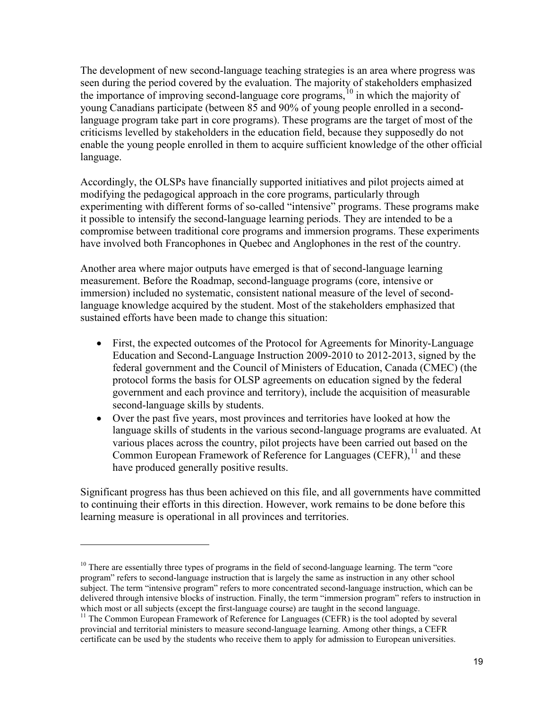The development of new second-language teaching strategies is an area where progress was seen during the period covered by the evaluation. The majority of stakeholders emphasized the importance of improving second-language core programs,<sup>10</sup> in which the majority of young Canadians participate (between 85 and 90% of young people enrolled in a secondlanguage program take part in core programs). These programs are the target of most of the criticisms levelled by stakeholders in the education field, because they supposedly do not enable the young people enrolled in them to acquire sufficient knowledge of the other official language.

Accordingly, the OLSPs have financially supported initiatives and pilot projects aimed at modifying the pedagogical approach in the core programs, particularly through experimenting with different forms of so-called "intensive" programs. These programs make it possible to intensify the second-language learning periods. They are intended to be a compromise between traditional core programs and immersion programs. These experiments have involved both Francophones in Quebec and Anglophones in the rest of the country.

Another area where major outputs have emerged is that of second-language learning measurement. Before the Roadmap, second-language programs (core, intensive or immersion) included no systematic, consistent national measure of the level of secondlanguage knowledge acquired by the student. Most of the stakeholders emphasized that sustained efforts have been made to change this situation:

- First, the expected outcomes of the Protocol for Agreements for Minority-Language Education and Second-Language Instruction 2009-2010 to 2012-2013, signed by the federal government and the Council of Ministers of Education, Canada (CMEC) (the protocol forms the basis for OLSP agreements on education signed by the federal government and each province and territory), include the acquisition of measurable second-language skills by students.
- Over the past five years, most provinces and territories have looked at how the language skills of students in the various second-language programs are evaluated. At various places across the country, pilot projects have been carried out based on the Common European Framework of Reference for Languages (CEFR),  $^{11}$  $^{11}$  $^{11}$  and these have produced generally positive results.

Significant progress has thus been achieved on this file, and all governments have committed to continuing their efforts in this direction. However, work remains to be done before this learning measure is operational in all provinces and territories.

<span id="page-24-0"></span> $10$  There are essentially three types of programs in the field of second-language learning. The term "core" program" refers to second-language instruction that is largely the same as instruction in any other school subject. The term "intensive program" refers to more concentrated second-language instruction, which can be delivered through intensive blocks of instruction. Finally, the term "immersion program" refers to instruction in which most or all subjects (except the first-language course) are taught in the second language.<br><sup>11</sup> The Common European Framework of Reference for Languages (CEFR) is the tool adopted by several

<span id="page-24-1"></span>provincial and territorial ministers to measure second-language learning. Among other things, a CEFR certificate can be used by the students who receive them to apply for admission to European universities.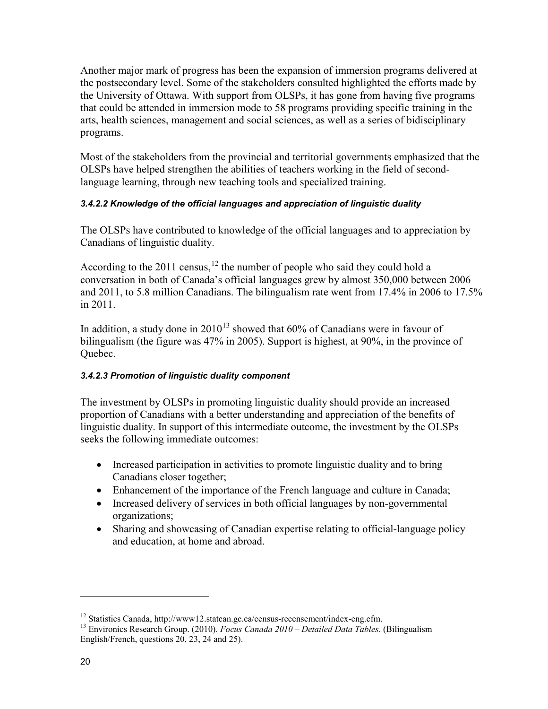Another major mark of progress has been the expansion of immersion programs delivered at the postsecondary level. Some of the stakeholders consulted highlighted the efforts made by the University of Ottawa. With support from OLSPs, it has gone from having five programs that could be attended in immersion mode to 58 programs providing specific training in the arts, health sciences, management and social sciences, as well as a series of bidisciplinary programs.

Most of the stakeholders from the provincial and territorial governments emphasized that the OLSPs have helped strengthen the abilities of teachers working in the field of secondlanguage learning, through new teaching tools and specialized training.

### <span id="page-25-0"></span>*3.4.2.2 Knowledge of the official languages and appreciation of linguistic duality*

The OLSPs have contributed to knowledge of the official languages and to appreciation by Canadians of linguistic duality.

According to the 2011 census,  $^{12}$  $^{12}$  $^{12}$  the number of people who said they could hold a conversation in both of Canada's official languages grew by almost 350,000 between 2006 and 2011, to 5.8 million Canadians. The bilingualism rate went from 17.4% in 2006 to 17.5% in 2011.

In addition, a study done in  $2010^{13}$  showed that 60% of Canadians were in favour of bilingualism (the figure was 47% in 2005). Support is highest, at 90%, in the province of Quebec.

### <span id="page-25-1"></span>*3.4.2.3 Promotion of linguistic duality component*

The investment by OLSPs in promoting linguistic duality should provide an increased proportion of Canadians with a better understanding and appreciation of the benefits of linguistic duality. In support of this intermediate outcome, the investment by the OLSPs seeks the following immediate outcomes:

- Increased participation in activities to promote linguistic duality and to bring Canadians closer together;
- Enhancement of the importance of the French language and culture in Canada;
- Increased delivery of services in both official languages by non-governmental organizations;
- Sharing and showcasing of Canadian expertise relating to official-language policy and education, at home and abroad.

<span id="page-25-3"></span><span id="page-25-2"></span><sup>&</sup>lt;sup>12</sup> Statistics Canada, http://www12.statcan.gc.ca/census-recensement/index-eng.cfm.<br><sup>13</sup> Environics Research Group. (2010). *Focus Canada 2010 – Detailed Data Tables*. (Bilingualism English/French, questions 20, 23, 24 and 25).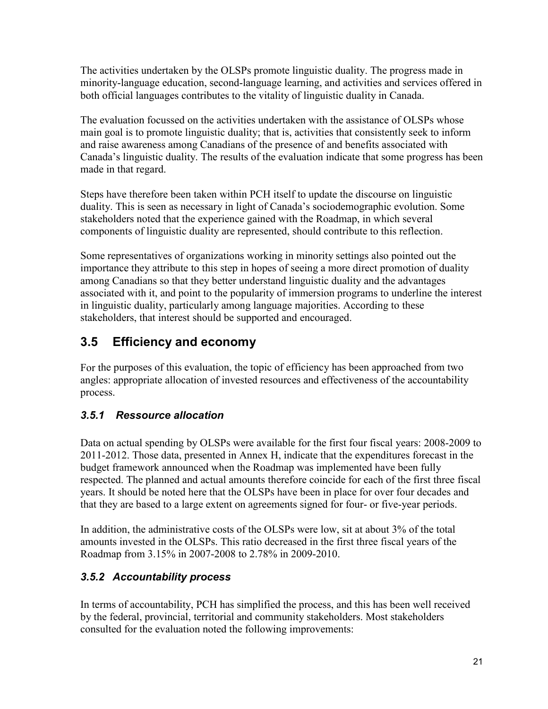The activities undertaken by the OLSPs promote linguistic duality. The progress made in minority-language education, second-language learning, and activities and services offered in both official languages contributes to the vitality of linguistic duality in Canada.

The evaluation focussed on the activities undertaken with the assistance of OLSPs whose main goal is to promote linguistic duality; that is, activities that consistently seek to inform and raise awareness among Canadians of the presence of and benefits associated with Canada's linguistic duality. The results of the evaluation indicate that some progress has been made in that regard.

Steps have therefore been taken within PCH itself to update the discourse on linguistic duality. This is seen as necessary in light of Canada's sociodemographic evolution. Some stakeholders noted that the experience gained with the Roadmap, in which several components of linguistic duality are represented, should contribute to this reflection.

Some representatives of organizations working in minority settings also pointed out the importance they attribute to this step in hopes of seeing a more direct promotion of duality among Canadians so that they better understand linguistic duality and the advantages associated with it, and point to the popularity of immersion programs to underline the interest in linguistic duality, particularly among language majorities. According to these stakeholders, that interest should be supported and encouraged.

# <span id="page-26-0"></span>**3.5 Efficiency and economy**

For the purposes of this evaluation, the topic of efficiency has been approached from two angles: appropriate allocation of invested resources and effectiveness of the accountability process.

## <span id="page-26-1"></span>*3.5.1 Ressource allocation*

Data on actual spending by OLSPs were available for the first four fiscal years: 2008-2009 to 2011-2012. Those data, presented in Annex H, indicate that the expenditures forecast in the budget framework announced when the Roadmap was implemented have been fully respected. The planned and actual amounts therefore coincide for each of the first three fiscal years. It should be noted here that the OLSPs have been in place for over four decades and that they are based to a large extent on agreements signed for four- or five-year periods.

In addition, the administrative costs of the OLSPs were low, sit at about 3% of the total amounts invested in the OLSPs. This ratio decreased in the first three fiscal years of the Roadmap from 3.15% in 2007-2008 to 2.78% in 2009-2010.

## <span id="page-26-2"></span>*3.5.2 Accountability process*

In terms of accountability, PCH has simplified the process, and this has been well received by the federal, provincial, territorial and community stakeholders. Most stakeholders consulted for the evaluation noted the following improvements: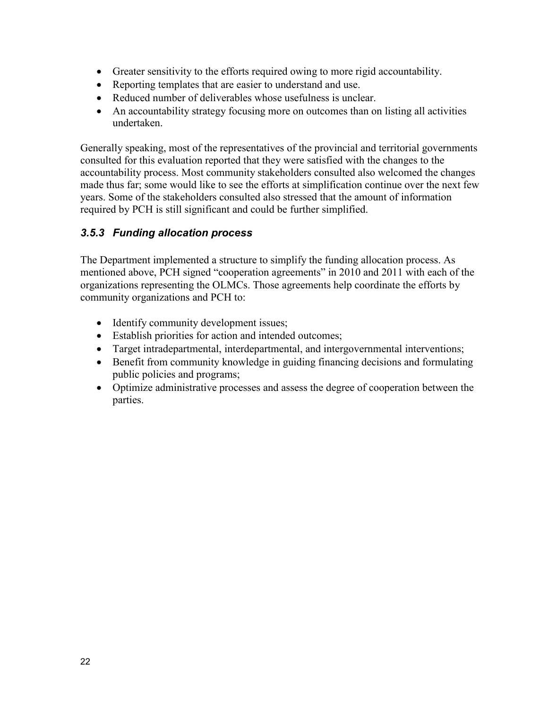- Greater sensitivity to the efforts required owing to more rigid accountability.
- Reporting templates that are easier to understand and use.
- Reduced number of deliverables whose usefulness is unclear.
- An accountability strategy focusing more on outcomes than on listing all activities undertaken.

Generally speaking, most of the representatives of the provincial and territorial governments consulted for this evaluation reported that they were satisfied with the changes to the accountability process. Most community stakeholders consulted also welcomed the changes made thus far; some would like to see the efforts at simplification continue over the next few years. Some of the stakeholders consulted also stressed that the amount of information required by PCH is still significant and could be further simplified.

### <span id="page-27-0"></span>*3.5.3 Funding allocation process*

The Department implemented a structure to simplify the funding allocation process. As mentioned above, PCH signed "cooperation agreements" in 2010 and 2011 with each of the organizations representing the OLMCs. Those agreements help coordinate the efforts by community organizations and PCH to:

- Identify community development issues;
- Establish priorities for action and intended outcomes;
- Target intradepartmental, interdepartmental, and intergovernmental interventions;
- Benefit from community knowledge in guiding financing decisions and formulating public policies and programs;
- Optimize administrative processes and assess the degree of cooperation between the parties.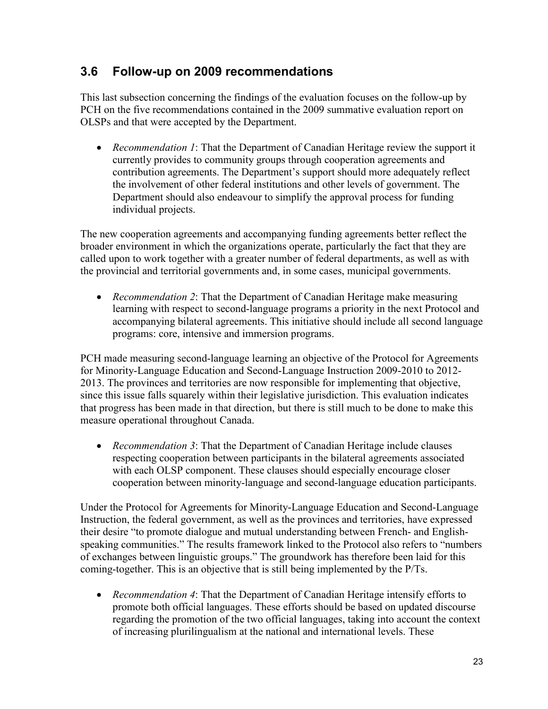## <span id="page-28-0"></span>**3.6 Follow-up on 2009 recommendations**

This last subsection concerning the findings of the evaluation focuses on the follow-up by PCH on the five recommendations contained in the 2009 summative evaluation report on OLSPs and that were accepted by the Department.

• *Recommendation 1*: That the Department of Canadian Heritage review the support it currently provides to community groups through cooperation agreements and contribution agreements. The Department's support should more adequately reflect the involvement of other federal institutions and other levels of government. The Department should also endeavour to simplify the approval process for funding individual projects.

The new cooperation agreements and accompanying funding agreements better reflect the broader environment in which the organizations operate, particularly the fact that they are called upon to work together with a greater number of federal departments, as well as with the provincial and territorial governments and, in some cases, municipal governments.

• *Recommendation 2*: That the Department of Canadian Heritage make measuring learning with respect to second-language programs a priority in the next Protocol and accompanying bilateral agreements. This initiative should include all second language programs: core, intensive and immersion programs.

PCH made measuring second-language learning an objective of the Protocol for Agreements for Minority-Language Education and Second-Language Instruction 2009-2010 to 2012- 2013. The provinces and territories are now responsible for implementing that objective, since this issue falls squarely within their legislative jurisdiction. This evaluation indicates that progress has been made in that direction, but there is still much to be done to make this measure operational throughout Canada.

• *Recommendation 3*: That the Department of Canadian Heritage include clauses respecting cooperation between participants in the bilateral agreements associated with each OLSP component. These clauses should especially encourage closer cooperation between minority-language and second-language education participants.

Under the Protocol for Agreements for Minority-Language Education and Second-Language Instruction, the federal government, as well as the provinces and territories, have expressed their desire "to promote dialogue and mutual understanding between French- and Englishspeaking communities." The results framework linked to the Protocol also refers to "numbers of exchanges between linguistic groups." The groundwork has therefore been laid for this coming-together. This is an objective that is still being implemented by the P/Ts.

• *Recommendation 4*: That the Department of Canadian Heritage intensify efforts to promote both official languages. These efforts should be based on updated discourse regarding the promotion of the two official languages, taking into account the context of increasing plurilingualism at the national and international levels. These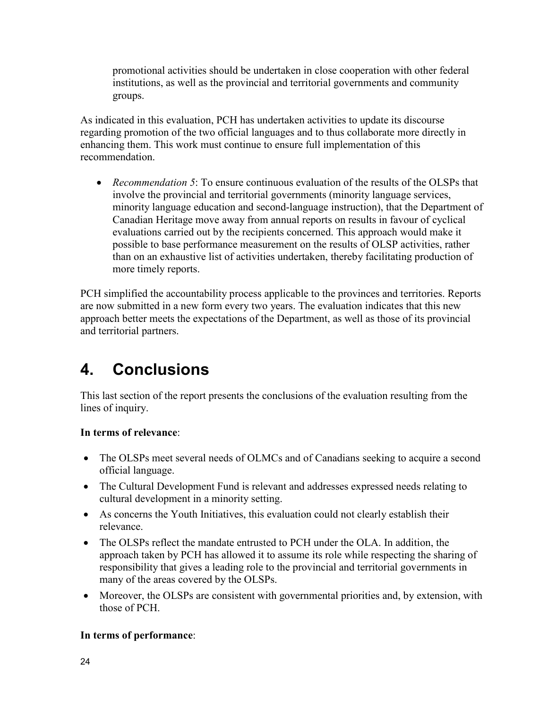promotional activities should be undertaken in close cooperation with other federal institutions, as well as the provincial and territorial governments and community groups.

As indicated in this evaluation, PCH has undertaken activities to update its discourse regarding promotion of the two official languages and to thus collaborate more directly in enhancing them. This work must continue to ensure full implementation of this recommendation.

• *Recommendation 5*: To ensure continuous evaluation of the results of the OLSPs that involve the provincial and territorial governments (minority language services, minority language education and second-language instruction), that the Department of Canadian Heritage move away from annual reports on results in favour of cyclical evaluations carried out by the recipients concerned. This approach would make it possible to base performance measurement on the results of OLSP activities, rather than on an exhaustive list of activities undertaken, thereby facilitating production of more timely reports.

PCH simplified the accountability process applicable to the provinces and territories. Reports are now submitted in a new form every two years. The evaluation indicates that this new approach better meets the expectations of the Department, as well as those of its provincial and territorial partners.

# <span id="page-29-0"></span>**4. Conclusions**

This last section of the report presents the conclusions of the evaluation resulting from the lines of inquiry.

## **In terms of relevance**:

- The OLSPs meet several needs of OLMCs and of Canadians seeking to acquire a second official language.
- The Cultural Development Fund is relevant and addresses expressed needs relating to cultural development in a minority setting.
- As concerns the Youth Initiatives, this evaluation could not clearly establish their relevance.
- The OLSPs reflect the mandate entrusted to PCH under the OLA. In addition, the approach taken by PCH has allowed it to assume its role while respecting the sharing of responsibility that gives a leading role to the provincial and territorial governments in many of the areas covered by the OLSPs.
- Moreover, the OLSPs are consistent with governmental priorities and, by extension, with those of PCH.

## **In terms of performance**: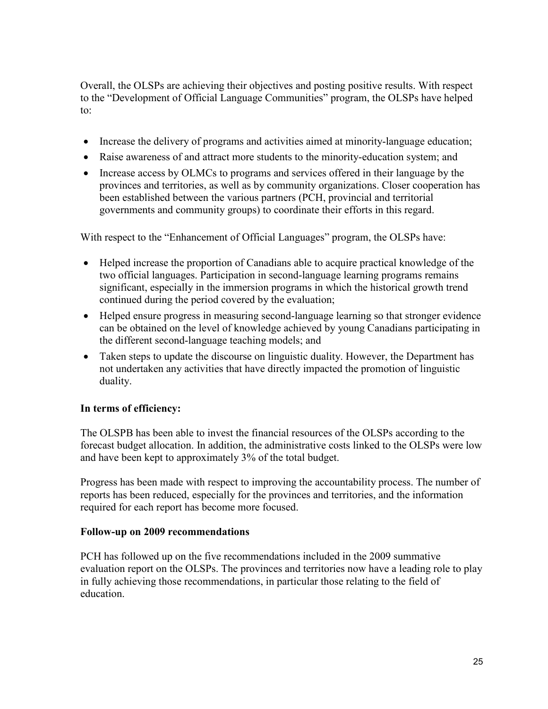Overall, the OLSPs are achieving their objectives and posting positive results. With respect to the "Development of Official Language Communities" program, the OLSPs have helped to:

- Increase the delivery of programs and activities aimed at minority-language education;
- Raise awareness of and attract more students to the minority-education system; and
- Increase access by OLMCs to programs and services offered in their language by the provinces and territories, as well as by community organizations. Closer cooperation has been established between the various partners (PCH, provincial and territorial governments and community groups) to coordinate their efforts in this regard.

With respect to the "Enhancement of Official Languages" program, the OLSPs have:

- Helped increase the proportion of Canadians able to acquire practical knowledge of the two official languages. Participation in second-language learning programs remains significant, especially in the immersion programs in which the historical growth trend continued during the period covered by the evaluation;
- Helped ensure progress in measuring second-language learning so that stronger evidence can be obtained on the level of knowledge achieved by young Canadians participating in the different second-language teaching models; and
- Taken steps to update the discourse on linguistic duality. However, the Department has not undertaken any activities that have directly impacted the promotion of linguistic duality.

### **In terms of efficiency:**

The OLSPB has been able to invest the financial resources of the OLSPs according to the forecast budget allocation. In addition, the administrative costs linked to the OLSPs were low and have been kept to approximately 3% of the total budget.

Progress has been made with respect to improving the accountability process. The number of reports has been reduced, especially for the provinces and territories, and the information required for each report has become more focused.

#### **Follow-up on 2009 recommendations**

PCH has followed up on the five recommendations included in the 2009 summative evaluation report on the OLSPs. The provinces and territories now have a leading role to play in fully achieving those recommendations, in particular those relating to the field of education.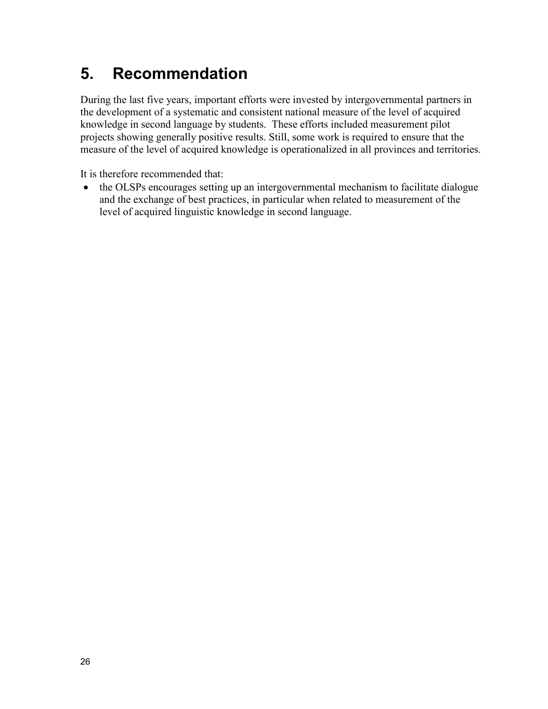# <span id="page-31-0"></span>**5. Recommendation**

During the last five years, important efforts were invested by intergovernmental partners in the development of a systematic and consistent national measure of the level of acquired knowledge in second language by students. These efforts included measurement pilot projects showing generally positive results. Still, some work is required to ensure that the measure of the level of acquired knowledge is operationalized in all provinces and territories.

It is therefore recommended that:

• the OLSPs encourages setting up an intergovernmental mechanism to facilitate dialogue and the exchange of best practices, in particular when related to measurement of the level of acquired linguistic knowledge in second language.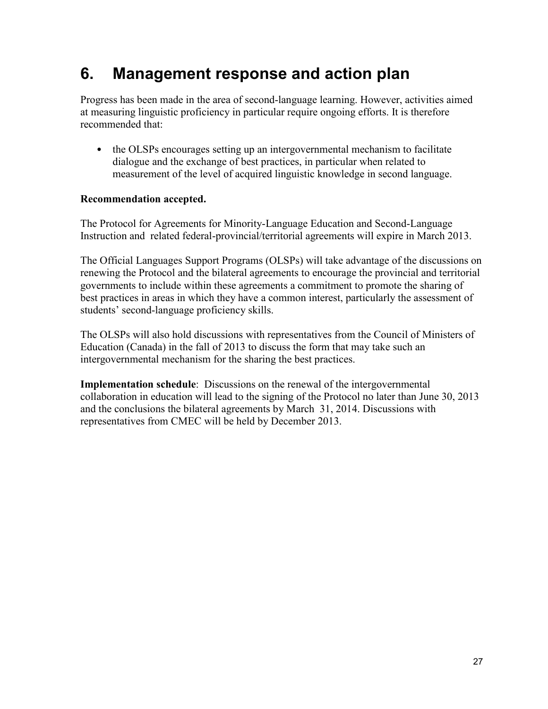# <span id="page-32-0"></span>**6. Management response and action plan**

Progress has been made in the area of second-language learning. However, activities aimed at measuring linguistic proficiency in particular require ongoing efforts. It is therefore recommended that:

• the OLSPs encourages setting up an intergovernmental mechanism to facilitate dialogue and the exchange of best practices, in particular when related to measurement of the level of acquired linguistic knowledge in second language.

### **Recommendation accepted.**

The Protocol for Agreements for Minority-Language Education and Second-Language Instruction and related federal-provincial/territorial agreements will expire in March 2013.

The Official Languages Support Programs (OLSPs) will take advantage of the discussions on renewing the Protocol and the bilateral agreements to encourage the provincial and territorial governments to include within these agreements a commitment to promote the sharing of best practices in areas in which they have a common interest, particularly the assessment of students' second-language proficiency skills.

The OLSPs will also hold discussions with representatives from the Council of Ministers of Education (Canada) in the fall of 2013 to discuss the form that may take such an intergovernmental mechanism for the sharing the best practices.

**Implementation schedule**: Discussions on the renewal of the intergovernmental collaboration in education will lead to the signing of the Protocol no later than June 30, 2013 and the conclusions the bilateral agreements by March 31, 2014. Discussions with representatives from CMEC will be held by December 2013.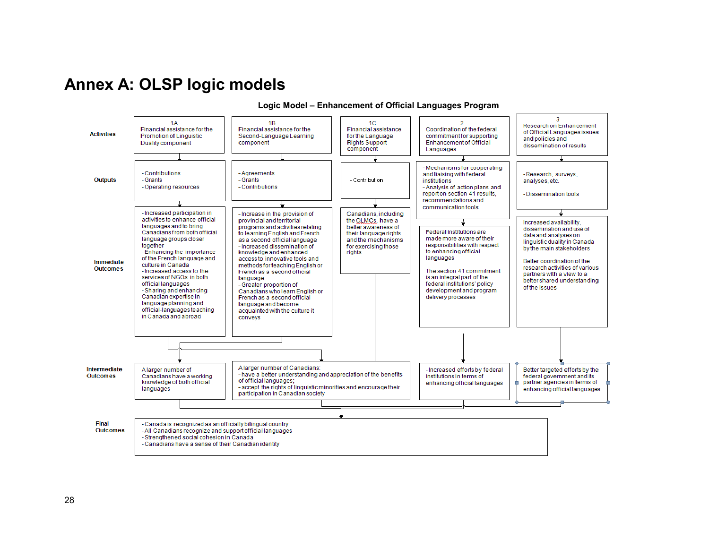# **Annex A: OLSP logic models**

<span id="page-33-0"></span>

#### **Logic Model – Enhancement of Official Languages Program**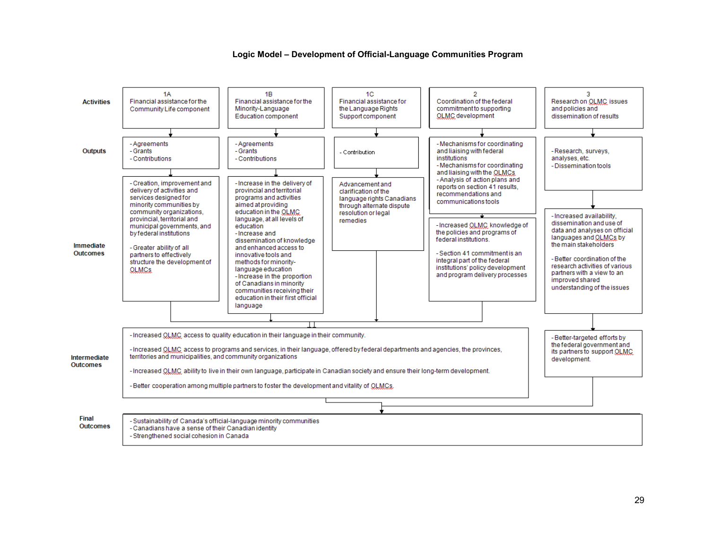

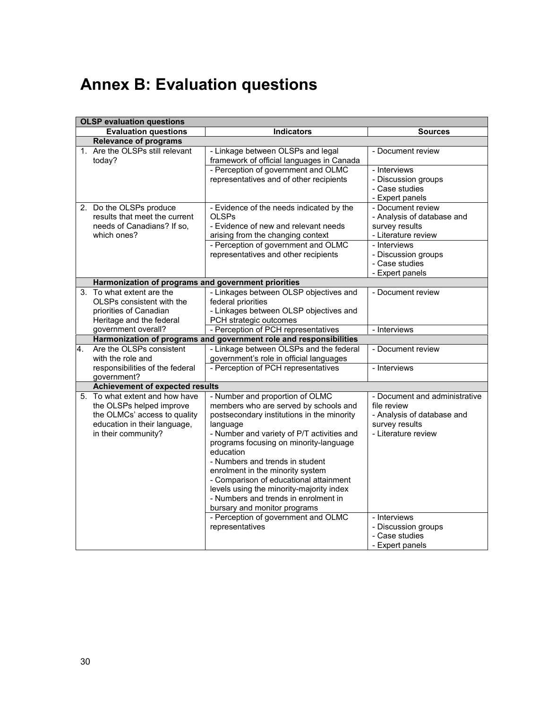# <span id="page-35-0"></span>**Annex B: Evaluation questions**

|    | <b>OLSP</b> evaluation questions                                                                                                                  |                                                                                                                                                                                                                                                                                                                                                                                                                                                                              |                                                                                                                     |  |  |  |
|----|---------------------------------------------------------------------------------------------------------------------------------------------------|------------------------------------------------------------------------------------------------------------------------------------------------------------------------------------------------------------------------------------------------------------------------------------------------------------------------------------------------------------------------------------------------------------------------------------------------------------------------------|---------------------------------------------------------------------------------------------------------------------|--|--|--|
|    | <b>Evaluation questions</b>                                                                                                                       | <b>Indicators</b>                                                                                                                                                                                                                                                                                                                                                                                                                                                            | <b>Sources</b>                                                                                                      |  |  |  |
|    | <b>Relevance of programs</b>                                                                                                                      |                                                                                                                                                                                                                                                                                                                                                                                                                                                                              |                                                                                                                     |  |  |  |
|    | 1. Are the OLSPs still relevant<br>today?                                                                                                         | - Linkage between OLSPs and legal<br>framework of official languages in Canada                                                                                                                                                                                                                                                                                                                                                                                               | - Document review                                                                                                   |  |  |  |
|    |                                                                                                                                                   | - Perception of government and OLMC<br>representatives and of other recipients                                                                                                                                                                                                                                                                                                                                                                                               | - Interviews<br>- Discussion groups<br>- Case studies<br>- Expert panels                                            |  |  |  |
|    | 2. Do the OLSPs produce<br>results that meet the current<br>needs of Canadians? If so,<br>which ones?                                             | - Evidence of the needs indicated by the<br><b>OLSPs</b><br>- Evidence of new and relevant needs<br>arising from the changing context                                                                                                                                                                                                                                                                                                                                        | - Document review<br>- Analysis of database and<br>survey results<br>- Literature review                            |  |  |  |
|    |                                                                                                                                                   | - Perception of government and OLMC<br>representatives and other recipients                                                                                                                                                                                                                                                                                                                                                                                                  | - Interviews<br>- Discussion groups<br>- Case studies<br>- Expert panels                                            |  |  |  |
|    | Harmonization of programs and government priorities                                                                                               |                                                                                                                                                                                                                                                                                                                                                                                                                                                                              |                                                                                                                     |  |  |  |
|    | 3. To what extent are the<br>OLSPs consistent with the<br>priorities of Canadian<br>Heritage and the federal                                      | - Linkages between OLSP objectives and<br>federal priorities<br>- Linkages between OLSP objectives and<br>PCH strategic outcomes                                                                                                                                                                                                                                                                                                                                             | - Document review                                                                                                   |  |  |  |
|    | government overall?                                                                                                                               | - Perception of PCH representatives                                                                                                                                                                                                                                                                                                                                                                                                                                          | - Interviews                                                                                                        |  |  |  |
|    |                                                                                                                                                   | Harmonization of programs and government role and responsibilities                                                                                                                                                                                                                                                                                                                                                                                                           |                                                                                                                     |  |  |  |
| 4. | Are the OLSPs consistent<br>with the role and                                                                                                     | - Linkage between OLSPs and the federal<br>government's role in official languages                                                                                                                                                                                                                                                                                                                                                                                           | - Document review                                                                                                   |  |  |  |
|    | responsibilities of the federal<br>government?                                                                                                    | - Perception of PCH representatives                                                                                                                                                                                                                                                                                                                                                                                                                                          | - Interviews                                                                                                        |  |  |  |
|    | <b>Achievement of expected results</b>                                                                                                            |                                                                                                                                                                                                                                                                                                                                                                                                                                                                              |                                                                                                                     |  |  |  |
|    | 5. To what extent and how have<br>the OLSPs helped improve<br>the OLMCs' access to quality<br>education in their language,<br>in their community? | - Number and proportion of OLMC<br>members who are served by schools and<br>postsecondary institutions in the minority<br>language<br>- Number and variety of P/T activities and<br>programs focusing on minority-language<br>education<br>- Numbers and trends in student<br>enrolment in the minority system<br>- Comparison of educational attainment<br>levels using the minority-majority index<br>- Numbers and trends in enrolment in<br>bursary and monitor programs | - Document and administrative<br>file review<br>- Analysis of database and<br>survey results<br>- Literature review |  |  |  |
|    |                                                                                                                                                   | - Perception of government and OLMC<br>representatives                                                                                                                                                                                                                                                                                                                                                                                                                       | - Interviews<br>- Discussion groups<br>- Case studies<br>- Expert panels                                            |  |  |  |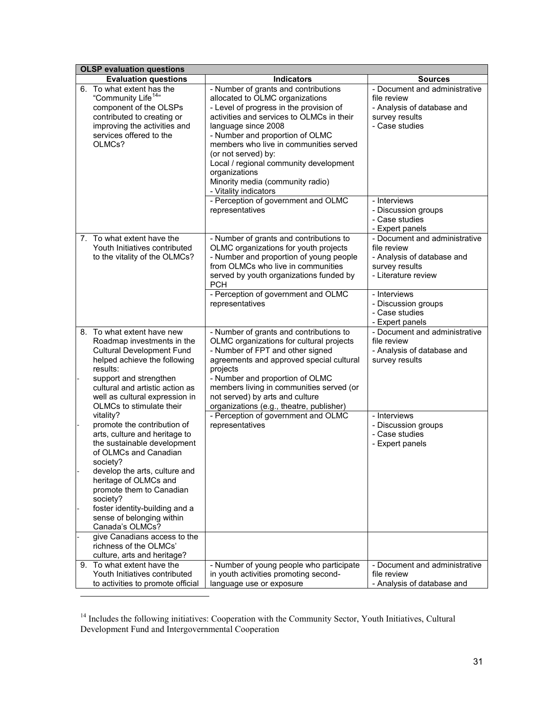| <b>OLSP</b> evaluation questions                                                                                                                                                                                                                                                  |                                                                                                                                                                                                                                                                                                                                                                                                                                                                              |                                                                                                                                                          |  |  |  |
|-----------------------------------------------------------------------------------------------------------------------------------------------------------------------------------------------------------------------------------------------------------------------------------|------------------------------------------------------------------------------------------------------------------------------------------------------------------------------------------------------------------------------------------------------------------------------------------------------------------------------------------------------------------------------------------------------------------------------------------------------------------------------|----------------------------------------------------------------------------------------------------------------------------------------------------------|--|--|--|
| <b>Evaluation questions</b>                                                                                                                                                                                                                                                       | <b>Indicators</b>                                                                                                                                                                                                                                                                                                                                                                                                                                                            | <b>Sources</b>                                                                                                                                           |  |  |  |
| 6. To what extent has the<br>"Community Life <sup>14</sup> "<br>component of the OLSPs<br>contributed to creating or<br>improving the activities and<br>services offered to the<br>OLMC <sub>s</sub> ?                                                                            | - Number of grants and contributions<br>allocated to OLMC organizations<br>- Level of progress in the provision of<br>activities and services to OLMCs in their<br>language since 2008<br>- Number and proportion of OLMC<br>members who live in communities served<br>(or not served) by:<br>Local / regional community development<br>organizations<br>Minority media (community radio)<br>- Vitality indicators<br>- Perception of government and OLMC<br>representatives | - Document and administrative<br>file review<br>- Analysis of database and<br>survey results<br>- Case studies<br>- Interviews<br>- Discussion groups    |  |  |  |
| 7. To what extent have the<br>Youth Initiatives contributed<br>to the vitality of the OLMCs?                                                                                                                                                                                      | - Number of grants and contributions to<br>OLMC organizations for youth projects<br>- Number and proportion of young people<br>from OLMCs who live in communities<br>served by youth organizations funded by<br><b>PCH</b>                                                                                                                                                                                                                                                   | - Case studies<br>- Expert panels<br>- Document and administrative<br>file review<br>- Analysis of database and<br>survey results<br>- Literature review |  |  |  |
|                                                                                                                                                                                                                                                                                   | - Perception of government and OLMC<br>representatives                                                                                                                                                                                                                                                                                                                                                                                                                       | - Interviews<br>- Discussion groups<br>- Case studies<br>- Expert panels                                                                                 |  |  |  |
| 8. To what extent have new<br>Roadmap investments in the<br><b>Cultural Development Fund</b><br>helped achieve the following<br>results:<br>support and strengthen<br>cultural and artistic action as<br>well as cultural expression in<br>OLMCs to stimulate their               | - Number of grants and contributions to<br>OLMC organizations for cultural projects<br>- Number of FPT and other signed<br>agreements and approved special cultural<br>projects<br>- Number and proportion of OLMC<br>members living in communities served (or<br>not served) by arts and culture<br>organizations (e.g., theatre, publisher)                                                                                                                                | - Document and administrative<br>file review<br>- Analysis of database and<br>survey results                                                             |  |  |  |
| vitality?<br>promote the contribution of<br>arts, culture and heritage to<br>the sustainable development<br>of OLMCs and Canadian<br>society?<br>develop the arts, culture and<br>heritage of OLMCs and<br>promote them to Canadian<br>society?<br>foster identity-building and a | - Perception of government and OLMC<br>representatives                                                                                                                                                                                                                                                                                                                                                                                                                       | - Interviews<br>- Discussion groups<br>- Case studies<br>- Expert panels                                                                                 |  |  |  |
| sense of belonging within<br>Canada's OLMCs?<br>give Canadians access to the                                                                                                                                                                                                      |                                                                                                                                                                                                                                                                                                                                                                                                                                                                              |                                                                                                                                                          |  |  |  |
| richness of the OLMCs'<br>culture, arts and heritage?                                                                                                                                                                                                                             |                                                                                                                                                                                                                                                                                                                                                                                                                                                                              |                                                                                                                                                          |  |  |  |
| 9. To what extent have the<br>Youth Initiatives contributed<br>to activities to promote official                                                                                                                                                                                  | - Number of young people who participate<br>in youth activities promoting second-<br>language use or exposure                                                                                                                                                                                                                                                                                                                                                                | - Document and administrative<br>file review<br>- Analysis of database and                                                                               |  |  |  |

<span id="page-36-0"></span><sup>&</sup>lt;sup>14</sup> Includes the following initiatives: Cooperation with the Community Sector, Youth Initiatives, Cultural Development Fund and Intergovernmental Cooperation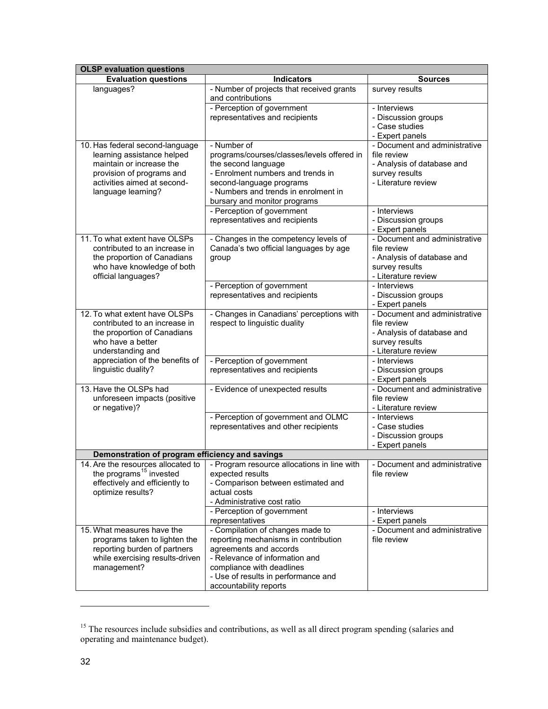| <b>OLSP</b> evaluation questions                                      |                                                                                  |                                                  |  |  |
|-----------------------------------------------------------------------|----------------------------------------------------------------------------------|--------------------------------------------------|--|--|
| <b>Evaluation questions</b>                                           | <b>Indicators</b>                                                                | <b>Sources</b>                                   |  |  |
| languages?                                                            | - Number of projects that received grants<br>and contributions                   | survey results                                   |  |  |
|                                                                       | - Perception of government<br>representatives and recipients                     | - Interviews<br>- Discussion groups              |  |  |
|                                                                       |                                                                                  | - Case studies                                   |  |  |
| 10. Has federal second-language                                       | - Number of                                                                      | - Expert panels<br>- Document and administrative |  |  |
| learning assistance helped                                            | programs/courses/classes/levels offered in                                       | file review                                      |  |  |
| maintain or increase the                                              | the second language                                                              | - Analysis of database and                       |  |  |
| provision of programs and                                             | - Enrolment numbers and trends in                                                | survey results                                   |  |  |
| activities aimed at second-                                           | second-language programs                                                         | - Literature review                              |  |  |
| language learning?                                                    | - Numbers and trends in enrolment in<br>bursary and monitor programs             |                                                  |  |  |
|                                                                       | - Perception of government                                                       | - Interviews                                     |  |  |
|                                                                       | representatives and recipients                                                   | - Discussion groups                              |  |  |
|                                                                       |                                                                                  | - Expert panels                                  |  |  |
| 11. To what extent have OLSPs                                         | - Changes in the competency levels of                                            | - Document and administrative                    |  |  |
| contributed to an increase in                                         | Canada's two official languages by age                                           | file review<br>- Analysis of database and        |  |  |
| the proportion of Canadians<br>who have knowledge of both             | group                                                                            | survey results                                   |  |  |
| official languages?                                                   |                                                                                  | - Literature review                              |  |  |
|                                                                       | - Perception of government                                                       | - Interviews                                     |  |  |
|                                                                       | representatives and recipients                                                   | - Discussion groups                              |  |  |
|                                                                       |                                                                                  | - Expert panels                                  |  |  |
| 12. To what extent have OLSPs<br>contributed to an increase in        | - Changes in Canadians' perceptions with<br>respect to linguistic duality        | - Document and administrative<br>file review     |  |  |
| the proportion of Canadians                                           |                                                                                  | - Analysis of database and                       |  |  |
| who have a better                                                     |                                                                                  | survey results                                   |  |  |
| understanding and                                                     |                                                                                  | - Literature review                              |  |  |
| appreciation of the benefits of                                       | - Perception of government                                                       | - Interviews                                     |  |  |
| linguistic duality?                                                   | representatives and recipients                                                   | - Discussion groups                              |  |  |
|                                                                       |                                                                                  | - Expert panels                                  |  |  |
| 13. Have the OLSPs had                                                | - Evidence of unexpected results                                                 | - Document and administrative<br>file review     |  |  |
| unforeseen impacts (positive<br>or negative)?                         |                                                                                  | - Literature review                              |  |  |
|                                                                       | - Perception of government and OLMC                                              | - Interviews                                     |  |  |
|                                                                       | representatives and other recipients                                             | - Case studies                                   |  |  |
|                                                                       |                                                                                  | - Discussion groups                              |  |  |
|                                                                       |                                                                                  | - Expert panels                                  |  |  |
| Demonstration of program efficiency and savings                       |                                                                                  |                                                  |  |  |
|                                                                       | 14. Are the resources allocated to   - Program resource allocations in line with | - Document and administrative                    |  |  |
| the programs <sup>15</sup> invested<br>effectively and efficiently to | expected results<br>- Comparison between estimated and                           | file review                                      |  |  |
| optimize results?                                                     | actual costs                                                                     |                                                  |  |  |
|                                                                       | - Administrative cost ratio                                                      |                                                  |  |  |
|                                                                       | - Perception of government                                                       | - Interviews                                     |  |  |
|                                                                       | representatives                                                                  | - Expert panels                                  |  |  |
| 15. What measures have the                                            | - Compilation of changes made to                                                 | - Document and administrative                    |  |  |
| programs taken to lighten the                                         | reporting mechanisms in contribution<br>agreements and accords                   | file review                                      |  |  |
| reporting burden of partners<br>while exercising results-driven       | - Relevance of information and                                                   |                                                  |  |  |
| management?                                                           | compliance with deadlines                                                        |                                                  |  |  |
|                                                                       | - Use of results in performance and                                              |                                                  |  |  |
|                                                                       | accountability reports                                                           |                                                  |  |  |

<span id="page-37-0"></span><sup>&</sup>lt;sup>15</sup> The resources include subsidies and contributions, as well as all direct program spending (salaries and operating and maintenance budget).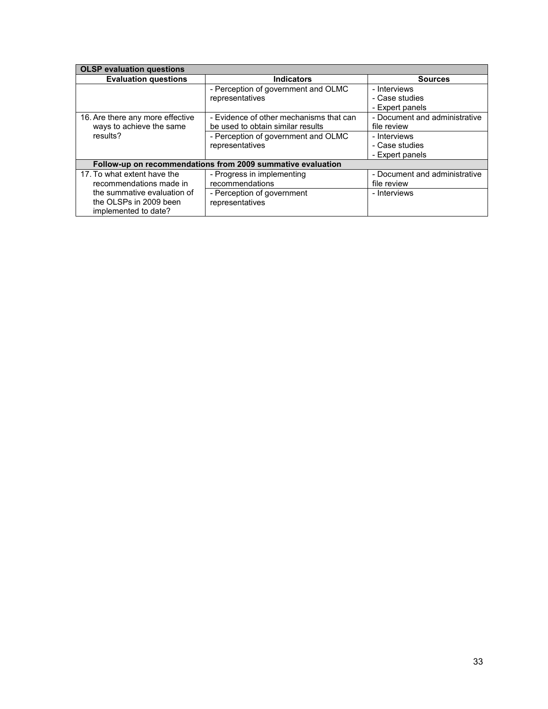| <b>OLSP</b> evaluation questions                                              |                                                                              |                                                   |  |  |  |
|-------------------------------------------------------------------------------|------------------------------------------------------------------------------|---------------------------------------------------|--|--|--|
| <b>Evaluation questions</b>                                                   | <b>Indicators</b>                                                            | <b>Sources</b>                                    |  |  |  |
|                                                                               | - Perception of government and OLMC<br>representatives                       | - Interviews<br>- Case studies<br>- Expert panels |  |  |  |
| 16. Are there any more effective<br>ways to achieve the same                  | - Evidence of other mechanisms that can<br>be used to obtain similar results | - Document and administrative<br>file review      |  |  |  |
| results?                                                                      | - Perception of government and OLMC<br>representatives                       | - Interviews<br>- Case studies<br>- Expert panels |  |  |  |
|                                                                               | Follow-up on recommendations from 2009 summative evaluation                  |                                                   |  |  |  |
| 17. To what extent have the<br>recommendations made in                        | - Progress in implementing<br>recommendations                                | - Document and administrative<br>file review      |  |  |  |
| the summative evaluation of<br>the OLSPs in 2009 been<br>implemented to date? | - Perception of government<br>representatives                                | - Interviews                                      |  |  |  |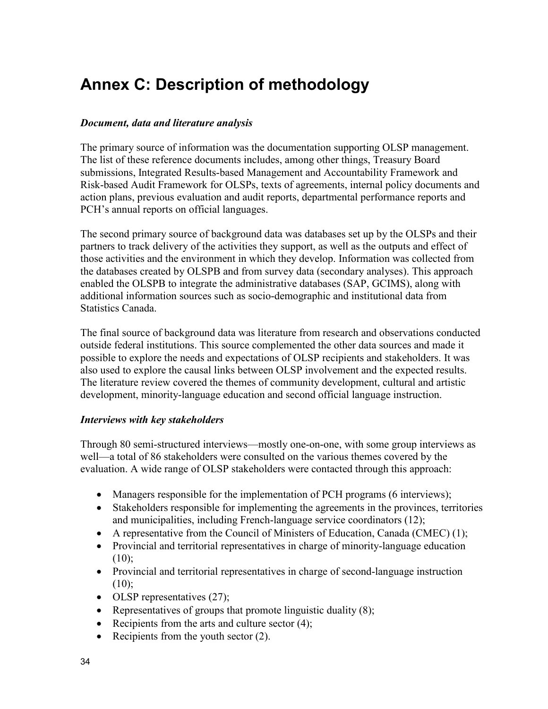# <span id="page-39-0"></span>**Annex C: Description of methodology**

#### *Document, data and literature analysis*

The primary source of information was the documentation supporting OLSP management. The list of these reference documents includes, among other things, Treasury Board submissions, Integrated Results-based Management and Accountability Framework and Risk-based Audit Framework for OLSPs, texts of agreements, internal policy documents and action plans, previous evaluation and audit reports, departmental performance reports and PCH's annual reports on official languages.

The second primary source of background data was databases set up by the OLSPs and their partners to track delivery of the activities they support, as well as the outputs and effect of those activities and the environment in which they develop. Information was collected from the databases created by OLSPB and from survey data (secondary analyses). This approach enabled the OLSPB to integrate the administrative databases (SAP, GCIMS), along with additional information sources such as socio-demographic and institutional data from Statistics Canada.

The final source of background data was literature from research and observations conducted outside federal institutions. This source complemented the other data sources and made it possible to explore the needs and expectations of OLSP recipients and stakeholders. It was also used to explore the causal links between OLSP involvement and the expected results. The literature review covered the themes of community development, cultural and artistic development, minority-language education and second official language instruction.

#### *Interviews with key stakeholders*

Through 80 semi-structured interviews—mostly one-on-one, with some group interviews as well—a total of 86 stakeholders were consulted on the various themes covered by the evaluation. A wide range of OLSP stakeholders were contacted through this approach:

- Managers responsible for the implementation of PCH programs (6 interviews);
- Stakeholders responsible for implementing the agreements in the provinces, territories and municipalities, including French-language service coordinators (12);
- A representative from the Council of Ministers of Education, Canada (CMEC) (1);
- Provincial and territorial representatives in charge of minority-language education  $(10):$
- Provincial and territorial representatives in charge of second-language instruction  $(10);$
- OLSP representatives (27);
- Representatives of groups that promote linguistic duality (8);
- Recipients from the arts and culture sector  $(4)$ ;
- Recipients from the youth sector (2).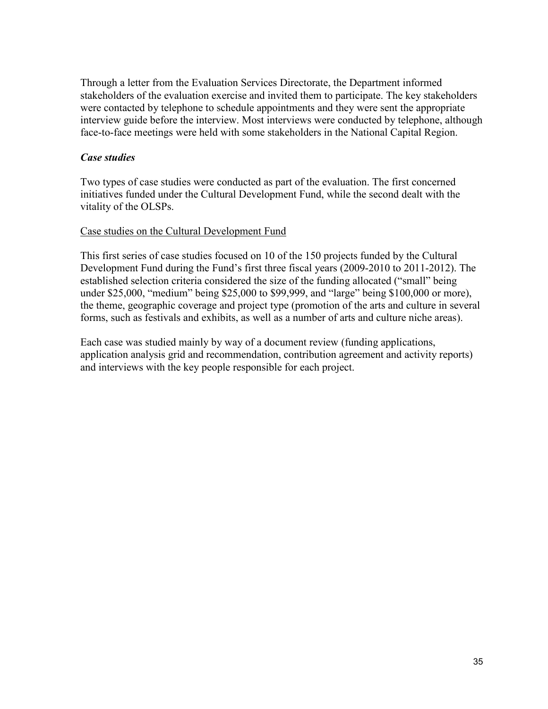Through a letter from the Evaluation Services Directorate, the Department informed stakeholders of the evaluation exercise and invited them to participate. The key stakeholders were contacted by telephone to schedule appointments and they were sent the appropriate interview guide before the interview. Most interviews were conducted by telephone, although face-to-face meetings were held with some stakeholders in the National Capital Region.

#### *Case studies*

Two types of case studies were conducted as part of the evaluation. The first concerned initiatives funded under the Cultural Development Fund, while the second dealt with the vitality of the OLSPs.

#### Case studies on the Cultural Development Fund

This first series of case studies focused on 10 of the 150 projects funded by the Cultural Development Fund during the Fund's first three fiscal years (2009-2010 to 2011-2012). The established selection criteria considered the size of the funding allocated ("small" being under \$25,000, "medium" being \$25,000 to \$99,999, and "large" being \$100,000 or more), the theme, geographic coverage and project type (promotion of the arts and culture in several forms, such as festivals and exhibits, as well as a number of arts and culture niche areas).

Each case was studied mainly by way of a document review (funding applications, application analysis grid and recommendation, contribution agreement and activity reports) and interviews with the key people responsible for each project.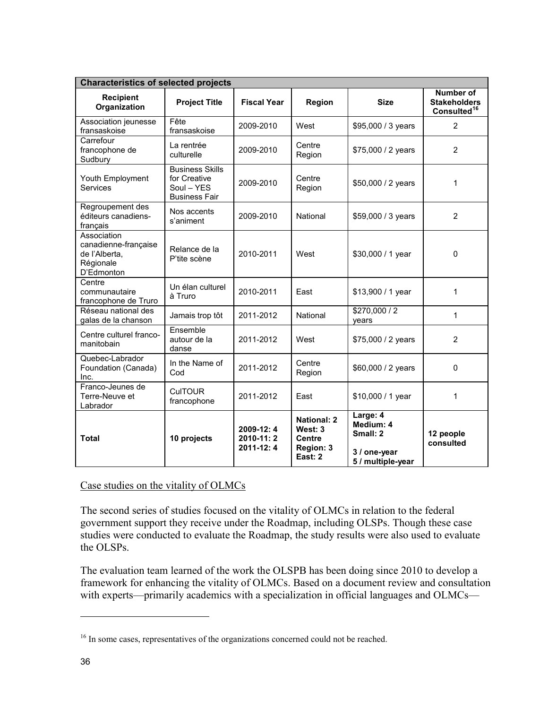| <b>Characteristics of selected projects</b>                                     |                                                                              |                                     |                                                                        |                                                                        |                                                                    |  |
|---------------------------------------------------------------------------------|------------------------------------------------------------------------------|-------------------------------------|------------------------------------------------------------------------|------------------------------------------------------------------------|--------------------------------------------------------------------|--|
| <b>Recipient</b><br>Organization                                                | <b>Project Title</b>                                                         | <b>Fiscal Year</b>                  | Region                                                                 | <b>Size</b>                                                            | <b>Number of</b><br><b>Stakeholders</b><br>Consulted <sup>16</sup> |  |
| Association jeunesse<br>fransaskoise                                            | Fête<br>fransaskoise                                                         | 2009-2010                           | West                                                                   | \$95,000 / 3 years                                                     | $\overline{2}$                                                     |  |
| Carrefour<br>francophone de<br>Sudbury                                          | La rentrée<br>culturelle                                                     | 2009-2010                           | Centre<br>Region                                                       | \$75,000 / 2 years                                                     | $\overline{2}$                                                     |  |
| Youth Employment<br>Services                                                    | <b>Business Skills</b><br>for Creative<br>Soul - YES<br><b>Business Fair</b> | 2009-2010                           | Centre<br>Region                                                       | \$50,000 / 2 years                                                     | 1                                                                  |  |
| Regroupement des<br>éditeurs canadiens-<br>français                             | Nos accents<br>s'animent                                                     | 2009-2010                           | National                                                               | \$59,000 / 3 years                                                     | 2                                                                  |  |
| Association<br>canadienne-française<br>de l'Alberta,<br>Régionale<br>D'Edmonton | Relance de la<br>P'tite scène                                                | 2010-2011                           | West                                                                   | \$30,000 / 1 year                                                      | 0                                                                  |  |
| Centre<br>communautaire<br>francophone de Truro                                 | Un élan culturel<br>à Truro                                                  | 2010-2011                           | East                                                                   | \$13,900 / 1 year                                                      | 1                                                                  |  |
| Réseau national des<br>galas de la chanson                                      | Jamais trop tôt                                                              | 2011-2012                           | National                                                               | \$270,000 / 2<br>years                                                 | 1                                                                  |  |
| Centre culturel franco-<br>manitobain                                           | Ensemble<br>autour de la<br>danse                                            | 2011-2012                           | West                                                                   | \$75,000 / 2 years                                                     | $\overline{2}$                                                     |  |
| Quebec-Labrador<br>Foundation (Canada)<br>Inc.                                  | In the Name of<br>Cod                                                        | 2011-2012                           | Centre<br>Region                                                       | \$60,000 / 2 years                                                     | $\mathbf 0$                                                        |  |
| Franco-Jeunes de<br>Terre-Neuve et<br>Labrador                                  | <b>CulTOUR</b><br>francophone                                                | 2011-2012                           | East                                                                   | \$10,000 / 1 year                                                      | 1                                                                  |  |
| <b>Total</b>                                                                    | 10 projects                                                                  | 2009-12:4<br>2010-11:2<br>2011-12:4 | <b>National: 2</b><br>West: 3<br><b>Centre</b><br>Region: 3<br>East: 2 | Large: 4<br>Medium: 4<br>Small: 2<br>3 / one-year<br>5 / multiple-year | 12 people<br>consulted                                             |  |

### Case studies on the vitality of OLMCs

The second series of studies focused on the vitality of OLMCs in relation to the federal government support they receive under the Roadmap, including OLSPs. Though these case studies were conducted to evaluate the Roadmap, the study results were also used to evaluate the OLSPs.

The evaluation team learned of the work the OLSPB has been doing since 2010 to develop a framework for enhancing the vitality of OLMCs. Based on a document review and consultation with experts—primarily academics with a specialization in official languages and OLMCs—

<span id="page-41-0"></span><sup>&</sup>lt;sup>16</sup> In some cases, representatives of the organizations concerned could not be reached.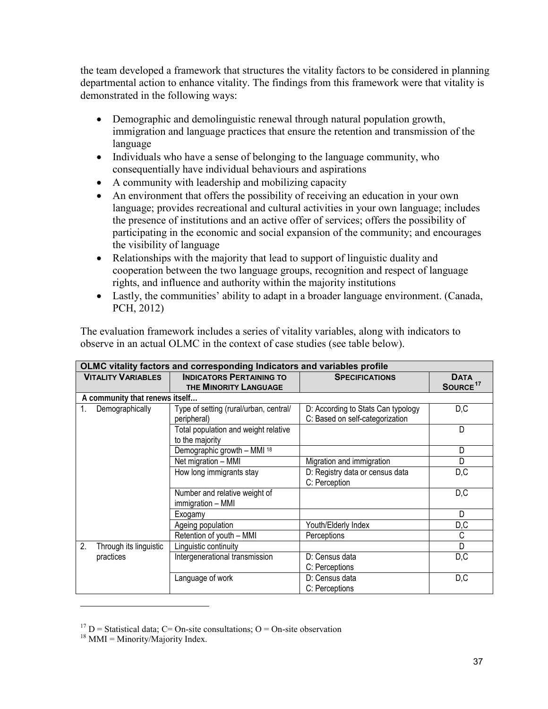the team developed a framework that structures the vitality factors to be considered in planning departmental action to enhance vitality. The findings from this framework were that vitality is demonstrated in the following ways:

- Demographic and demolinguistic renewal through natural population growth, immigration and language practices that ensure the retention and transmission of the language
- Individuals who have a sense of belonging to the language community, who consequentially have individual behaviours and aspirations
- A community with leadership and mobilizing capacity
- An environment that offers the possibility of receiving an education in your own language; provides recreational and cultural activities in your own language; includes the presence of institutions and an active offer of services; offers the possibility of participating in the economic and social expansion of the community; and encourages the visibility of language
- Relationships with the majority that lead to support of linguistic duality and cooperation between the two language groups, recognition and respect of language rights, and influence and authority within the majority institutions
- Lastly, the communities' ability to adapt in a broader language environment. (Canada, PCH, 2012)

| OLMC vitality factors and corresponding Indicators and variables profile |                                                          |                                    |                                     |  |  |
|--------------------------------------------------------------------------|----------------------------------------------------------|------------------------------------|-------------------------------------|--|--|
| <b>VITALITY VARIABLES</b>                                                | <b>INDICATORS PERTAINING TO</b><br>THE MINORITY LANGUAGE | <b>SPECIFICATIONS</b>              | <b>DATA</b><br>SOURCE <sup>17</sup> |  |  |
|                                                                          |                                                          |                                    |                                     |  |  |
| A community that renews itself                                           |                                                          |                                    |                                     |  |  |
| Demographically<br>1.                                                    | Type of setting (rural/urban, central/                   | D: According to Stats Can typology | D, C                                |  |  |
|                                                                          | peripheral)                                              | C: Based on self-categorization    |                                     |  |  |
|                                                                          | Total population and weight relative                     |                                    | D                                   |  |  |
|                                                                          | to the majority                                          |                                    |                                     |  |  |
|                                                                          | Demographic growth - MMI 18                              |                                    | D                                   |  |  |
|                                                                          | Net migration - MMI                                      | Migration and immigration          | D                                   |  |  |
|                                                                          | How long immigrants stay                                 | D: Registry data or census data    | D, C                                |  |  |
|                                                                          |                                                          | C: Perception                      |                                     |  |  |
|                                                                          | Number and relative weight of                            |                                    | D, C                                |  |  |
|                                                                          | immigration - MMI                                        |                                    |                                     |  |  |
|                                                                          | Exogamy                                                  |                                    | D                                   |  |  |
|                                                                          | Ageing population                                        | Youth/Elderly Index                | D, C                                |  |  |
|                                                                          | Retention of youth - MMI                                 | Perceptions                        | С                                   |  |  |
| 2.<br>Through its linguistic                                             | Linguistic continuity                                    |                                    | D                                   |  |  |
| practices                                                                | Intergenerational transmission                           | D: Census data                     | D, C                                |  |  |
|                                                                          |                                                          | C: Perceptions                     |                                     |  |  |
|                                                                          | Language of work                                         | D: Census data                     | D, C                                |  |  |
|                                                                          |                                                          | C: Perceptions                     |                                     |  |  |

The evaluation framework includes a series of vitality variables, along with indicators to observe in an actual OLMC in the context of case studies (see table below).

<span id="page-42-0"></span><sup>&</sup>lt;sup>17</sup> D = Statistical data; C = On-site consultations; O = On-site observation

<span id="page-42-1"></span> $18$  MMI = Minority/Majority Index.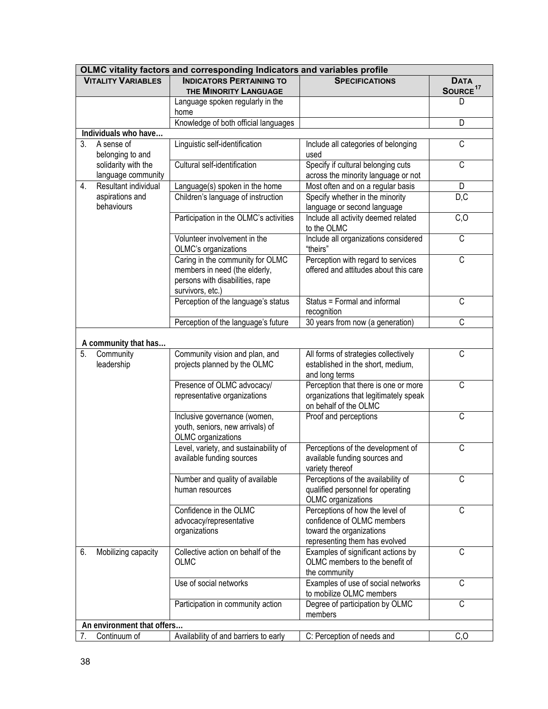| OLMC vitality factors and corresponding Indicators and variables profile |             |                                                            |                                                                               |                       |  |
|--------------------------------------------------------------------------|-------------|------------------------------------------------------------|-------------------------------------------------------------------------------|-----------------------|--|
| <b>VITALITY VARIABLES</b>                                                | <b>DATA</b> |                                                            |                                                                               |                       |  |
|                                                                          |             | THE MINORITY LANGUAGE                                      |                                                                               | SOURCE <sup>17</sup>  |  |
|                                                                          |             | Language spoken regularly in the                           |                                                                               | D                     |  |
|                                                                          |             | home                                                       |                                                                               |                       |  |
|                                                                          |             | Knowledge of both official languages                       |                                                                               | D                     |  |
| Individuals who have                                                     |             |                                                            |                                                                               |                       |  |
| 3.<br>A sense of                                                         |             | Linguistic self-identification                             | Include all categories of belonging                                           | $\overline{C}$        |  |
| belonging to and                                                         |             |                                                            | used                                                                          |                       |  |
| solidarity with the                                                      |             | Cultural self-identification                               | Specify if cultural belonging cuts                                            | $\overline{C}$        |  |
| language community<br>Resultant individual                               |             |                                                            | across the minority language or not                                           |                       |  |
| 4.<br>aspirations and                                                    |             | Language(s) spoken in the home                             | Most often and on a regular basis                                             | D                     |  |
| behaviours                                                               |             | Children's language of instruction                         | Specify whether in the minority<br>language or second language                | D, C                  |  |
|                                                                          |             | Participation in the OLMC's activities                     | Include all activity deemed related                                           | C, O                  |  |
|                                                                          |             |                                                            | to the OLMC                                                                   |                       |  |
|                                                                          |             | Volunteer involvement in the                               | Include all organizations considered                                          | C                     |  |
|                                                                          |             | OLMC's organizations                                       | "theirs"                                                                      |                       |  |
|                                                                          |             | Caring in the community for OLMC                           | Perception with regard to services                                            | C                     |  |
|                                                                          |             | members in need (the elderly,                              | offered and attitudes about this care                                         |                       |  |
|                                                                          |             | persons with disabilities, rape                            |                                                                               |                       |  |
|                                                                          |             | survivors, etc.)                                           |                                                                               |                       |  |
|                                                                          |             | Perception of the language's status                        | Status = Formal and informal                                                  | C                     |  |
|                                                                          |             |                                                            | recognition                                                                   |                       |  |
|                                                                          |             | Perception of the language's future                        | 30 years from now (a generation)                                              | $\overline{\text{C}}$ |  |
|                                                                          |             |                                                            |                                                                               |                       |  |
| A community that has                                                     |             |                                                            |                                                                               |                       |  |
| 5.<br>Community                                                          |             | Community vision and plan, and                             | All forms of strategies collectively                                          | C                     |  |
| leadership                                                               |             | projects planned by the OLMC                               | established in the short, medium,                                             |                       |  |
|                                                                          |             |                                                            | and long terms                                                                | C                     |  |
|                                                                          |             | Presence of OLMC advocacy/<br>representative organizations | Perception that there is one or more<br>organizations that legitimately speak |                       |  |
|                                                                          |             |                                                            | on behalf of the OLMC                                                         |                       |  |
|                                                                          |             | Inclusive governance (women,                               | Proof and perceptions                                                         | $\overline{C}$        |  |
|                                                                          |             | youth, seniors, new arrivals) of                           |                                                                               |                       |  |
|                                                                          |             | OLMC organizations                                         |                                                                               |                       |  |
|                                                                          |             | Level, variety, and sustainability of                      | Perceptions of the development of                                             | C                     |  |
|                                                                          |             | available funding sources                                  | available funding sources and                                                 |                       |  |
|                                                                          |             |                                                            | variety thereof                                                               |                       |  |
|                                                                          |             | Number and quality of available                            | Perceptions of the availability of                                            | C                     |  |
|                                                                          |             | human resources                                            | qualified personnel for operating                                             |                       |  |
|                                                                          |             |                                                            | OLMC organizations                                                            |                       |  |
|                                                                          |             | Confidence in the OLMC                                     | Perceptions of how the level of                                               | C                     |  |
|                                                                          |             | advocacy/representative                                    | confidence of OLMC members                                                    |                       |  |
|                                                                          |             | organizations                                              | toward the organizations                                                      |                       |  |
|                                                                          |             | Collective action on behalf of the                         | representing them has evolved                                                 | C                     |  |
| Mobilizing capacity<br>6.                                                |             | <b>OLMC</b>                                                | Examples of significant actions by<br>OLMC members to the benefit of          |                       |  |
|                                                                          |             |                                                            | the community                                                                 |                       |  |
|                                                                          |             | Use of social networks                                     | Examples of use of social networks                                            | C                     |  |
|                                                                          |             |                                                            | to mobilize OLMC members                                                      |                       |  |
|                                                                          |             | Participation in community action                          | Degree of participation by OLMC                                               | C                     |  |
|                                                                          |             |                                                            | members                                                                       |                       |  |
| An environment that offers                                               |             |                                                            |                                                                               |                       |  |
| Continuum of<br>7.                                                       |             | Availability of and barriers to early                      | C: Perception of needs and                                                    | C, O                  |  |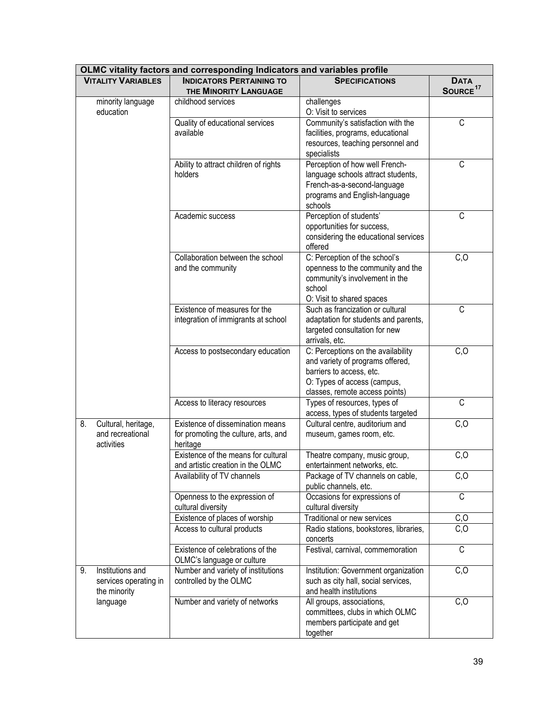| OLMC vitality factors and corresponding Indicators and variables profile |                                                                                      |                                                                                                                                                                     |                                     |  |  |  |  |  |  |
|--------------------------------------------------------------------------|--------------------------------------------------------------------------------------|---------------------------------------------------------------------------------------------------------------------------------------------------------------------|-------------------------------------|--|--|--|--|--|--|
| <b>VITALITY VARIABLES</b>                                                | <b>INDICATORS PERTAINING TO</b><br>THE MINORITY LANGUAGE                             | <b>SPECIFICATIONS</b>                                                                                                                                               | <b>DATA</b><br>SOURCE <sup>17</sup> |  |  |  |  |  |  |
| minority language<br>education                                           | childhood services                                                                   | challenges<br>O: Visit to services                                                                                                                                  |                                     |  |  |  |  |  |  |
|                                                                          | Quality of educational services<br>available                                         | Community's satisfaction with the<br>facilities, programs, educational<br>resources, teaching personnel and<br>specialists                                          | $\overline{C}$                      |  |  |  |  |  |  |
|                                                                          | Ability to attract children of rights<br>holders                                     | Perception of how well French-<br>language schools attract students,<br>French-as-a-second-language<br>programs and English-language<br>schools                     | $\overline{C}$                      |  |  |  |  |  |  |
|                                                                          | Academic success                                                                     | Perception of students'<br>opportunities for success,<br>considering the educational services<br>offered                                                            | $\mathsf C$                         |  |  |  |  |  |  |
|                                                                          | Collaboration between the school<br>and the community                                | C: Perception of the school's<br>openness to the community and the<br>community's involvement in the<br>school<br>O: Visit to shared spaces                         | C, O                                |  |  |  |  |  |  |
|                                                                          | Existence of measures for the<br>integration of immigrants at school                 | Such as francization or cultural<br>adaptation for students and parents,<br>targeted consultation for new<br>arrivals, etc.                                         | $\overline{C}$                      |  |  |  |  |  |  |
|                                                                          | Access to postsecondary education                                                    | C: Perceptions on the availability<br>and variety of programs offered,<br>barriers to access, etc.<br>O: Types of access (campus,<br>classes, remote access points) | C, O                                |  |  |  |  |  |  |
|                                                                          | Access to literacy resources                                                         | Types of resources, types of<br>access, types of students targeted                                                                                                  | $\overline{C}$                      |  |  |  |  |  |  |
| 8.<br>Cultural, heritage,<br>and recreational<br>activities              | Existence of dissemination means<br>for promoting the culture, arts, and<br>heritage | Cultural centre, auditorium and<br>museum, games room, etc.                                                                                                         | C, O                                |  |  |  |  |  |  |
|                                                                          | Existence of the means for cultural<br>and artistic creation in the OLMC             | Theatre company, music group,<br>entertainment networks, etc.                                                                                                       | C, O                                |  |  |  |  |  |  |
|                                                                          | Availability of TV channels                                                          | Package of TV channels on cable,<br>public channels, etc.                                                                                                           | C, O                                |  |  |  |  |  |  |
|                                                                          | Openness to the expression of<br>cultural diversity                                  | Occasions for expressions of<br>cultural diversity                                                                                                                  | C                                   |  |  |  |  |  |  |
|                                                                          | Existence of places of worship                                                       | Traditional or new services                                                                                                                                         | C, O                                |  |  |  |  |  |  |
|                                                                          | Access to cultural products                                                          | Radio stations, bookstores, libraries,<br>concerts                                                                                                                  | C, O                                |  |  |  |  |  |  |
|                                                                          | Existence of celebrations of the<br>OLMC's language or culture                       | Festival, carnival, commemoration                                                                                                                                   | C                                   |  |  |  |  |  |  |
| Institutions and<br>9.<br>services operating in<br>the minority          | Number and variety of institutions<br>controlled by the OLMC                         | Institution: Government organization<br>such as city hall, social services,<br>and health institutions                                                              | C, O                                |  |  |  |  |  |  |
| language                                                                 | Number and variety of networks                                                       | All groups, associations,<br>committees, clubs in which OLMC<br>members participate and get<br>together                                                             | C, O                                |  |  |  |  |  |  |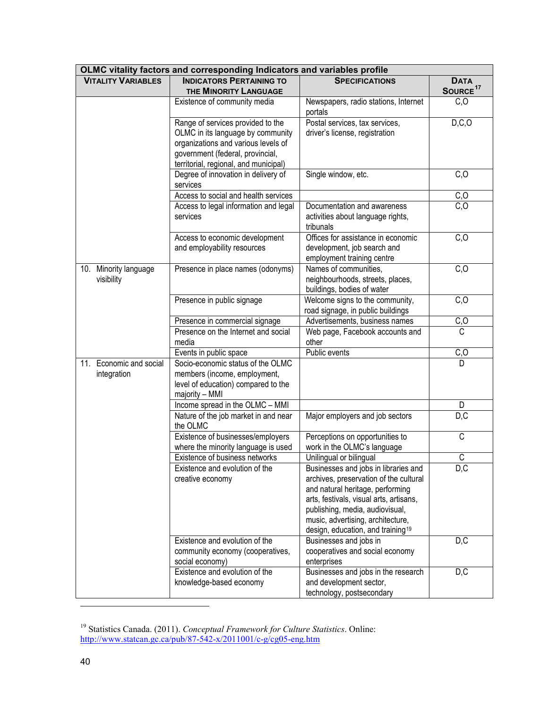| OLMC vitality factors and corresponding Indicators and variables profile |                                                                                                                                                                                            |                                                                                                                                                                                                                                                                                        |                                     |  |  |  |  |  |  |
|--------------------------------------------------------------------------|--------------------------------------------------------------------------------------------------------------------------------------------------------------------------------------------|----------------------------------------------------------------------------------------------------------------------------------------------------------------------------------------------------------------------------------------------------------------------------------------|-------------------------------------|--|--|--|--|--|--|
| <b>VITALITY VARIABLES</b>                                                | <b>INDICATORS PERTAINING TO</b><br>THE MINORITY LANGUAGE                                                                                                                                   | <b>SPECIFICATIONS</b>                                                                                                                                                                                                                                                                  | <b>DATA</b><br>SOURCE <sup>17</sup> |  |  |  |  |  |  |
|                                                                          | Existence of community media                                                                                                                                                               | Newspapers, radio stations, Internet<br>portals                                                                                                                                                                                                                                        | C, O                                |  |  |  |  |  |  |
|                                                                          | Range of services provided to the<br>OLMC in its language by community<br>organizations and various levels of<br>government (federal, provincial,<br>territorial, regional, and municipal) | Postal services, tax services,<br>driver's license, registration                                                                                                                                                                                                                       | D, C, O                             |  |  |  |  |  |  |
|                                                                          | Degree of innovation in delivery of<br>services                                                                                                                                            | Single window, etc.                                                                                                                                                                                                                                                                    | C, O                                |  |  |  |  |  |  |
|                                                                          | Access to social and health services                                                                                                                                                       |                                                                                                                                                                                                                                                                                        | C, O                                |  |  |  |  |  |  |
|                                                                          | Access to legal information and legal<br>services                                                                                                                                          | Documentation and awareness<br>activities about language rights,<br>tribunals                                                                                                                                                                                                          | $\overline{C, O}$                   |  |  |  |  |  |  |
|                                                                          | Access to economic development<br>and employability resources                                                                                                                              | Offices for assistance in economic<br>development, job search and<br>employment training centre                                                                                                                                                                                        | C, O                                |  |  |  |  |  |  |
| Minority language<br>10.<br>visibility                                   | Presence in place names (odonyms)                                                                                                                                                          | Names of communities,<br>neighbourhoods, streets, places,<br>buildings, bodies of water                                                                                                                                                                                                | C, O                                |  |  |  |  |  |  |
|                                                                          | Presence in public signage                                                                                                                                                                 | Welcome signs to the community,<br>road signage, in public buildings                                                                                                                                                                                                                   | C, O                                |  |  |  |  |  |  |
|                                                                          | Presence in commercial signage                                                                                                                                                             | Advertisements, business names                                                                                                                                                                                                                                                         | C, O                                |  |  |  |  |  |  |
|                                                                          | Presence on the Internet and social<br>media                                                                                                                                               | Web page, Facebook accounts and<br>other                                                                                                                                                                                                                                               | $\overline{C}$                      |  |  |  |  |  |  |
|                                                                          | Events in public space                                                                                                                                                                     | Public events                                                                                                                                                                                                                                                                          | C, O                                |  |  |  |  |  |  |
| Economic and social<br>11.<br>integration                                | Socio-economic status of the OLMC<br>members (income, employment,<br>level of education) compared to the<br>majority - MMI                                                                 |                                                                                                                                                                                                                                                                                        | D                                   |  |  |  |  |  |  |
|                                                                          | Income spread in the OLMC - MMI                                                                                                                                                            |                                                                                                                                                                                                                                                                                        | D.                                  |  |  |  |  |  |  |
|                                                                          | Nature of the job market in and near<br>the OLMC                                                                                                                                           | Major employers and job sectors                                                                                                                                                                                                                                                        | D, C                                |  |  |  |  |  |  |
|                                                                          | Existence of businesses/employers<br>where the minority language is used                                                                                                                   | Perceptions on opportunities to<br>work in the OLMC's language                                                                                                                                                                                                                         | $\overline{C}$                      |  |  |  |  |  |  |
|                                                                          | Existence of business networks                                                                                                                                                             | Unilingual or bilingual                                                                                                                                                                                                                                                                | C                                   |  |  |  |  |  |  |
|                                                                          | Existence and evolution of the<br>creative economy                                                                                                                                         | Businesses and jobs in libraries and<br>archives, preservation of the cultural<br>and natural heritage, performing<br>arts, festivals, visual arts, artisans,<br>publishing, media, audiovisual,<br>music, advertising, architecture,<br>design, education, and training <sup>19</sup> | D,C                                 |  |  |  |  |  |  |
|                                                                          | Existence and evolution of the<br>community economy (cooperatives,<br>social economy)                                                                                                      | Businesses and jobs in<br>cooperatives and social economy<br>enterprises                                                                                                                                                                                                               | D, C                                |  |  |  |  |  |  |
|                                                                          | Existence and evolution of the<br>knowledge-based economy                                                                                                                                  | Businesses and jobs in the research<br>and development sector,<br>technology, postsecondary                                                                                                                                                                                            | D, C                                |  |  |  |  |  |  |

<span id="page-45-0"></span><sup>19</sup> Statistics Canada. (2011). *Conceptual Framework for Culture Statistics*. Online: <http://www.statcan.gc.ca/pub/87-542-x/2011001/c-g/cg05-eng.htm>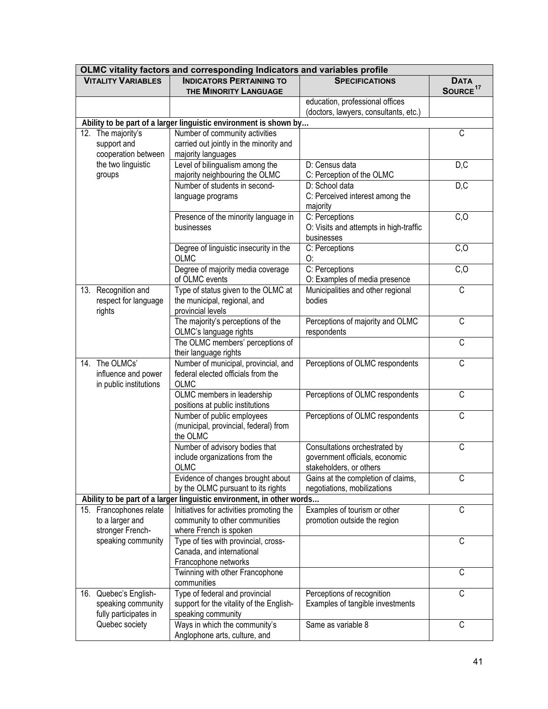| OLMC vitality factors and corresponding Indicators and variables profile |                                  |                                                                       |                                        |                                     |  |  |  |  |  |
|--------------------------------------------------------------------------|----------------------------------|-----------------------------------------------------------------------|----------------------------------------|-------------------------------------|--|--|--|--|--|
|                                                                          | <b>VITALITY VARIABLES</b>        | <b>INDICATORS PERTAINING TO</b><br>THE MINORITY LANGUAGE              | <b>SPECIFICATIONS</b>                  | <b>DATA</b><br>SOURCE <sup>17</sup> |  |  |  |  |  |
|                                                                          |                                  |                                                                       | education, professional offices        |                                     |  |  |  |  |  |
|                                                                          |                                  |                                                                       | (doctors, lawyers, consultants, etc.)  |                                     |  |  |  |  |  |
|                                                                          |                                  | Ability to be part of a larger linguistic environment is shown by     |                                        |                                     |  |  |  |  |  |
|                                                                          | $\overline{12}$ . The majority's | Number of community activities                                        |                                        | $\overline{C}$                      |  |  |  |  |  |
|                                                                          | support and                      | carried out jointly in the minority and                               |                                        |                                     |  |  |  |  |  |
|                                                                          | cooperation between              | majority languages                                                    |                                        |                                     |  |  |  |  |  |
|                                                                          | the two linguistic               | Level of bilingualism among the                                       | D: Census data                         | D, C                                |  |  |  |  |  |
|                                                                          | groups                           | majority neighbouring the OLMC                                        | C: Perception of the OLMC              |                                     |  |  |  |  |  |
|                                                                          |                                  | Number of students in second-                                         | D: School data                         | D, C                                |  |  |  |  |  |
|                                                                          |                                  | language programs                                                     | C: Perceived interest among the        |                                     |  |  |  |  |  |
|                                                                          |                                  |                                                                       | majority                               |                                     |  |  |  |  |  |
|                                                                          |                                  | Presence of the minority language in                                  | C: Perceptions                         | C, O                                |  |  |  |  |  |
|                                                                          |                                  | businesses                                                            | O: Visits and attempts in high-traffic |                                     |  |  |  |  |  |
|                                                                          |                                  |                                                                       | businesses                             |                                     |  |  |  |  |  |
|                                                                          |                                  | Degree of linguistic insecurity in the                                | C: Perceptions                         | C, O                                |  |  |  |  |  |
|                                                                          |                                  | <b>OLMC</b>                                                           | O:                                     |                                     |  |  |  |  |  |
|                                                                          |                                  | Degree of majority media coverage                                     | C: Perceptions                         | C, O                                |  |  |  |  |  |
|                                                                          |                                  | of OLMC events                                                        | O: Examples of media presence          |                                     |  |  |  |  |  |
|                                                                          | 13. Recognition and              | Type of status given to the OLMC at                                   | Municipalities and other regional      | $\overline{\mathsf{C}}$             |  |  |  |  |  |
|                                                                          | respect for language             | the municipal, regional, and                                          | bodies                                 |                                     |  |  |  |  |  |
|                                                                          | rights                           | provincial levels                                                     |                                        |                                     |  |  |  |  |  |
|                                                                          |                                  | The majority's perceptions of the                                     | Perceptions of majority and OLMC       | C                                   |  |  |  |  |  |
|                                                                          |                                  | OLMC's language rights                                                | respondents                            | $\overline{C}$                      |  |  |  |  |  |
|                                                                          |                                  | The OLMC members' perceptions of                                      |                                        |                                     |  |  |  |  |  |
|                                                                          | 14. The OLMCs'                   | their language rights<br>Number of municipal, provincial, and         | Perceptions of OLMC respondents        | $\overline{\mathrm{c}}$             |  |  |  |  |  |
|                                                                          | influence and power              | federal elected officials from the                                    |                                        |                                     |  |  |  |  |  |
|                                                                          | in public institutions           | <b>OLMC</b>                                                           |                                        |                                     |  |  |  |  |  |
|                                                                          |                                  | OLMC members in leadership                                            | Perceptions of OLMC respondents        | C                                   |  |  |  |  |  |
|                                                                          |                                  | positions at public institutions                                      |                                        |                                     |  |  |  |  |  |
|                                                                          |                                  | Number of public employees                                            | Perceptions of OLMC respondents        | C                                   |  |  |  |  |  |
|                                                                          |                                  | (municipal, provincial, federal) from                                 |                                        |                                     |  |  |  |  |  |
|                                                                          |                                  | the OLMC                                                              |                                        |                                     |  |  |  |  |  |
|                                                                          |                                  | Number of advisory bodies that                                        | Consultations orchestrated by          | C                                   |  |  |  |  |  |
|                                                                          |                                  | include organizations from the                                        | government officials, economic         |                                     |  |  |  |  |  |
|                                                                          |                                  | OLMC                                                                  | stakeholders, or others                |                                     |  |  |  |  |  |
|                                                                          |                                  | Evidence of changes brought about                                     | Gains at the completion of claims,     | C                                   |  |  |  |  |  |
|                                                                          |                                  | by the OLMC pursuant to its rights                                    | negotiations, mobilizations            |                                     |  |  |  |  |  |
|                                                                          |                                  | Ability to be part of a larger linguistic environment, in other words |                                        |                                     |  |  |  |  |  |
|                                                                          | 15. Francophones relate          | Initiatives for activities promoting the                              | Examples of tourism or other           | C                                   |  |  |  |  |  |
|                                                                          | to a larger and                  | community to other communities                                        | promotion outside the region           |                                     |  |  |  |  |  |
|                                                                          | stronger French-                 | where French is spoken                                                |                                        |                                     |  |  |  |  |  |
|                                                                          | speaking community               | Type of ties with provincial, cross-                                  |                                        | C                                   |  |  |  |  |  |
|                                                                          |                                  | Canada, and international                                             |                                        |                                     |  |  |  |  |  |
|                                                                          |                                  | Francophone networks                                                  |                                        |                                     |  |  |  |  |  |
|                                                                          |                                  | Twinning with other Francophone                                       |                                        | C                                   |  |  |  |  |  |
|                                                                          |                                  | communities                                                           |                                        |                                     |  |  |  |  |  |
|                                                                          | 16. Quebec's English-            | Type of federal and provincial                                        | Perceptions of recognition             | C                                   |  |  |  |  |  |
|                                                                          | speaking community               | support for the vitality of the English-                              | Examples of tangible investments       |                                     |  |  |  |  |  |
|                                                                          | fully participates in            | speaking community                                                    | Same as variable 8                     | C                                   |  |  |  |  |  |
|                                                                          | Quebec society                   | Ways in which the community's<br>Anglophone arts, culture, and        |                                        |                                     |  |  |  |  |  |
|                                                                          |                                  |                                                                       |                                        |                                     |  |  |  |  |  |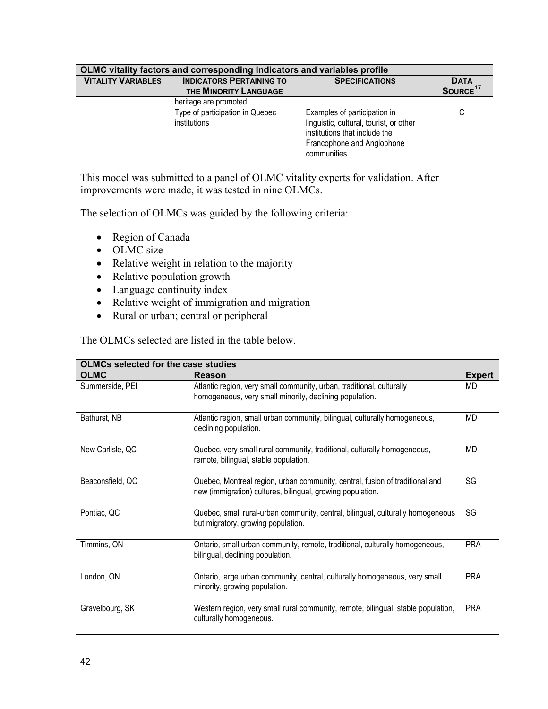| OLMC vitality factors and corresponding Indicators and variables profile |                                                          |                                                                                                                                                       |                                     |  |  |  |  |  |  |  |
|--------------------------------------------------------------------------|----------------------------------------------------------|-------------------------------------------------------------------------------------------------------------------------------------------------------|-------------------------------------|--|--|--|--|--|--|--|
| <b>VITALITY VARIABLES</b>                                                | <b>INDICATORS PERTAINING TO</b><br>THE MINORITY LANGUAGE | <b>SPECIFICATIONS</b>                                                                                                                                 | <b>DATA</b><br>SOURCE <sup>17</sup> |  |  |  |  |  |  |  |
|                                                                          | heritage are promoted                                    |                                                                                                                                                       |                                     |  |  |  |  |  |  |  |
|                                                                          | Type of participation in Quebec<br>institutions          | Examples of participation in<br>linguistic, cultural, tourist, or other<br>institutions that include the<br>Francophone and Anglophone<br>communities |                                     |  |  |  |  |  |  |  |

This model was submitted to a panel of OLMC vitality experts for validation. After improvements were made, it was tested in nine OLMCs.

The selection of OLMCs was guided by the following criteria:

- Region of Canada
- OLMC size
- Relative weight in relation to the majority
- Relative population growth
- Language continuity index
- Relative weight of immigration and migration
- Rural or urban; central or peripheral

The OLMCs selected are listed in the table below.

| <b>OLMCs selected for the case studies</b> |                                                                                                                                            |               |  |  |  |  |  |  |  |
|--------------------------------------------|--------------------------------------------------------------------------------------------------------------------------------------------|---------------|--|--|--|--|--|--|--|
| <b>OLMC</b>                                | Reason                                                                                                                                     | <b>Expert</b> |  |  |  |  |  |  |  |
| Summerside, PEI                            | Atlantic region, very small community, urban, traditional, culturally<br>homogeneous, very small minority, declining population.           | <b>MD</b>     |  |  |  |  |  |  |  |
| Bathurst, NB                               | Atlantic region, small urban community, bilingual, culturally homogeneous,<br>declining population.                                        | MD            |  |  |  |  |  |  |  |
| New Carlisle, QC                           | Quebec, very small rural community, traditional, culturally homogeneous,<br>remote, bilingual, stable population.                          | MD            |  |  |  |  |  |  |  |
| Beaconsfield, QC                           | Quebec, Montreal region, urban community, central, fusion of traditional and<br>new (immigration) cultures, bilingual, growing population. | SG            |  |  |  |  |  |  |  |
| Pontiac, QC                                | Quebec, small rural-urban community, central, bilingual, culturally homogeneous<br>but migratory, growing population.                      | SG            |  |  |  |  |  |  |  |
| Timmins, ON                                | Ontario, small urban community, remote, traditional, culturally homogeneous,<br>bilingual, declining population.                           | <b>PRA</b>    |  |  |  |  |  |  |  |
| London, ON                                 | Ontario, large urban community, central, culturally homogeneous, very small<br>minority, growing population.                               | <b>PRA</b>    |  |  |  |  |  |  |  |
| Gravelbourg, SK                            | Western region, very small rural community, remote, bilingual, stable population,<br>culturally homogeneous.                               | <b>PRA</b>    |  |  |  |  |  |  |  |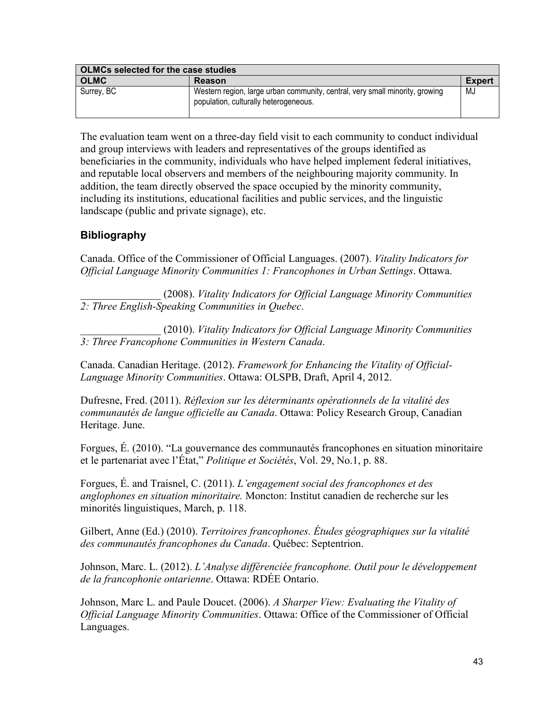| <b>OLMCs selected for the case studies</b> |                                                                                                                       |        |  |  |  |  |  |
|--------------------------------------------|-----------------------------------------------------------------------------------------------------------------------|--------|--|--|--|--|--|
| <b>OLMC</b>                                | Reason                                                                                                                | Expert |  |  |  |  |  |
| Surrey, BC                                 | Western region, large urban community, central, very small minority, growing<br>population, culturally heterogeneous. | MJ     |  |  |  |  |  |

The evaluation team went on a three-day field visit to each community to conduct individual and group interviews with leaders and representatives of the groups identified as beneficiaries in the community, individuals who have helped implement federal initiatives, and reputable local observers and members of the neighbouring majority community. In addition, the team directly observed the space occupied by the minority community, including its institutions, educational facilities and public services, and the linguistic landscape (public and private signage), etc.

### **Bibliography**

Canada. Office of the Commissioner of Official Languages. (2007). *Vitality Indicators for Official Language Minority Communities 1: Francophones in Urban Settings*. Ottawa.

\_\_\_\_\_\_\_\_\_\_\_\_\_\_\_ (2008). *Vitality Indicators for Official Language Minority Communities 2: Three English-Speaking Communities in Quebec*.

\_\_\_\_\_\_\_\_\_\_\_\_\_\_\_ (2010). *Vitality Indicators for Official Language Minority Communities 3: Three Francophone Communities in Western Canada*.

Canada. Canadian Heritage. (2012). *Framework for Enhancing the Vitality of Official-Language Minority Communities*. Ottawa: OLSPB, Draft, April 4, 2012.

Dufresne, Fred. (2011). *Réflexion sur les déterminants opérationnels de la vitalité des communautés de langue officielle au Canada*. Ottawa: Policy Research Group, Canadian Heritage. June.

Forgues, É. (2010). "La gouvernance des communautés francophones en situation minoritaire et le partenariat avec l'État," *Politique et Sociétés*, Vol. 29, No.1, p. 88.

Forgues, É. and Traisnel, C. (2011). *L'engagement social des francophones et des anglophones en situation minoritaire.* Moncton: Institut canadien de recherche sur les minorités linguistiques, March, p. 118.

Gilbert, Anne (Ed.) (2010). *Territoires francophones. Études géographiques sur la vitalité des communautés francophones du Canada*. Québec: Septentrion.

Johnson, Marc. L. (2012). *L'Analyse différenciée francophone. Outil pour le développement de la francophonie ontarienne*. Ottawa: RDÉE Ontario.

Johnson, Marc L. and Paule Doucet. (2006). *A Sharper View: Evaluating the Vitality of Official Language Minority Communities*. Ottawa: Office of the Commissioner of Official Languages.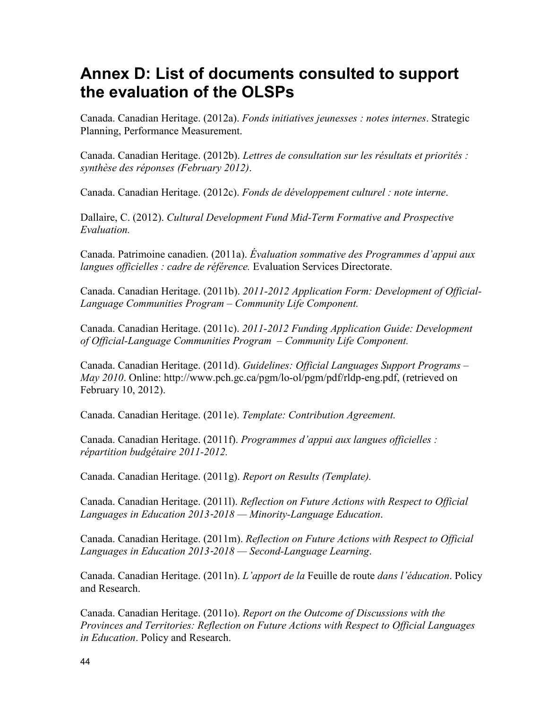# <span id="page-49-0"></span>**Annex D: List of documents consulted to support the evaluation of the OLSPs**

Canada. Canadian Heritage. (2012a). *Fonds initiatives jeunesses : notes internes*. Strategic Planning, Performance Measurement.

Canada. Canadian Heritage. (2012b). *Lettres de consultation sur les résultats et priorités : synthèse des réponses (February 2012)*.

Canada. Canadian Heritage. (2012c). *Fonds de développement culturel : note interne*.

Dallaire, C. (2012). *Cultural Development Fund Mid-Term Formative and Prospective Evaluation.*

Canada. Patrimoine canadien. (2011a). *Évaluation sommative des Programmes d'appui aux langues officielles : cadre de référence.* Evaluation Services Directorate.

Canada. Canadian Heritage. (2011b). *2011-2012 Application Form: Development of Official-Language Communities Program – Community Life Component.* 

Canada. Canadian Heritage. (2011c). *2011-2012 Funding Application Guide: Development of Official-Language Communities Program – Community Life Component.*

Canada. Canadian Heritage. (2011d). *Guidelines: Official Languages Support Programs – May 2010*. Online: [http://www.pch.gc.ca/pgm/lo-ol/pgm/pdf/rldp-eng.pdf,](http://www.pch.gc.ca/pgm/lo-ol/pgm/pdf/rldp-eng.pdf) (retrieved on February 10, 2012).

Canada. Canadian Heritage. (2011e). *Template: Contribution Agreement.*

Canada. Canadian Heritage. (2011f). *Programmes d'appui aux langues officielles : répartition budgétaire 2011-2012.* 

Canada. Canadian Heritage. (2011g). *Report on Results (Template).*

Canada. Canadian Heritage. (2011l). *Reflection on Future Actions with Respect to Official Languages in Education 2013*‐*2018 — Minority-Language Education*.

Canada. Canadian Heritage. (2011m). *Reflection on Future Actions with Respect to Official Languages in Education 2013*‐*2018 — Second-Language Learning*.

Canada. Canadian Heritage. (2011n). *L'apport de la* Feuille de route *dans l'éducation*. Policy and Research.

Canada. Canadian Heritage. (2011o). *Report on the Outcome of Discussions with the Provinces and Territories: Reflection on Future Actions with Respect to Official Languages in Education*. Policy and Research.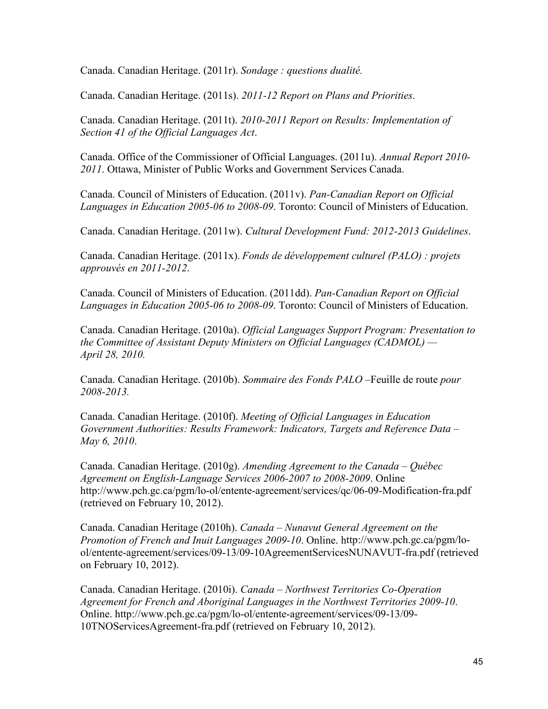Canada. Canadian Heritage. (2011r). *Sondage : questions dualité.*

Canada. Canadian Heritage. (2011s). *2011-12 Report on Plans and Priorities*.

Canada. Canadian Heritage. (2011t). *2010-2011 Report on Results: Implementation of Section 41 of the Official Languages Act*.

Canada. Office of the Commissioner of Official Languages. (2011u). *Annual Report 2010- 2011*. Ottawa, Minister of Public Works and Government Services Canada.

Canada. Council of Ministers of Education. (2011v). *Pan-Canadian Report on Official Languages in Education 2005-06 to 2008-09*. Toronto: Council of Ministers of Education.

Canada. Canadian Heritage. (2011w). *Cultural Development Fund: 2012-2013 Guidelines*.

Canada. Canadian Heritage. (2011x). *Fonds de développement culturel (PALO) : projets approuvés en 2011-2012*.

Canada. Council of Ministers of Education. (2011dd). *Pan-Canadian Report on Official Languages in Education 2005-06 to 2008-09*. Toronto: Council of Ministers of Education.

Canada. Canadian Heritage. (2010a). *Official Languages Support Program: Presentation to the Committee of Assistant Deputy Ministers on Official Languages (CADMOL) — April 28, 2010.* 

Canada. Canadian Heritage. (2010b). *Sommaire des Fonds PALO –*Feuille de route *pour 2008-2013.* 

Canada. Canadian Heritage. (2010f). *Meeting of Official Languages in Education Government Authorities: Results Framework: Indicators, Targets and Reference Data – May 6, 2010*.

Canada. Canadian Heritage. (2010g). *Amending Agreement to the Canada – Québec Agreement on English-Language Services 2006-2007 to 2008-2009*. Online <http://www.pch.gc.ca/pgm/lo-ol/entente-agreement/services/qc/06-09-Modification-fra.pdf> (retrieved on February 10, 2012).

Canada. Canadian Heritage (2010h). *Canada – Nunavut General Agreement on the Promotion of French and Inuit Languages 2009-10*. Online. http://www.pch.gc.ca/pgm/lo[ol/entente-agreement/services/09-13/09-10AgreementServicesNUNAVUT-fra.pdf \(retrieve](http://www.pch.gc.ca/pgm/lo-ol/entente-agreement/services/09-13/09-10AgreementServicesNUNAVUT-fra.pdf)d on February 10, 2012).

Canada. Canadian Heritage. (2010i). *Canada – Northwest Territories Co-Operation Agreement for French and Aboriginal Languages in the Northwest Territories 2009-10*. [Online. http://www.pch.gc.ca/pgm/lo-ol/entente-agreement/services/09-13/09-](http://www.pch.gc.ca/pgm/lo-ol/entente-agreement/services/09-13/09-10TNOServicesAgreement-fra.pdf) 10TNOServicesAgreement-fra.pdf (retrieved on February 10, 2012).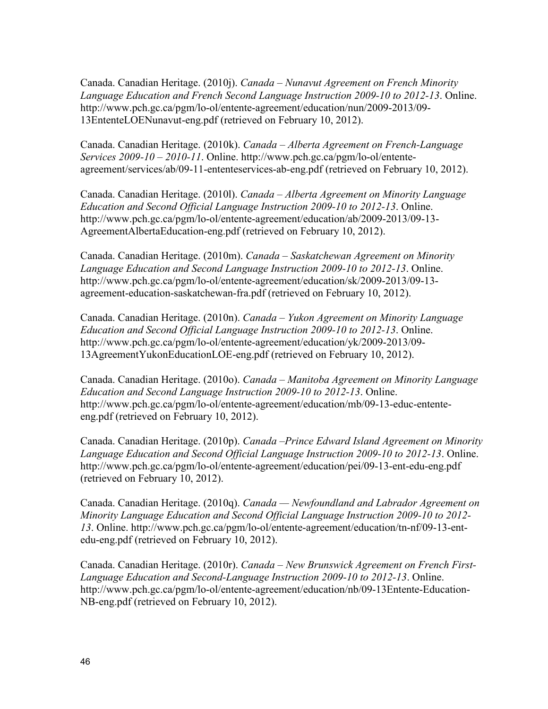Canada. Canadian Heritage. (2010j). *Canada – Nunavut Agreement on French Minority Language Education and French Second Language Instruction 2009-10 to 2012-13*. Online. [http://www.pch.gc.ca/pgm/lo-ol/entente-agreement/education/nun/2009-2013/09-](http://www.pch.gc.ca/pgm/lo-ol/entente-agreement/education/nun/2009-2013/09-13EntenteLOENunavut-eng.pdf) 13EntenteLOENunavut-eng.pdf (retrieved on February 10, 2012).

Canada. Canadian Heritage. (2010k). *Canada – Alberta Agreement on French-Language Services 2009-10 – 2010-11*. Online. http://www.pch.gc.ca/pgm/lo-ol/entente[agreement/services/ab/09-11-ententeservices-ab-eng.pdf \(retrieved on Februar](http://www.pch.gc.ca/pgm/lo-ol/entente-agreement/services/ab/09-11-ententeservices-ab-eng.pdf)y 10, 2012).

Canada. Canadian Heritage. (2010l). *Canada – Alberta Agreement on Minority Language Education and Second Official Language Instruction 2009-10 to 2012-13*. Online. [http://www.pch.gc.ca/pgm/lo-ol/entente-agreement/education/ab/2009-2013/09-13-](http://www.pch.gc.ca/pgm/lo-ol/entente-agreement/education/ab/2009-2013/09-13-AgreementAlbertaEducation-eng.pdf) AgreementAlbertaEducation-eng.pdf (retrieved on February 10, 2012).

Canada. Canadian Heritage. (2010m). *Canada – Saskatchewan Agreement on Minority Language Education and Second Language Instruction 2009-10 to 2012-13*. Online. [http://www.pch.gc.ca/pgm/lo-ol/entente-agreement/education/sk/2009-2013/09-13](http://www.pch.gc.ca/pgm/lo-ol/entente-agreement/education/sk/2009-2013/09-13-agreement-education-saskatchewan-fra.pdf) agreement-education-saskatchewan-fra.pdf (retrieved on February 10, 2012).

Canada. Canadian Heritage. (2010n). *Canada – Yukon Agreement on Minority Language Education and Second Official Language Instruction 2009-10 to 2012-13*. Online. [http://www.pch.gc.ca/pgm/lo-ol/entente-agreement/education/yk/2009-2013/09-](http://www.pch.gc.ca/pgm/lo-ol/entente-agreement/education/yk/2009-2013/09-13AgreementYukonEducationLOE-eng.pdf) 13AgreementYukonEducationLOE-eng.pdf (retrieved on February 10, 2012).

Canada. Canadian Heritage. (2010o). *Canada – Manitoba Agreement on Minority Language Education and Second Language Instruction 2009-10 to 2012-13*. Online. [http://www.pch.gc.ca/pgm/lo-ol/entente-agreement/education/mb/09-13-educ-entente](http://www.pch.gc.ca/pgm/lo-ol/entente-agreement/education/mb/09-13-educ-entente-eng.pdf)eng.pdf (retrieved on February 10, 2012).

Canada. Canadian Heritage. (2010p). *Canada –Prince Edward Island Agreement on Minority Language Education and Second Official Language Instruction 2009-10 to 2012-13*. Online. <http://www.pch.gc.ca/pgm/lo-ol/entente-agreement/education/pei/09-13-ent-edu-eng.pdf> (retrieved on February 10, 2012).

Canada. Canadian Heritage. (2010q). *Canada — Newfoundland and Labrador Agreement on Minority Language Education and Second Official Language Instruction 2009-10 to 2012- 13*[. Online. http://www.pch.gc.ca/pgm/lo-ol/entente-agreement/education/tn-nf/09-13-ent](http://www.pch.gc.ca/pgm/lo-ol/entente-agreement/education/tn-nf/09-13-ent-edu-eng.pdf)edu-eng.pdf (retrieved on February 10, 2012).

Canada. Canadian Heritage. (2010r). *Canada – New Brunswick Agreement on French First-Language Education and Second-Language Instruction 2009-10 to 2012-13*. Online. [http://www.pch.gc.ca/pgm/lo-ol/entente-agreement/education/nb/09-13Entente-Education-](http://www.pch.gc.ca/pgm/lo-ol/entente-agreement/education/nb/09-13Entente-Education-NB-eng.pdf)NB-eng.pdf (retrieved on February 10, 2012).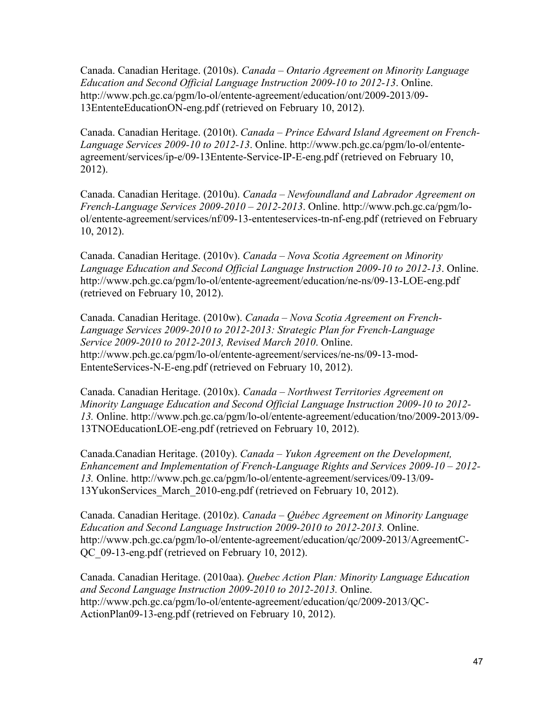Canada. Canadian Heritage. (2010s). *Canada – Ontario Agreement on Minority Language Education and Second Official Language Instruction 2009-10 to 2012-13*. Online. [http://www.pch.gc.ca/pgm/lo-ol/entente-agreement/education/ont/2009-2013/09-](http://www.pch.gc.ca/pgm/lo-ol/entente-agreement/education/ont/2009-2013/09-13EntenteEducationON-eng.pdf) 13EntenteEducationON-eng.pdf (retrieved on February 10, 2012).

Canada. Canadian Heritage. (2010t). *Canada – Prince Edward Island Agreement on French-Language Services 2009-10 to 2012-13*. Online. http://www.pch.gc.ca/pgm/lo-ol/entente[agreement/services/ip-e/09-13Entente-Service-IP-E-eng.pdf \(retrieved on February 10,](http://www.pch.gc.ca/pgm/lo-ol/entente-agreement/services/ip-e/09-13Entente-Service-IP-E-eng.pdf)  2012).

Canada. Canadian Heritage. (2010u). *Canada – Newfoundland and Labrador Agreement on French-Language Services 2009-2010 – 2012-2013*. Online. http://www.pch.gc.ca/pgm/lo[ol/entente-agreement/services/nf/09-13-ententeservices-tn-nf-eng.pdf \(retrieved on Februar](http://www.pch.gc.ca/pgm/lo-ol/entente-agreement/services/nf/09-13-ententeservices-tn-nf-eng.pdf)y 10, 2012).

Canada. Canadian Heritage. (2010v). *Canada – Nova Scotia Agreement on Minority Language Education and Second Official Language Instruction 2009-10 to 2012-13*. Online. <http://www.pch.gc.ca/pgm/lo-ol/entente-agreement/education/ne-ns/09-13-LOE-eng.pdf> (retrieved on February 10, 2012).

Canada. Canadian Heritage. (2010w). *Canada – Nova Scotia Agreement on French-Language Services 2009-2010 to 2012-2013: Strategic Plan for French-Language Service 2009-2010 to 2012-2013, Revised March 2010*. Online. [http://www.pch.gc.ca/pgm/lo-ol/entente-agreement/services/ne-ns/09-13-mod-](http://www.pch.gc.ca/pgm/lo-ol/entente-agreement/services/ne-ns/09-13-mod-EntenteServices-N-E-eng.pdf)EntenteServices-N-E-eng.pdf (retrieved on February 10, 2012).

Canada. Canadian Heritage. (2010x). *Canada – Northwest Territories Agreement on Minority Language Education and Second Official Language Instruction 2009-10 to 2012- 13.* [Online. http://www.pch.gc.ca/pgm/lo-ol/entente-agreement/education/tno/2009-2013/09-](http://www.pch.gc.ca/pgm/lo-ol/entente-agreement/education/tno/2009-2013/09-13TNOEducationLOE-eng.pdf) 13TNOEducationLOE-eng.pdf (retrieved on February 10, 2012).

Canada.Canadian Heritage. (2010y). *Canada – Yukon Agreement on the Development, Enhancement and Implementation of French-Language Rights and Services 2009-10 – 2012- 13.* [Online. http://www.pch.gc.ca/pgm/lo-ol/entente-agreement/services/09-13/09-](http://www.pch.gc.ca/pgm/lo-ol/entente-agreement/services/09-13/09-13YukonServices_March_2010-eng.pdf) 13YukonServices\_March\_2010-eng.pdf (retrieved on February 10, 2012).

Canada. Canadian Heritage. (2010z). *Canada – Québec Agreement on Minority Language Education and Second Language Instruction 2009-2010 to 2012-2013.* Online. [http://www.pch.gc.ca/pgm/lo-ol/entente-agreement/education/qc/2009-2013/AgreementC-](http://www.pch.gc.ca/pgm/lo-ol/entente-agreement/education/qc/2009-2013/AgreementC-QC_09-13-eng.pdf)QC\_09-13-eng.pdf (retrieved on February 10, 2012).

Canada. Canadian Heritage. (2010aa). *Quebec Action Plan: Minority Language Education and Second Language Instruction 2009-2010 to 2012-2013.* Online. [http://www.pch.gc.ca/pgm/lo-ol/entente-agreement/education/qc/2009-2013/QC-](http://www.pch.gc.ca/pgm/lo-ol/entente-agreement/education/qc/2009-2013/QC-ActionPlan09-13-eng.pdf)ActionPlan09-13-eng.pdf (retrieved on February 10, 2012).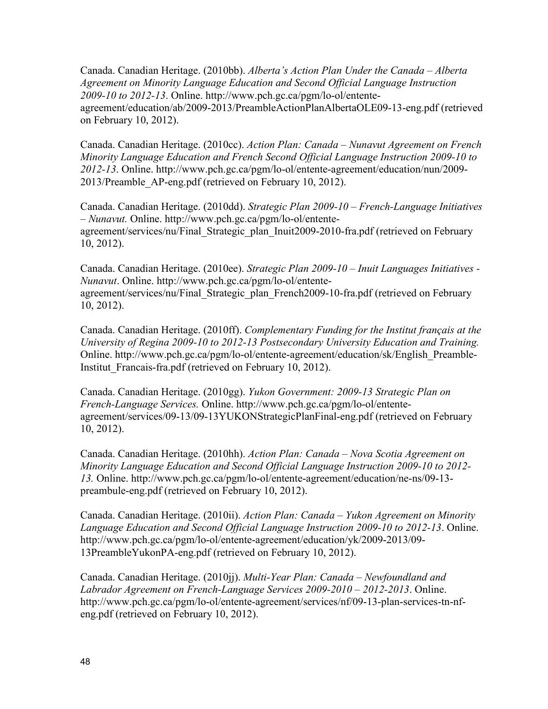Canada. Canadian Heritage. (2010bb). *Alberta's Action Plan Under the Canada – Alberta Agreement on Minority Language Education and Second Official Language Instruction 2009-10 to 2012-13*. Online. http://www.pch.gc.ca/pgm/lo-ol/entente[agreement/education/ab/2009-2013/PreambleActionPlanAlbertaOLE09-13-eng.pdf](http://www.pch.gc.ca/pgm/lo-ol/entente-agreement/education/qc/2009-2013/QC-ActionPlan09-13-eng.pdf) (retrieved on February 10, 2012).

Canada. Canadian Heritage. (2010cc). *Action Plan: Canada – Nunavut Agreement on French Minority Language Education and French Second Official Language Instruction 2009-10 to 2012-13*[. Online. http://www.pch.gc.ca/pgm/lo-ol/entente-agreement/education/nun/2009-](http://www.pch.gc.ca/pgm/lo-ol/entente-agreement/education/nun/2009-2013/Preamble_AP-eng.pdf) 2013/Preamble\_AP-eng.pdf (retrieved on February 10, 2012).

Canada. Canadian Heritage. (2010dd). *Strategic Plan 2009-10 – French-Language Initiatives – Nunavut.* Online. http://www.pch.gc.ca/pgm/lo-ol/entente[agreement/services/nu/Final\\_Strategic\\_plan\\_Inuit2009-2010-fra.pdf](http://www.pch.gc.ca/pgm/lo-ol/entente-agreement/services/nu/Final_Strategic_plan_Inuit2009-2010-fra.pdf) (retrieved on February 10, 2012).

Canada. Canadian Heritage. (2010ee). *Strategic Plan 2009-10 – Inuit Languages Initiatives - Nunavut*. Online. http://www.pch.gc.ca/pgm/lo-ol/entente[agreement/services/nu/Final\\_Strategic\\_plan\\_French2009-10-fra.pdf](http://www.pch.gc.ca/pgm/lo-ol/entente-agreement/services/nu/Final_Strategic_plan_Inuit2009-2010-fra.pdf) (retrieved on February 10, 2012).

Canada. Canadian Heritage. (2010ff). *Complementary Funding for the Institut français at the University of Regina 2009-10 to 2012-13 Postsecondary University Education and Training.* [Online. http://www.pch.gc.ca/pgm/lo-ol/entente-agreement/education/sk/English\\_Preamble-](http://www.pch.gc.ca/pgm/lo-ol/entente-agreement/education/sk/English_Preamble-Institut_Francais-fra.pdf)Institut\_Francais-fra.pdf (retrieved on February 10, 2012).

Canada. Canadian Heritage. (2010gg). *Yukon Government: 2009-13 Strategic Plan on French-Language Services.* Online. http://www.pch.gc.ca/pgm/lo-ol/entente[agreement/services/09-13/09-13YUKONStrategicPlanFinal-eng.pdf \(retrieve](http://www.pch.gc.ca/pgm/lo-ol/entente-agreement/services/09-13/09-13YUKONStrategicPlanFinal-eng.pdf)d on February 10, 2012).

Canada. Canadian Heritage. (2010hh). *Action Plan: Canada – Nova Scotia Agreement on Minority Language Education and Second Official Language Instruction 2009-10 to 2012- 13.* [Online. http://www.pch.gc.ca/pgm/lo-ol/entente-agreement/education/ne-ns/09-13](http://www.pch.gc.ca/pgm/lo-ol/entente-agreement/education/ne-ns/09-13-preambule-eng.pdf) preambule-eng.pdf (retrieved on February 10, 2012).

Canada. Canadian Heritage. (2010ii). *Action Plan: Canada – Yukon Agreement on Minority Language Education and Second Official Language Instruction 2009-10 to 2012-13*. Online. [http://www.pch.gc.ca/pgm/lo-ol/entente-agreement/education/yk/2009-2013/09-](http://www.pch.gc.ca/pgm/lo-ol/entente-agreement/education/yk/2009-2013/09-13PreambleYukonPA-eng.pdf) 13PreambleYukonPA-eng.pdf (retrieved on February 10, 2012).

Canada. Canadian Heritage. (2010jj). *Multi-Year Plan: Canada – Newfoundland and Labrador Agreement on French-Language Services 2009-2010 – 2012-2013*. Online. [http://www.pch.gc.ca/pgm/lo-ol/entente-agreement/services/nf/09-13-plan-services-tn-nf](http://www.pch.gc.ca/pgm/lo-ol/entente-agreement/services/nf/09-13-plan-services-tn-nf-eng.pdf)eng.pdf (retrieved on February 10, 2012).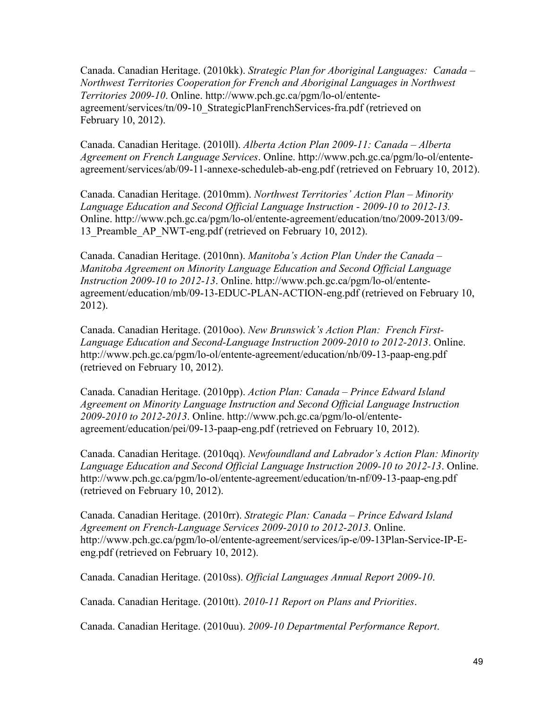Canada. Canadian Heritage. (2010kk). *Strategic Plan for Aboriginal Languages: Canada – Northwest Territories Cooperation for French and Aboriginal Languages in Northwest Territories 2009-10*. Online. http://www.pch.gc.ca/pgm/lo-ol/entente[agreement/services/tn/09-10\\_StrategicPlanFrenchServices-fra.pdf](http://www.pch.gc.ca/pgm/lo-ol/entente-agreement/services/tn/09-10_StrategicPlanFrenchServices-fra.pdf) (retrieved on February 10, 2012).

Canada. Canadian Heritage. (2010ll). *Alberta Action Plan 2009-11: Canada – Alberta Agreement on French Language Services*. Online. http://www.pch.gc.ca/pgm/lo-ol/entente[agreement/services/ab/09-11-annexe-scheduleb-ab-eng.pdf \(retrieved on February 10, 2012](http://www.pch.gc.ca/pgm/lo-ol/entente-agreement/services/ab/09-11-annexe-scheduleb-ab-eng.pdf)).

Canada. Canadian Heritage. (2010mm). *Northwest Territories' Action Plan – Minority Language Education and Second Official Language Instruction - 2009-10 to 2012-13.* [Online. http://www.pch.gc.ca/pgm/lo-ol/entente-agreement/education/tno/2009-2013/09-](http://www.pch.gc.ca/pgm/lo-ol/entente-agreement/education/tno/2009-2013/09-13_Preamble_AP_NWT-eng.pdf) 13 Preamble AP\_NWT-eng.pdf (retrieved on February 10, 2012).

Canada. Canadian Heritage. (2010nn). *Manitoba's Action Plan Under the Canada – Manitoba Agreement on Minority Language Education and Second Official Language Instruction 2009-10 to 2012-13*. Online. http://www.pch.gc.ca/pgm/lo-ol/entente[agreement/education/mb/09-13-EDUC-PLAN-ACTION-eng.pdf \(retrieved on Fe](http://www.pch.gc.ca/pgm/lo-ol/entente-agreement/education/mb/09-13-EDUC-PLAN-ACTION-eng.pdf)bruary 10, 2012).

Canada. Canadian Heritage. (2010oo). *New Brunswick's Action Plan: French First-Language Education and Second-Language Instruction 2009-2010 to 2012-2013*. Online. <http://www.pch.gc.ca/pgm/lo-ol/entente-agreement/education/nb/09-13-paap-eng.pdf> (retrieved on February 10, 2012).

Canada. Canadian Heritage. (2010pp). *Action Plan: Canada – Prince Edward Island Agreement on Minority Language Instruction and Second Official Language Instruction 2009-2010 to 2012-2013*. Online. http://www.pch.gc.ca/pgm/lo-ol/entente[agreement/education/pei/09-13-paap-eng.pdf \(retrieved on February 10, 20](http://www.pch.gc.ca/pgm/lo-ol/entente-agreement/education/pei/09-13-paap-eng.pdf)12).

Canada. Canadian Heritage. (2010qq). *Newfoundland and Labrador's Action Plan: Minority Language Education and Second Official Language Instruction 2009-10 to 2012-13*. Online. <http://www.pch.gc.ca/pgm/lo-ol/entente-agreement/education/tn-nf/09-13-paap-eng.pdf> (retrieved on February 10, 2012).

Canada. Canadian Heritage. (2010rr). *Strategic Plan: Canada – Prince Edward Island Agreement on French-Language Services 2009-2010 to 2012-2013*. Online. [http://www.pch.gc.ca/pgm/lo-ol/entente-agreement/services/ip-e/09-13Plan-Service-IP-E](http://www.pch.gc.ca/pgm/lo-ol/entente-agreement/services/ip-e/09-13Plan-Service-IP-E-eng.pdf)eng.pdf (retrieved on February 10, 2012).

Canada. Canadian Heritage. (2010ss). *Official Languages Annual Report 2009-10*.

Canada. Canadian Heritage. (2010tt). *2010-11 Report on Plans and Priorities*.

Canada. Canadian Heritage. (2010uu). *2009-10 Departmental Performance Report*.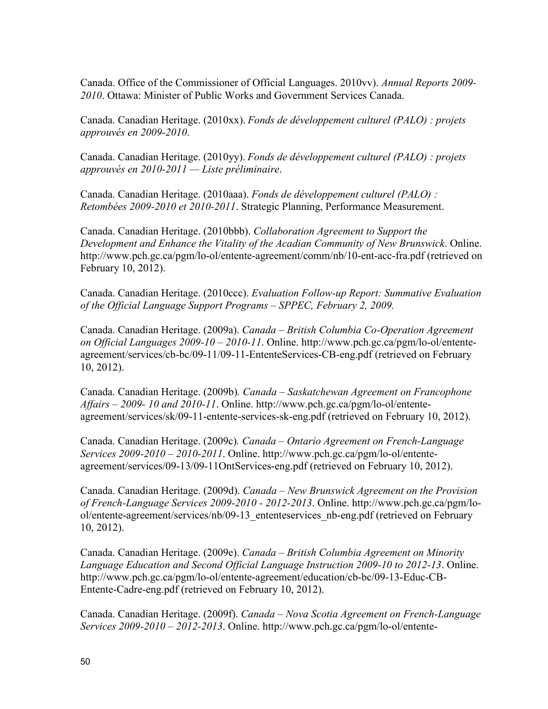Canada. Office of the Commissioner of Official Languages. 2010vv). *Annual Reports 2009- 2010*. Ottawa: Minister of Public Works and Government Services Canada.

Canada. Canadian Heritage. (2010xx). *Fonds de développement culturel (PALO) : projets approuvés en 2009-2010*.

Canada. Canadian Heritage. (2010yy). *Fonds de développement culturel (PALO) : projets approuvés en 2010-2011 — Liste préliminaire*.

Canada. Canadian Heritage. (2010aaa). *Fonds de développement culturel (PALO) : Retombées 2009-2010 et 2010-2011*. Strategic Planning, Performance Measurement.

Canada. Canadian Heritage. (2010bbb). *Collaboration Agreement to Support the Development and Enhance the Vitality of the Acadian Community of New Brunswick*. Online. <http://www.pch.gc.ca/pgm/lo-ol/entente-agreement/comm/nb/10-ent-acc-fra.pdf> (retrieved on February 10, 2012).

Canada. Canadian Heritage. (2010ccc). *Evaluation Follow-up Report: Summative Evaluation of the Official Language Support Programs – SPPEC, February 2, 2009.*

Canada. Canadian Heritage. (2009a). *Canada – British Columbia Co-Operation Agreement on Official Languages 2009-10 – 2010-11*. Online. http://www.pch.gc.ca/pgm/lo-ol/entente[agreement/services/cb-bc/09-11/09-11-EntenteServices-CB-eng.pdf \(retrieved on February](http://www.pch.gc.ca/pgm/lo-ol/entente-agreement/services/cb-bc/09-11/09-11-EntenteServices-CB-eng.pdf)  10, 2012).

Canada. Canadian Heritage. (2009b)*. Canada – Saskatchewan Agreement on Francophone Affairs – 2009- 10 and 2010-11*. Online. http://www.pch.gc.ca/pgm/lo-ol/entente[agreement/services/sk/09-11-entente-services-sk-eng.pdf \(retrieved on February 1](http://www.pch.gc.ca/pgm/lo-ol/entente-agreement/services/sk/09-11-entente-services-sk-eng.pdf)0, 2012).

Canada. Canadian Heritage. (2009c)*. Canada – Ontario Agreement on French-Language Services 2009-2010 – 2010-2011*. Online. http://www.pch.gc.ca/pgm/lo-ol/entente[agreement/services/09-13/09-11OntServices-eng.pdf \(retrieved on February 10, 201](http://www.pch.gc.ca/pgm/lo-ol/entente-agreement/services/09-13/09-11OntServices-eng.pdf)2).

Canada. Canadian Heritage. (2009d). *Canada – New Brunswick Agreement on the Provision of French-Language Services 2009-2010 - 2012-2013*. Online. http://www.pch.gc.ca/pgm/lo[ol/entente-agreement/services/nb/09-13\\_ententeservices\\_nb-eng.pdf \(retrieved on February](http://www.pch.gc.ca/pgm/lo-ol/entente-agreement/services/nb/09-13_ententeservices_nb-eng.pdf)  10, 2012).

Canada. Canadian Heritage. (2009e). *Canada – British Columbia Agreement on Minority Language Education and Second Official Language Instruction 2009-10 to 2012-13*. Online. [http://www.pch.gc.ca/pgm/lo-ol/entente-agreement/education/cb-bc/09-13-Educ-CB-](http://www.pch.gc.ca/pgm/lo-ol/entente-agreement/education/cb-bc/09-13-Educ-CB-Entente-Cadre-eng.pdf)Entente-Cadre-eng.pdf (retrieved on February 10, 2012).

Canada. Canadian Heritage. (2009f). *Canada – Nova Scotia Agreement on French-Language Services 2009-2010 – 2012-2013*. Online. [http://www.pch.gc.ca/pgm/lo-ol/entente-](http://www.pch.gc.ca/pgm/lo-ol/entente-agreement/services/ne-ns/09-13-EntenteServices-N-E-eng.pdf)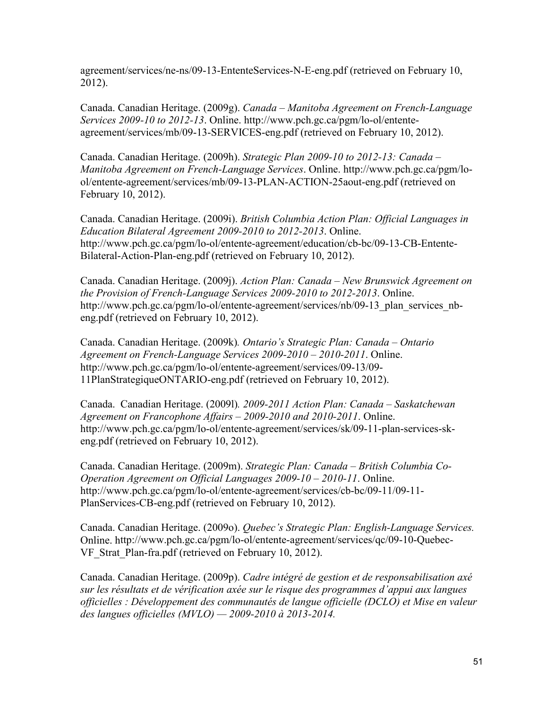[agreement/services/ne-ns/09-13-EntenteServices-N-E-eng.pdf](http://www.pch.gc.ca/pgm/lo-ol/entente-agreement/services/ne-ns/09-13-EntenteServices-N-E-eng.pdf) (retrieved on February 10, 2012).

Canada. Canadian Heritage. (2009g). *Canada – Manitoba Agreement on French-Language Services 2009-10 to 2012-13*. Online. http://www.pch.gc.ca/pgm/lo-ol/entente[agreement/services/mb/09-13-SERVICES-eng.pdf \(retrieved on February 10, 2](http://www.pch.gc.ca/pgm/lo-ol/entente-agreement/services/mb/09-13-SERVICES-eng.pdf)012).

Canada. Canadian Heritage. (2009h). *Strategic Plan 2009-10 to 2012-13: Canada – Manitoba Agreement on French-Language Services*. Online. http://www.pch.gc.ca/pgm/lo[ol/entente-agreement/services/mb/09-13-PLAN-ACTION-25aout-eng.pdf \(retrieved on](http://www.pch.gc.ca/pgm/lo-ol/entente-agreement/services/mb/09-13-PLAN-ACTION-25aout-eng.pdf)  February 10, 2012).

Canada. Canadian Heritage. (2009i). *British Columbia Action Plan: Official Languages in Education Bilateral Agreement 2009-2010 to 2012-2013*. Online. [http://www.pch.gc.ca/pgm/lo-ol/entente-agreement/education/cb-bc/09-13-CB-Entente-](http://www.pch.gc.ca/pgm/lo-ol/entente-agreement/education/cb-bc/09-13-CB-Entente-Bilateral-Action-Plan-eng.pdf)Bilateral-Action-Plan-eng.pdf (retrieved on February 10, 2012).

Canada. Canadian Heritage. (2009j). *Action Plan: Canada – New Brunswick Agreement on the Provision of French-Language Services 2009-2010 to 2012-2013*. Online. http://www.pch.gc.ca/pgm/lo-ol/entente-agreement/services/nb/09-13 plan services nbeng.pdf (retrieved on February 10, 2012).

Canada. Canadian Heritage. (2009k)*. Ontario's Strategic Plan: Canada – Ontario Agreement on French-Language Services 2009-2010 – 2010-2011*. Online. [http://www.pch.gc.ca/pgm/lo-ol/entente-agreement/services/09-13/09-](http://www.pch.gc.ca/pgm/lo-ol/entente-agreement/services/09-13/09-11PlanStrategiqueONTARIO-eng.pdf) 11PlanStrategiqueONTARIO-eng.pdf (retrieved on February 10, 2012).

Canada. Canadian Heritage. (2009l)*. 2009-2011 Action Plan: Canada – Saskatchewan Agreement on Francophone Affairs – 2009-2010 and 2010-2011*. Online. [http://www.pch.gc.ca/pgm/lo-ol/entente-agreement/services/sk/09-11-plan-services-sk](http://www.pch.gc.ca/pgm/lo-ol/entente-agreement/services/sk/09-11-plan-services-sk-eng.pdf)eng.pdf (retrieved on February 10, 2012).

Canada. Canadian Heritage. (2009m). *Strategic Plan: Canada – British Columbia Co-Operation Agreement on Official Languages 2009-10 – 2010-11*. Online. [http://www.pch.gc.ca/pgm/lo-ol/entente-agreement/services/cb-bc/09-11/09-11-](http://www.pch.gc.ca/pgm/lo-ol/entente-agreement/services/cb-bc/09-11/09-11-PlanServices-CB-eng.pdf) PlanServices-CB-eng.pdf (retrieved on February 10, 2012).

Canada. Canadian Heritage. (2009o). *Quebec's Strategic Plan: English-Language Services.*  [Online. http://www.pch.gc.ca/pgm/lo-ol/entente-agreement/services/qc/09-10-Quebec-](http://www.pch.gc.ca/pgm/lo-ol/entente-agreement/services/qc/09-10-Quebec-VF_Strat_Plan-fra.pdf)VF Strat Plan-fra.pdf (retrieved on February 10, 2012).

Canada. Canadian Heritage. (2009p). *Cadre intégré de gestion et de responsabilisation axé sur les résultats et de vérification axée sur le risque des programmes d'appui aux langues officielles : Développement des communautés de langue officielle (DCLO) et Mise en valeur des langues officielles (MVLO) — 2009-2010 à 2013-2014.*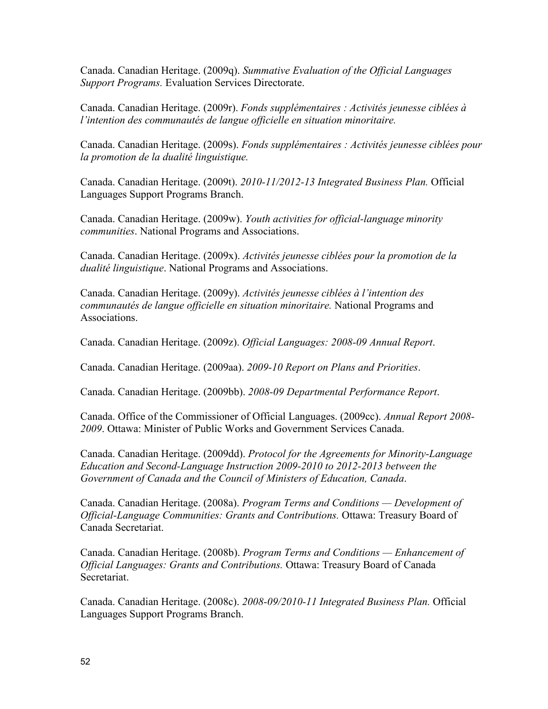Canada. Canadian Heritage. (2009q). *Summative Evaluation of the Official Languages Support Programs.* Evaluation Services Directorate.

Canada. Canadian Heritage. (2009r). *Fonds supplémentaires : Activités jeunesse ciblées à l'intention des communautés de langue officielle en situation minoritaire.*

Canada. Canadian Heritage. (2009s). *Fonds supplémentaires : Activités jeunesse ciblées pour la promotion de la dualité linguistique.*

Canada. Canadian Heritage. (2009t). *2010-11/2012-13 Integrated Business Plan.* Official Languages Support Programs Branch.

Canada. Canadian Heritage. (2009w). *Youth activities for official-language minority communities*. National Programs and Associations.

Canada. Canadian Heritage. (2009x). *Activités jeunesse ciblées pour la promotion de la dualité linguistique*. National Programs and Associations.

Canada. Canadian Heritage. (2009y). *Activités jeunesse ciblées à l'intention des communautés de langue officielle en situation minoritaire.* National Programs and Associations.

Canada. Canadian Heritage. (2009z). *Official Languages: 2008-09 Annual Report*.

Canada. Canadian Heritage. (2009aa). *2009-10 Report on Plans and Priorities*.

Canada. Canadian Heritage. (2009bb). *2008-09 Departmental Performance Report*.

Canada. Office of the Commissioner of Official Languages. (2009cc). *Annual Report 2008- 2009*. Ottawa: Minister of Public Works and Government Services Canada.

Canada. Canadian Heritage. (2009dd). *Protocol for the Agreements for Minority-Language Education and Second-Language Instruction 2009-2010 to 2012-2013 between the Government of Canada and the Council of Ministers of Education, Canada*.

Canada. Canadian Heritage. (2008a). *Program Terms and Conditions — Development of Official-Language Communities: Grants and Contributions.* Ottawa: Treasury Board of Canada Secretariat.

Canada. Canadian Heritage. (2008b). *Program Terms and Conditions — Enhancement of Official Languages: Grants and Contributions.* Ottawa: Treasury Board of Canada Secretariat.

Canada. Canadian Heritage. (2008c). *2008-09/2010-11 Integrated Business Plan.* Official Languages Support Programs Branch.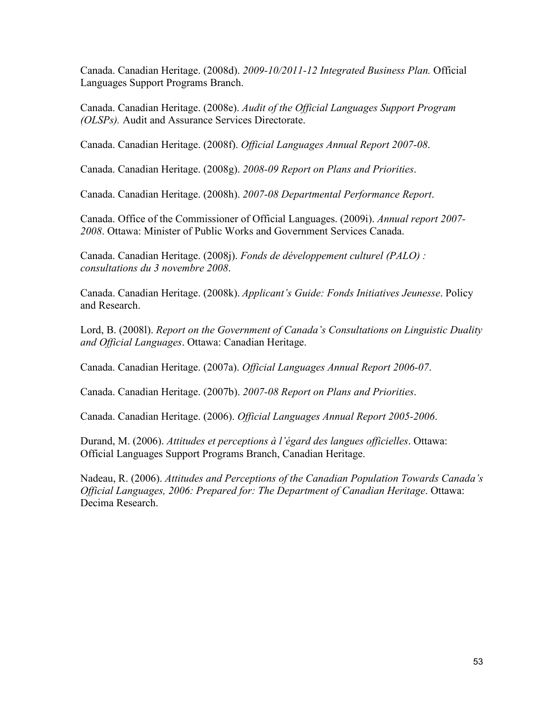Canada. Canadian Heritage. (2008d). *2009-10/2011-12 Integrated Business Plan.* Official Languages Support Programs Branch.

Canada. Canadian Heritage. (2008e). *Audit of the Official Languages Support Program (OLSPs).* Audit and Assurance Services Directorate.

Canada. Canadian Heritage. (2008f). *Official Languages Annual Report 2007-08*.

Canada. Canadian Heritage. (2008g). *2008-09 Report on Plans and Priorities*.

Canada. Canadian Heritage. (2008h). *2007-08 Departmental Performance Report*.

Canada. Office of the Commissioner of Official Languages. (2009i). *Annual report 2007- 2008*. Ottawa: Minister of Public Works and Government Services Canada.

Canada. Canadian Heritage. (2008j). *Fonds de développement culturel (PALO) : consultations du 3 novembre 2008*.

Canada. Canadian Heritage. (2008k). *Applicant's Guide: Fonds Initiatives Jeunesse*. Policy and Research.

Lord, B. (2008l). *Report on the Government of Canada's Consultations on Linguistic Duality and Official Languages*. Ottawa: Canadian Heritage.

Canada. Canadian Heritage. (2007a). *Official Languages Annual Report 2006-07*.

Canada. Canadian Heritage. (2007b). *2007-08 Report on Plans and Priorities*.

Canada. Canadian Heritage. (2006). *Official Languages Annual Report 2005-2006*.

Durand, M. (2006). *Attitudes et perceptions à l'égard des langues officielles*. Ottawa: Official Languages Support Programs Branch, Canadian Heritage.

Nadeau, R. (2006). *Attitudes and Perceptions of the Canadian Population Towards Canada's Official Languages, 2006: Prepared for: The Department of Canadian Heritage*. Ottawa: Decima Research.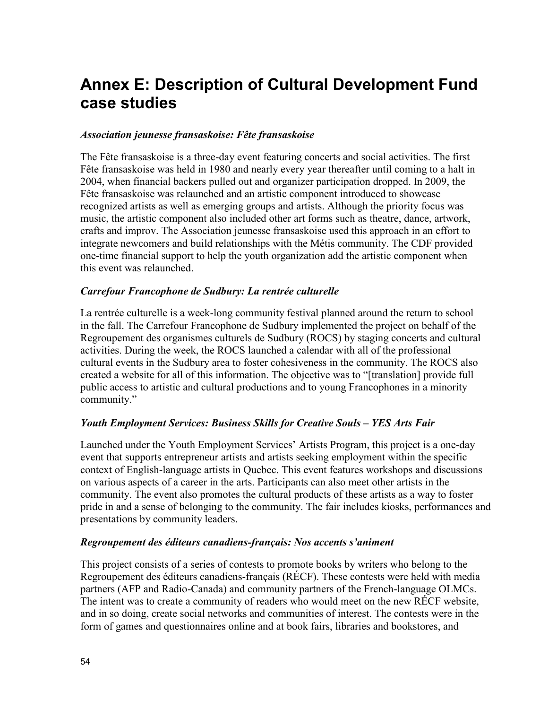# <span id="page-59-0"></span>**Annex E: Description of Cultural Development Fund case studies**

### *Association jeunesse fransaskoise: Fête fransaskoise*

The Fête fransaskoise is a three-day event featuring concerts and social activities. The first Fête fransaskoise was held in 1980 and nearly every year thereafter until coming to a halt in 2004, when financial backers pulled out and organizer participation dropped. In 2009, the Fête fransaskoise was relaunched and an artistic component introduced to showcase recognized artists as well as emerging groups and artists. Although the priority focus was music, the artistic component also included other art forms such as theatre, dance, artwork, crafts and improv. The Association jeunesse fransaskoise used this approach in an effort to integrate newcomers and build relationships with the Métis community. The CDF provided one-time financial support to help the youth organization add the artistic component when this event was relaunched.

#### *Carrefour Francophone de Sudbury: La rentrée culturelle*

La rentrée culturelle is a week-long community festival planned around the return to school in the fall. The Carrefour Francophone de Sudbury implemented the project on behalf of the Regroupement des organismes culturels de Sudbury (ROCS) by staging concerts and cultural activities. During the week, the ROCS launched a calendar with all of the professional cultural events in the Sudbury area to foster cohesiveness in the community. The ROCS also created a website for all of this information. The objective was to "[translation] provide full public access to artistic and cultural productions and to young Francophones in a minority community."

### *Youth Employment Services: Business Skills for Creative Souls – YES Arts Fair*

Launched under the Youth Employment Services' Artists Program, this project is a one-day event that supports entrepreneur artists and artists seeking employment within the specific context of English-language artists in Quebec. This event features workshops and discussions on various aspects of a career in the arts. Participants can also meet other artists in the community. The event also promotes the cultural products of these artists as a way to foster pride in and a sense of belonging to the community. The fair includes kiosks, performances and presentations by community leaders.

#### *Regroupement des éditeurs canadiens-français: Nos accents s'animent*

This project consists of a series of contests to promote books by writers who belong to the Regroupement des éditeurs canadiens-français (RÉCF). These contests were held with media partners (AFP and Radio-Canada) and community partners of the French-language OLMCs. The intent was to create a community of readers who would meet on the new RÉCF website, and in so doing, create social networks and communities of interest. The contests were in the form of games and questionnaires online and at book fairs, libraries and bookstores, and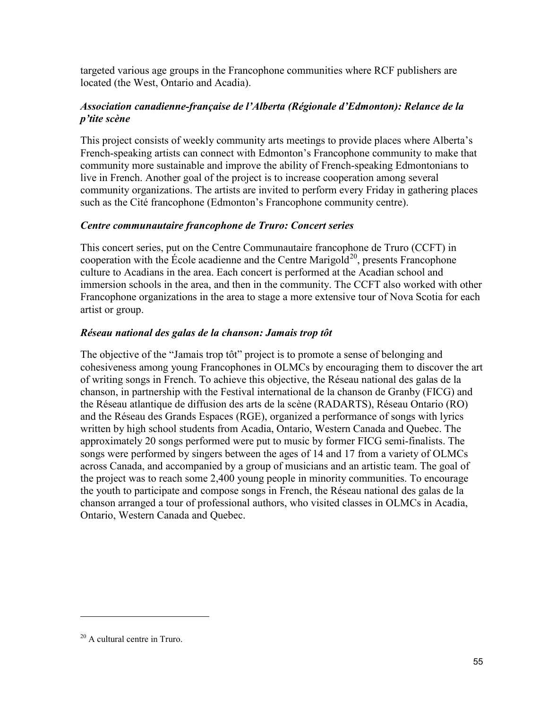targeted various age groups in the Francophone communities where RCF publishers are located (the West, Ontario and Acadia).

### *Association canadienne-française de l'Alberta (Régionale d'Edmonton): Relance de la p'tite scène*

This project consists of weekly community arts meetings to provide places where Alberta's French-speaking artists can connect with Edmonton's Francophone community to make that community more sustainable and improve the ability of French-speaking Edmontonians to live in French. Another goal of the project is to increase cooperation among several community organizations. The artists are invited to perform every Friday in gathering places such as the Cité francophone (Edmonton's Francophone community centre).

### *Centre communautaire francophone de Truro: Concert series*

This concert series, put on the Centre Communautaire francophone de Truro (CCFT) in cooperation with the École acadienne and the Centre Marigold<sup>[20](#page-60-0)</sup>, presents Francophone culture to Acadians in the area. Each concert is performed at the Acadian school and immersion schools in the area, and then in the community. The CCFT also worked with other Francophone organizations in the area to stage a more extensive tour of Nova Scotia for each artist or group.

### *Réseau national des galas de la chanson: Jamais trop tôt*

The objective of the "Jamais trop tôt" project is to promote a sense of belonging and cohesiveness among young Francophones in OLMCs by encouraging them to discover the art of writing songs in French. To achieve this objective, the Réseau national des galas de la chanson, in partnership with the Festival international de la chanson de Granby (FICG) and the Réseau atlantique de diffusion des arts de la scène (RADARTS), Réseau Ontario (RO) and the Réseau des Grands Espaces (RGE), organized a performance of songs with lyrics written by high school students from Acadia, Ontario, Western Canada and Quebec. The approximately 20 songs performed were put to music by former FICG semi-finalists. The songs were performed by singers between the ages of 14 and 17 from a variety of OLMCs across Canada, and accompanied by a group of musicians and an artistic team. The goal of the project was to reach some 2,400 young people in minority communities. To encourage the youth to participate and compose songs in French, the Réseau national des galas de la chanson arranged a tour of professional authors, who visited classes in OLMCs in Acadia, Ontario, Western Canada and Quebec.

<span id="page-60-0"></span><sup>&</sup>lt;sup>20</sup> A cultural centre in Truro.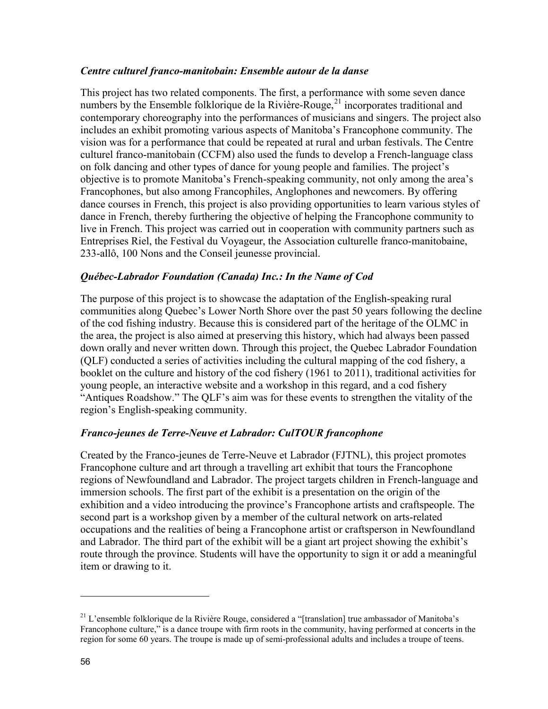#### *Centre culturel franco-manitobain: Ensemble autour de la danse*

This project has two related components. The first, a performance with some seven dance numbers by the Ensemble folklorique de la Rivière-Rouge,<sup>21</sup> incorporates traditional and contemporary choreography into the performances of musicians and singers. The project also includes an exhibit promoting various aspects of Manitoba's Francophone community. The vision was for a performance that could be repeated at rural and urban festivals. The Centre culturel franco-manitobain (CCFM) also used the funds to develop a French-language class on folk dancing and other types of dance for young people and families. The project's objective is to promote Manitoba's French-speaking community, not only among the area's Francophones, but also among Francophiles, Anglophones and newcomers. By offering dance courses in French, this project is also providing opportunities to learn various styles of dance in French, thereby furthering the objective of helping the Francophone community to live in French. This project was carried out in cooperation with community partners such as Entreprises Riel, the Festival du Voyageur, the Association culturelle franco-manitobaine, 233-allô, 100 Nons and the Conseil jeunesse provincial.

### *Québec-Labrador Foundation (Canada) Inc.: In the Name of Cod*

The purpose of this project is to showcase the adaptation of the English-speaking rural communities along Quebec's Lower North Shore over the past 50 years following the decline of the cod fishing industry. Because this is considered part of the heritage of the OLMC in the area, the project is also aimed at preserving this history, which had always been passed down orally and never written down. Through this project, the Quebec Labrador Foundation (QLF) conducted a series of activities including the cultural mapping of the cod fishery, a booklet on the culture and history of the cod fishery (1961 to 2011), traditional activities for young people, an interactive website and a workshop in this regard, and a cod fishery "Antiques Roadshow." The QLF's aim was for these events to strengthen the vitality of the region's English-speaking community.

### *Franco-jeunes de Terre-Neuve et Labrador: CulTOUR francophone*

Created by the Franco-jeunes de Terre-Neuve et Labrador (FJTNL), this project promotes Francophone culture and art through a travelling art exhibit that tours the Francophone regions of Newfoundland and Labrador. The project targets children in French-language and immersion schools. The first part of the exhibit is a presentation on the origin of the exhibition and a video introducing the province's Francophone artists and craftspeople. The second part is a workshop given by a member of the cultural network on arts-related occupations and the realities of being a Francophone artist or craftsperson in Newfoundland and Labrador. The third part of the exhibit will be a giant art project showing the exhibit's route through the province. Students will have the opportunity to sign it or add a meaningful item or drawing to it.

<span id="page-61-0"></span> $21$  L'ensemble folklorique de la Rivière Rouge, considered a "[translation] true ambassador of Manitoba's Francophone culture," is a dance troupe with firm roots in the community, having performed at concerts in the region for some 60 years. The troupe is made up of semi-professional adults and includes a troupe of teens.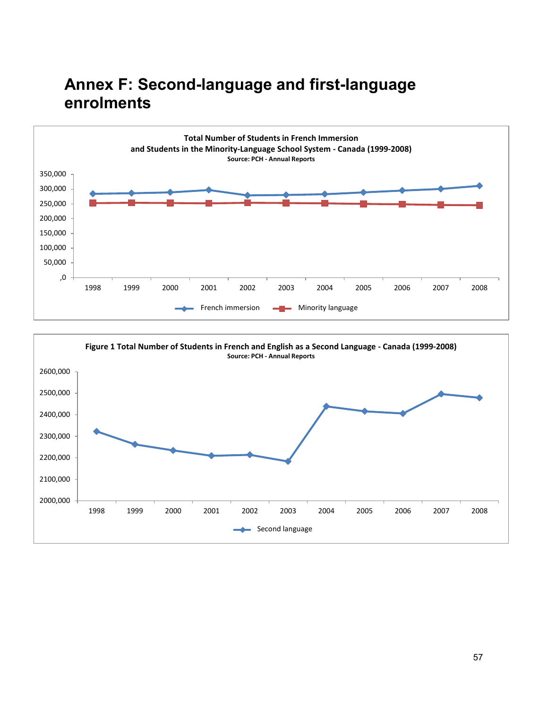# <span id="page-62-0"></span>**Annex F: Second-language and first-language enrolments**



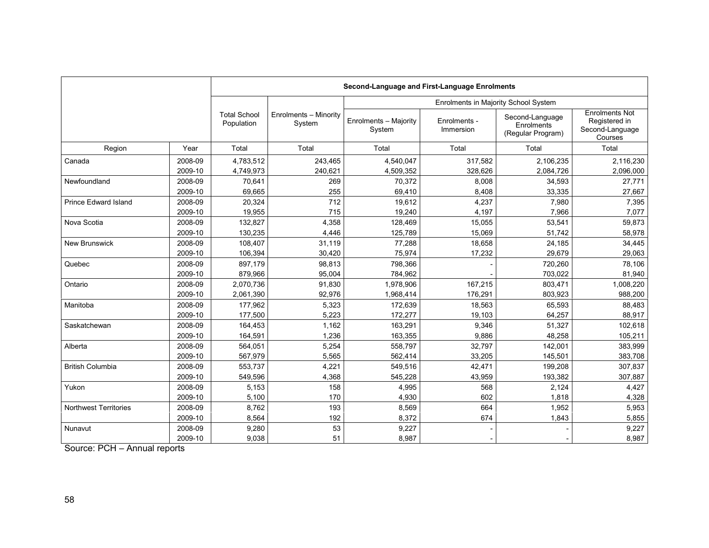|                              |                    | Second-Language and First-Language Enrolments |                                 |                                      |                           |                                                    |                                                                      |  |  |  |  |
|------------------------------|--------------------|-----------------------------------------------|---------------------------------|--------------------------------------|---------------------------|----------------------------------------------------|----------------------------------------------------------------------|--|--|--|--|
|                              |                    |                                               |                                 | Enrolments in Majority School System |                           |                                                    |                                                                      |  |  |  |  |
|                              |                    | <b>Total School</b><br>Population             | Enrolments - Minority<br>System | Enrolments - Majority<br>System      | Enrolments -<br>Immersion | Second-Language<br>Enrolments<br>(Regular Program) | <b>Enrolments Not</b><br>Registered in<br>Second-Language<br>Courses |  |  |  |  |
| Region                       | Year               | Total                                         | Total                           | Total                                | Total                     | Total                                              | Total                                                                |  |  |  |  |
| Canada                       | 2008-09            | 4.783.512                                     | 243.465                         | 4,540,047                            | 317.582                   | 2,106,235                                          | 2,116,230                                                            |  |  |  |  |
|                              | 2009-10            | 4,749,973                                     | 240,621                         | 4,509,352                            | 328,626                   | 2,084,726                                          | 2,096,000                                                            |  |  |  |  |
| Newfoundland                 | 2008-09            | 70.641                                        | 269                             | 70,372                               | 8,008                     | 34,593                                             | 27,771                                                               |  |  |  |  |
|                              | 2009-10            | 69,665                                        | 255                             | 69,410                               | 8,408                     | 33,335                                             | 27,667                                                               |  |  |  |  |
| <b>Prince Edward Island</b>  | 2008-09            | 20,324                                        | 712                             | 19,612                               | 4,237                     | 7,980                                              | 7,395                                                                |  |  |  |  |
|                              | 2009-10            | 19,955                                        | 715                             | 19,240                               | 4,197                     | 7,966                                              | 7,077                                                                |  |  |  |  |
| Nova Scotia                  | 2008-09            | 132,827                                       | 4,358                           | 128,469                              | 15,055                    | 53,541                                             | 59,873                                                               |  |  |  |  |
|                              | 2009-10            | 130,235                                       | 4,446                           | 125,789                              | 15,069                    | 51,742                                             | 58,978                                                               |  |  |  |  |
| <b>New Brunswick</b>         | 2008-09            | 108,407                                       | 31,119                          | 77,288                               | 18.658                    | 24,185                                             | 34,445                                                               |  |  |  |  |
|                              | 2009-10            | 106,394                                       | 30,420                          | 75,974                               | 17,232                    | 29,679                                             | 29,063                                                               |  |  |  |  |
| Quebec                       | 2008-09<br>2009-10 | 897,179<br>879,966                            | 98,813<br>95,004                | 798,366<br>784,962                   |                           | 720,260<br>703,022                                 | 78,106<br>81,940                                                     |  |  |  |  |
| Ontario                      | 2008-09            | 2.070.736                                     | 91,830                          | 1,978,906                            | 167,215                   | 803,471                                            | 1,008,220                                                            |  |  |  |  |
|                              | 2009-10            | 2,061,390                                     | 92,976                          | 1,968,414                            | 176,291                   | 803,923                                            | 988,200                                                              |  |  |  |  |
| Manitoba                     | 2008-09            | 177,962                                       | 5,323                           | 172,639                              | 18,563                    | 65,593                                             | 88,483                                                               |  |  |  |  |
|                              | 2009-10            | 177,500                                       | 5,223                           | 172,277                              | 19,103                    | 64,257                                             | 88,917                                                               |  |  |  |  |
| Saskatchewan                 | 2008-09            | 164,453                                       | 1,162                           | 163,291                              | 9,346                     | 51,327                                             | 102,618                                                              |  |  |  |  |
|                              | 2009-10            | 164,591                                       | 1,236                           | 163,355                              | 9,886                     | 48,258                                             | 105,211                                                              |  |  |  |  |
| Alberta                      | 2008-09            | 564,051                                       | 5,254                           | 558,797                              | 32,797                    | 142,001                                            | 383,999                                                              |  |  |  |  |
|                              | 2009-10            | 567,979                                       | 5,565                           | 562,414                              | 33,205                    | 145,501                                            | 383,708                                                              |  |  |  |  |
| <b>British Columbia</b>      | 2008-09            | 553,737                                       | 4,221                           | 549,516                              | 42,471                    | 199,208                                            | 307,837                                                              |  |  |  |  |
|                              | 2009-10            | 549,596                                       | 4,368                           | 545,228                              | 43,959                    | 193,382                                            | 307,887                                                              |  |  |  |  |
| Yukon                        | 2008-09            | 5,153                                         | 158                             | 4,995                                | 568                       | 2,124                                              | 4,427                                                                |  |  |  |  |
|                              | 2009-10            | 5,100                                         | 170                             | 4,930                                | 602                       | 1,818                                              | 4,328                                                                |  |  |  |  |
| <b>Northwest Territories</b> | 2008-09            | 8,762                                         | 193                             | 8,569                                | 664                       | 1,952                                              | 5,953                                                                |  |  |  |  |
|                              | 2009-10            | 8,564                                         | 192                             | 8,372                                | 674                       | 1,843                                              | 5,855                                                                |  |  |  |  |
| Nunavut                      | 2008-09<br>2009-10 | 9,280<br>9,038                                | 53<br>51                        | 9,227<br>8,987                       |                           |                                                    | 9,227<br>8,987                                                       |  |  |  |  |

Source: PCH – Annual reports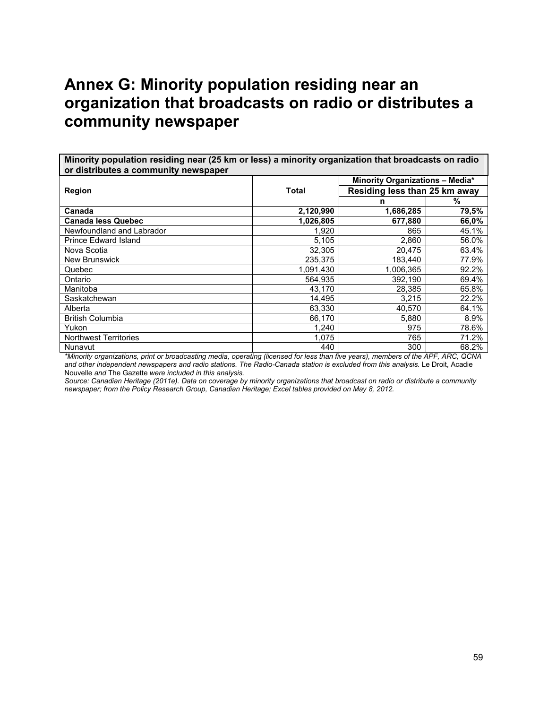# <span id="page-64-0"></span>**Annex G: Minority population residing near an organization that broadcasts on radio or distributes a community newspaper**

**Minority population residing near (25 km or less) a minority organization that broadcasts on radio or distributes a community newspaper**

|                              |              | <b>Minority Organizations - Media*</b> |       |  |  |
|------------------------------|--------------|----------------------------------------|-------|--|--|
| <b>Region</b>                | <b>Total</b> | Residing less than 25 km away          |       |  |  |
|                              |              | n                                      | %     |  |  |
| Canada                       | 2,120,990    | 1,686,285                              | 79,5% |  |  |
| <b>Canada less Quebec</b>    | 1,026,805    | 677.880                                | 66,0% |  |  |
| Newfoundland and Labrador    | 1,920        | 865                                    | 45.1% |  |  |
| <b>Prince Edward Island</b>  | 5,105        | 2,860                                  | 56.0% |  |  |
| Nova Scotia                  | 32,305       | 20,475                                 | 63.4% |  |  |
| <b>New Brunswick</b>         | 235,375      | 183,440                                | 77.9% |  |  |
| Quebec                       | 1,091,430    | 1,006,365                              | 92.2% |  |  |
| Ontario                      | 564.935      | 392.190                                | 69.4% |  |  |
| Manitoba                     | 43.170       | 28,385                                 | 65.8% |  |  |
| Saskatchewan                 | 14.495       | 3.215                                  | 22.2% |  |  |
| Alberta                      | 63,330       | 40,570                                 | 64.1% |  |  |
| <b>British Columbia</b>      | 66,170       | 5,880                                  | 8.9%  |  |  |
| Yukon                        | 1,240        | 975                                    | 78.6% |  |  |
| <b>Northwest Territories</b> | 1,075        | 765                                    | 71.2% |  |  |
| Nunavut                      | 440          | 300                                    | 68.2% |  |  |

*\*Minority organizations, print or broadcasting media, operating (licensed for less than five years), members of the APF, ARC, QCNA*  and other independent newspapers and radio stations. The Radio-Canada station is excluded from this analysis. Le Droit, Acadie Nouvelle *and* The Gazette *were included in this analysis.*

*Source: Canadian Heritage (2011e). Data on coverage by minority organizations that broadcast on radio or distribute a community newspaper; from the Policy Research Group, Canadian Heritage; Excel tables provided on May 8, 2012.*